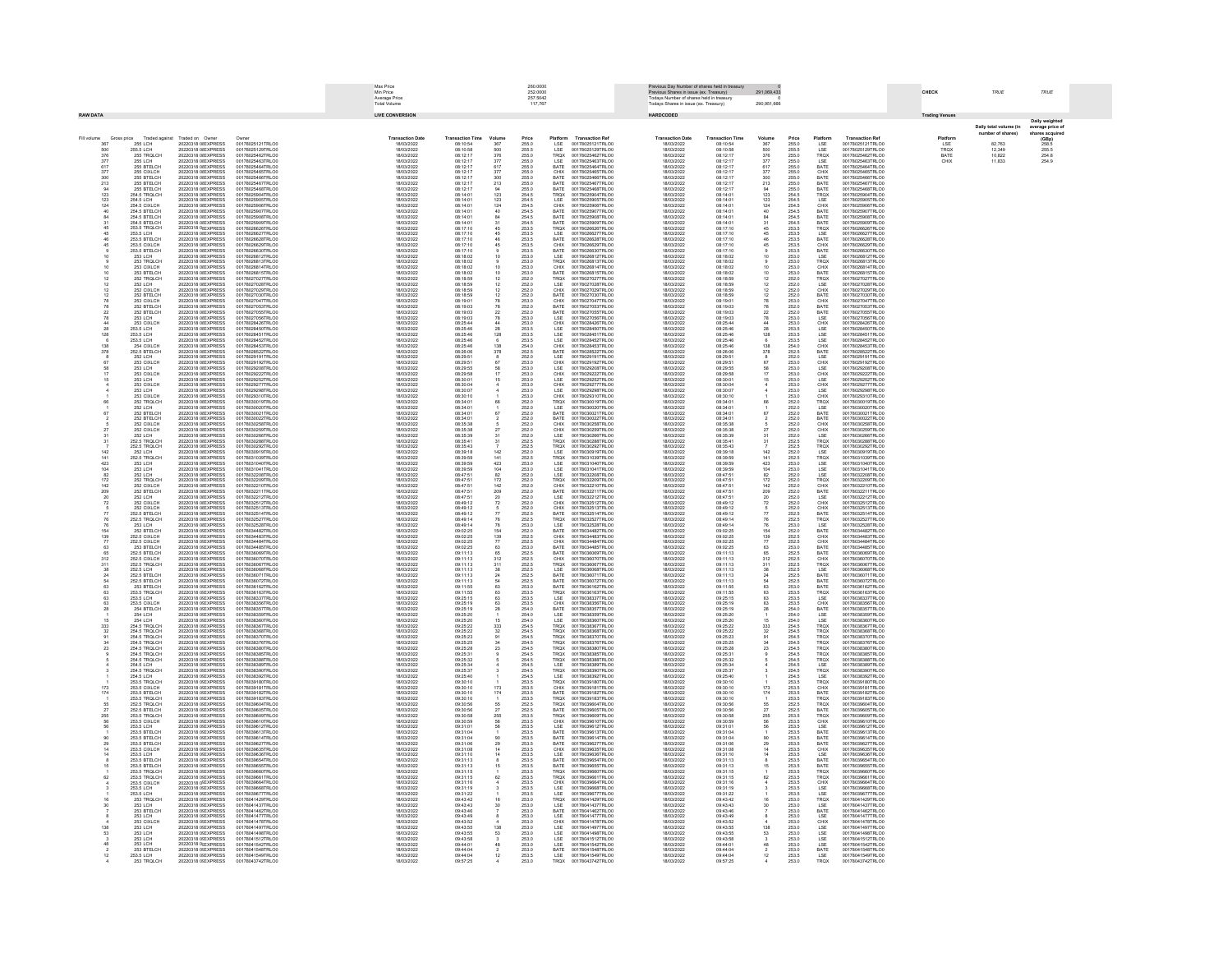|                                |                                                              |                                                                                          |                                                                                                  | Max Price<br>Min Price<br>Average Price<br>Total Volume |                                              |                                | 260.0000<br>252.0000<br>257.5042              |                                             |                                                                              |                                                      | Previous Day Number of shares held in treasury<br>Previous Shares in issue (ex. Treasury)<br>Todays Number of shares held in treasury)<br>Todays Shares in issue (ex. Treasury) |                                                                                                                         |                                  |                                                                     |                                                                              | CHECK                 | TRUE                                     | TRUE                                 |
|--------------------------------|--------------------------------------------------------------|------------------------------------------------------------------------------------------|--------------------------------------------------------------------------------------------------|---------------------------------------------------------|----------------------------------------------|--------------------------------|-----------------------------------------------|---------------------------------------------|------------------------------------------------------------------------------|------------------------------------------------------|---------------------------------------------------------------------------------------------------------------------------------------------------------------------------------|-------------------------------------------------------------------------------------------------------------------------|----------------------------------|---------------------------------------------------------------------|------------------------------------------------------------------------------|-----------------------|------------------------------------------|--------------------------------------|
| <b>RAW DATA</b>                |                                                              |                                                                                          |                                                                                                  | <b>LIVE CONVERSION</b>                                  |                                              |                                |                                               |                                             |                                                                              | HARDCODED                                            |                                                                                                                                                                                 |                                                                                                                         |                                  |                                                                     |                                                                              | <b>Trading Venues</b> |                                          | Daily weigh                          |
| Fill volume                    |                                                              |                                                                                          |                                                                                                  | <b>Transaction Date</b>                                 | <b>Transaction Ti</b>                        | Volum                          |                                               |                                             | <b>Transaction Ref</b>                                                       |                                                      | <b>Transaction Time</b>                                                                                                                                                         |                                                                                                                         |                                  |                                                                     | <b>Transaction Ref</b>                                                       | Platform              | Daily total volume (in<br>ber of shares) | verage price o<br>res acq            |
| 367<br>500<br>376              | Gross price Traded agains<br>255.5 LCH                       | Traded on Owner<br>20220318 0! EXPRESS<br>20220318 0I EXPRESS                            | Owner<br>00178025121TRLO0<br>00178025129TRLO0                                                    | 18/03/2022<br>18/03/2022                                | 08:10:54<br>08:10:58                         | 367<br>500<br>376              | <b>Price</b><br>255.0<br>255.5<br>255.0       | Platform<br>LSE<br>LSE<br>TRQX              | 00178025121TRLO0<br>00178025129TRLO0                                         | Transaction Date<br>18/03/2022<br>18/03/2022         | 08:10:54<br>08:10:58                                                                                                                                                            | Volume<br>367                                                                                                           | <b>Price</b><br>255.0<br>255.5   | Platform<br>LSE<br>LSE<br>TRQX                                      | 00178025121TRLO0<br>00178025129TRLO0                                         | LSE<br>TRQX<br>BATE   | 82,763<br>12,349<br>10,822               | $(GBp)$<br>$258.5$<br>255.5<br>254.8 |
| 377                            | 255 TROLCH<br>255 LCH                                        | 20220318 0I EXPRESS<br>20220318 OLEXPRESS                                                | 00178025462TRLO0<br>00178025463TRLO0                                                             | 18/03/2022<br>18/03/2022                                | 08:12:17<br>08:12:17                         | 377                            | 255.0                                         |                                             | 00178025462TRLO0<br>00178025463TRLO0                                         | 18/03/2022<br>18/03/2022                             | 08:12:17<br>08:12:17                                                                                                                                                            | 500<br>500<br>376<br>377<br>617<br>377                                                                                  | 255.0<br>255.0                   |                                                                     | 00178025462TRLOD<br>00178025463TRLO0                                         | CHIX                  | 11.833                                   | 254.9                                |
| $\frac{617}{377}$              | 255 BTELCH<br>255 BTELCH<br>255 CIXLCH                       | 20220318 01 EXPRESS<br>20220318 01 EXPRESS<br>20220318 01 EXPRESS<br>20220318 0I EXPRESS | 001780254631RLO0<br>00178025464TRLO0<br>00178025465TRLO0<br>00178025467TRLO0<br>00178025467TRLO0 | 18/03/2022<br>18/03/2022<br>18/03/2022                  | 06.12.17<br>08:12:17<br>08:12:17<br>08:12:17 | $rac{61}{37}$                  | 255.0<br>255.0<br>255.0<br>255.0              | LSE<br>BATE<br>CHIX<br>BATE<br>BATE         | 001780254631RLOD<br>00178025464TRLOD                                         | 8/03/2022<br>8/03/2023<br>18/03/2022                 | 08:12:17<br>08:12:17<br>08:12:17<br>08:12:17                                                                                                                                    |                                                                                                                         | 255.0                            | LSE<br>BATE<br>CHIX<br>BATE<br>BATE                                 | 00178025464TRLO                                                              |                       |                                          |                                      |
| 300<br>213<br>94               | 255 BTELCH<br>255 BTELCH<br>255 BTELCH                       | 20220318 0I EXPRESS<br>20220318 0I EXPRESS                                               | 00178025468TRLO0                                                                                 | 18/03/2022<br>18/03/2022                                | 08:12:17<br>08:12:17                         | 300<br>213<br>94               | 255.0                                         | BATE                                        | 00178025466TRLOO<br>00178025468TRLO0                                         | 18/03/2022<br>18/03/2022                             | 08:12:17<br>08:12:17                                                                                                                                                            | $\frac{300}{213}$                                                                                                       | 255.0<br>255.0<br>255.0          | BATE                                                                | 00178025466TRLO0<br>00178025466TRLO0<br>00178025467TRLO0<br>00178025468TRLO0 |                       |                                          |                                      |
| 123                            | 254.5 TROLCH<br>254 S LCH                                    | 20220318 OLEXPRESS<br>20220318 OLEXPRESS<br>20220318 01EVODESS                           | 00178025904TRLO0<br>00178025905TRLOI                                                             | 18/03/2022<br>18/03/2022                                | 08:14:01<br>08:14:01                         | 123<br>123                     | 254.5<br>254.5                                | TRQX<br>LSE                                 | 00178025904TRLO0<br>00178025905TRLO0<br>00178025906TRLO                      | 18/03/2022<br>18/03/2023<br>sanarana-                | 08:14:01<br>08:14:01<br>08:14:01                                                                                                                                                |                                                                                                                         | 254.5<br>254.5                   | TRQX<br>LSE                                                         | 00178025904TRLO0<br>00178025905TRLO0<br>00178025906TRLO                      |                       |                                          |                                      |
| $\frac{124}{40}$               | 254.5 CCH<br>254.5 CIXLCH<br>254.5 BTELCH<br>254.5 BTELCH    | 20220318 0LEXPRESS<br>20220318 0 EXPRESS                                                 | 00178025906TRLO<br>001780259061RLOD<br>00178025907TRLOD<br>00178025908TRLOD                      | 18/03/2023<br>18/03/2022<br>18/03/2022<br>18/03/2022    | 08:14:01<br>08:14:01<br>08:14:01             | $\frac{124}{40}$               | 254.5<br>254.5<br>254.5                       | CHIX<br>BATE<br>BATE                        | 001780259061RLO0<br>00178025907TRLO0<br>00178025908TRLO0                     | 18/03/2022<br>18/03/2022<br>18/03/2022               | 08:14:01<br>08:14:01<br>08:14:01                                                                                                                                                | 94<br>123<br>124<br>40<br>84<br>31<br>45                                                                                | 254.5<br>254.5<br>254.5          | CHIX<br>BATE<br>BATE<br>BATE<br>TRQX                                | 00178025907TRLO<br>00178025908TRLOO                                          |                       |                                          |                                      |
| $\frac{31}{45}$                | 254.5 BTELCH<br>253.5 TRQLCH                                 | 20220318 0I EXPRESS<br>20220318 0I EXPRESS                                               | 00178025909TRLO0<br>00178026626TRLO0                                                             | 18/03/2022<br>18/03/2022                                | 08:14:01<br>08:17:10                         |                                | $\begin{array}{c} 254.5 \\ 253.5 \end{array}$ | BATE<br>TRQX                                | 00178025909TRLO0<br>00178026626TRLO0                                         | 18/03/2022<br>18/03/2022                             | 08:14:01<br>08:17:10                                                                                                                                                            |                                                                                                                         | 254.5<br>253.5                   |                                                                     | 00178025909TRLO0<br>00178026626TRLO0                                         |                       |                                          |                                      |
| $\frac{45}{46}$                | 253.5 LCH<br>253.5 BTELCH                                    | 20220318 0I EXPRESS<br>20220318 0I EXPRESS                                               | 00178026627TRLO0<br>00178026628TRLO0                                                             | 18/03/2022<br>18/03/2022                                | 08:17:10<br>08:17:10                         | $\frac{45}{46}$                | 253.5<br>253.5                                | LSE<br>BATE                                 | 00178026627TRLO0<br>00178026628TRLO0                                         | 18/03/2022<br>18/03/2022                             | 08:17:10<br>08:17:10                                                                                                                                                            | 45<br>46                                                                                                                | 253.5<br>253.5                   | LSE<br>BATE                                                         | 00178026627TRLOD<br>00178026628TRLOD                                         |                       |                                          |                                      |
| 45                             | 253.5 CIXI CH<br>253.5 BTELCH<br>253.5 BTELCH<br>253 LCH     | 20220318 OLEXPRESS<br>20220318 01 EXPRESS<br>20220318 01 EXPRESS<br>20220318 01 EXPRESS  | 00178026629TRLO0<br>001780200291NLOI<br>00178026630TRLOI                                         | 18/03/2022<br>18/03/202<br>18/03/202<br>18/03/202       | 08:17:10<br>06:17:10<br>08:17:10<br>08:18:02 | 45                             | 253.5<br>253.5<br>253.0                       | CHIX<br>BATE<br>LSE<br>TRQX<br>CHIX<br>BATE | 00178026629TRLO0<br>00178026630TRLO<br>00178026812TRLO                       | 18/03/2022<br>18/03/202<br>18/03/202:<br>18/03/202:  | 08:17:10<br>08:17:10<br>08:17:10<br>08:18:02                                                                                                                                    | 45                                                                                                                      | 253.5<br>253.5                   | CHIX<br>BATE<br>LSE<br>TRQX<br>CHIX<br>BATE                         | 00178026629TRLO0<br>00178026630TRLO<br>00178026812TRLO                       |                       |                                          |                                      |
|                                | 253 TROLCH<br>253 CIXLCH                                     | 20220318 0I EXPRESS<br>20220318 0I EXPRESS                                               | 00178026813TRLOI<br>00178026814TRLO0                                                             | 18/03/2022<br>18/03/2022                                | 08:18:02<br>08:18:02                         |                                | 253.0<br>253.0                                |                                             | 00178026813TRLO0<br>00178026814TRLO0                                         | 18/03/2023<br>18/03/2022                             | 08:18:02<br>08:18:02                                                                                                                                                            |                                                                                                                         | 253.0<br>253.0                   |                                                                     | 00178026813TRLO0<br>00178026814TRLO0                                         |                       |                                          |                                      |
| 10<br>$\frac{12}{12}$          | 253 BTELCH<br>252 TROLCH                                     | 20220318 0I EXPRESS<br>20220318 OLEXPRESS                                                | 00178026815TRLO0<br>00178027027TRLO0                                                             | 18/03/2022<br>18/03/2022                                | 08:18:02<br>08:18:59                         | $\frac{12}{12}$                | 253.0<br>252.0<br>252.0                       | TRQX<br>LSE                                 | 00178026815TRLO0<br>00178027027TRLO0                                         | 18/03/2022<br>18/03/2022                             | 08:18:02<br>08:18:59                                                                                                                                                            | $\frac{12}{12}$                                                                                                         | 253.0<br>252.0<br>252.0          | TROX<br>LSE                                                         | 00178026815TRLO0<br>00178027027TRLO0                                         |                       |                                          |                                      |
| $\frac{12}{12}$                | 252 LCH<br>252 CIXLCH<br>252 BTELCH<br>253 CIXLCH            | 20220318 OLEXPRESS<br>20220318 0LEVERESS<br>20220318 OLEXPRESS                           | 00178027028TRLO<br>00178027029TRLO0<br>00178027030TRLO0<br>00178027047TRLO0                      | 18/03/2022<br>18/03/2022<br>18/03/2022<br>18/03/2022    | 08:18:59<br>06.18.59<br>08:18:59<br>08:18:59 |                                | 252.0<br>252.0<br>253.0                       |                                             | 00178027028TRLO0<br>00178027029TRLO0<br>00178027030TRLO0<br>00178027047TRLO0 | 18/03/2023<br>18/03/2022<br>18/03/2022<br>18/03/2022 | 08:18:59<br>08:18:59<br>08:18:59<br>08:18:59                                                                                                                                    |                                                                                                                         | 252.0<br>252.0<br>253.0          |                                                                     | 00178027028TRLOO<br>00178027029TRLO<br>00178027030TRLO                       |                       |                                          |                                      |
|                                |                                                              | 20220318 0 EXPRESS<br>20220318 0I EXPRESS                                                | 00178027053TRLO0                                                                                 | 18/03/2022                                              | 08:19:03                                     |                                |                                               | CHIX<br>BATE<br>CHIX<br>BATE<br>BATE        | 00178027053TRLO0                                                             | 18/03/2022                                           | 08:19:03                                                                                                                                                                        | 12<br>12<br>78<br>78<br>22<br>78<br>44                                                                                  |                                  | <b>CHIX<br/>BATE<br/>CHIX<br/>BATE<br/>BATE</b>                     | 00178027047TRLO0<br>00178027053TRLO0                                         |                       |                                          |                                      |
| $^{78}_{22}$<br>$78$<br>$44$   | 252 BTELCH<br>252 BTELCH<br>253 LCH                          | 20220318 0I EXPRESS<br>20220318 0I EXPRESS                                               | 00178027055TRLO0<br>00178027056TRLO0                                                             | 18/03/2022<br>18/03/2022                                | 08:19:03<br>08:19:03                         | $^{78}_{22}$<br>$78$<br>$44$   | 252.0<br>252.0<br>253.0                       |                                             | 00178027055TRLO0<br>00178027056TRLO0                                         | 18/03/2022<br>18/03/2022                             | 08:19:03<br>08:19:03                                                                                                                                                            |                                                                                                                         | 252.0<br>252.0<br>253.0          |                                                                     | 00178027055TRLO0<br>00178027056TRLO0                                         |                       |                                          |                                      |
| $\frac{28}{128}$               | 253 CIXLCH<br>253.5 LCH<br>253.5 LCH<br>253.5 LCH            | 20220318 0I EXPRESS<br>20220318 OLEXPRESS                                                | 00178028426TRLO0<br>00178028450TRLO0                                                             | 18/03/2022<br>18/03/2022                                | 08:25:44<br>08:25:46                         | $rac{28}{128}$                 | 253.0                                         | LSE<br>CHIXE<br>CHIXE<br>CHIXE              | 00178028426TRLO0<br>00178028450TRLO0                                         | 18/03/2022<br>18/03/2023                             | 08:25:44<br>08:25:46                                                                                                                                                            |                                                                                                                         | 253.0                            | LSE<br>CHIX<br>LSE<br>LSE<br>LSE<br>LSE<br>LSE                      | 00178028426TRLOD<br>00178028450TRLO0                                         |                       |                                          |                                      |
|                                |                                                              | 20220318 01 EXPRESS<br>20220318 01 EXPRESS<br>20220318 0I EXPRESS                        | 001780284501RLO<br>00178028451TRLOI<br>00178028453TRLO                                           | 18/03/202<br>18/03/202<br>18/03/202<br>18/03/2022       | 06.25.46<br>08:25:46<br>08:25:46             |                                | 253.5<br>253.5<br>253.5                       |                                             | 001780284501RLOD<br>00178028452TRLOD<br>00178028453TRLO0                     | 18/03/202<br>18/03/202:<br>18/03/202:<br>18/03/2023  | 08:25:46<br>08:25:46<br>08:25:46                                                                                                                                                | -- 28<br>128<br>6<br>138<br>378                                                                                         | 253.5<br>253.5<br>253.5          |                                                                     | 001780284501RLO<br>00178028451TRLO<br>00178028453TRLO0                       |                       |                                          |                                      |
| 138<br>378                     | 254 CIXLCH<br>252.5 BTELCH<br>252 LCH                        | 20220318 0I EXPRESS<br>20220318 0I EXPRESS                                               | 00178028522TRLO0<br>00178029191TRLO0                                                             | 18/03/2022<br>18/03/2022                                | 08:26:06<br>08:29:51                         | 138<br>378                     | 254.0<br>252.5<br>252.0                       | LSE                                         | 00178028522TRLO0<br>00178029191TRLO0                                         | 18/03/2022<br>18/03/2022                             | 08:26:06<br>08:29:51                                                                                                                                                            |                                                                                                                         | 254.0<br>252.5<br>252.0          |                                                                     | 00178028522TRLO0<br>00178029191TRLOD                                         |                       |                                          |                                      |
|                                | 253 CIXI CH<br>253 LCH                                       | 20220318 OLEXPRESS<br>20220318 OLEXPRESS                                                 | 00178029192TRLO0<br>00178029208TRLO                                                              | 18/03/2022<br>18/03/2022                                | 08:29:51<br>08:29:55                         | 67<br>58                       | 253.0<br>253.0                                | CHIX<br>LSE                                 | 00178029192TRLO0<br>00178029208TRLOO                                         | 18/03/2022<br>18/03/2023                             | 08:29:51<br>08:29:55                                                                                                                                                            | 867581715                                                                                                               | 253.0<br>253.0                   | CHIX<br>LSE                                                         | 00178029192TRLO0<br>00178029208TRLOO                                         |                       |                                          |                                      |
|                                | 253 CIXLCH<br>253 CIXLCH<br>253 CIXLCH                       | 20220318 01 EXPRESS<br>20220318 01 EXPRESS<br>20220318 01 EXPRESS                        | 001780292081NLO0<br>00178029222TRLO0<br>00178029277TRLO0                                         | 18/03/2022<br>18/03/2022<br>18/03/2022                  | 08:29:58<br>08:29:58<br>08:30:01             |                                | 253.0<br>253.0<br>253.0                       | CHIX<br>CHIX<br>CHIX<br>CHIX<br>CHIX        | 00178029222TRLO0<br>00178029222TRLO0<br>00178029277TRLO0                     | 18/03/2022<br>18/03/2022<br>18/03/2022               | 08:29:58<br>08:29:58<br>08:30:01                                                                                                                                                |                                                                                                                         | 253.0<br>253.0<br>253.0          | CHIX<br>LSE<br>CHIX<br>LSE<br>CHIX                                  | 00178029222TRLO<br>00178029277TRLO0                                          |                       |                                          |                                      |
|                                | 253 LCH<br>253 CIXLCH                                        | 20220318 0I EXPRESS<br>20220318 0I EXPRESS                                               | 00178029298TRLO0<br>00178029310TRLO0                                                             | 18/03/2022<br>18/03/2022                                | 08:30:07<br>08:30:10                         |                                | 253.0<br>253.0                                |                                             | 00178029298TRLO0<br>00178029310TRLO0                                         | 18/03/2022<br>18/03/2022                             | 08:30:07<br>08:30:10                                                                                                                                                            |                                                                                                                         | 253.0<br>253.0                   |                                                                     | 00178029298TRLO0<br>00178029310TRLO0                                         |                       |                                          |                                      |
|                                | 252 TROLCH<br><b>252 LCH</b>                                 | 20220318 0I EXPRESS<br>20220318 0I EXPRESS<br>20220318 OLEXPRESS                         | 00178030019TRLO0<br>00178030020TRLO0<br>00178030021TRLO0                                         | 18/03/2022<br>18/03/2022                                | 08:34:01<br>08:34:01<br>08:34:01             | 66                             | 252.0<br>252.0                                | TRQX<br>LSE<br>BATE                         | 00178030019TRLO0<br>00178030020TRLO0                                         | 18/03/2022<br>18/03/2022<br>18/03/2022               | 08:34:01<br>08:34:01                                                                                                                                                            | $^{66}$                                                                                                                 | 252.0<br>252.0                   | TROX<br>LSE<br>BATE                                                 | 00178030019TRLOD<br>00178030020TRLOD                                         |                       |                                          |                                      |
|                                | 252 BTELCH<br>252 BTELCH<br>252 BTELCH<br>252 CIXLCH         | 20220318 01 EXPRESS<br>20220318 01 EXPRESS                                               |                                                                                                  | 18/03/2022<br>18/03/202<br>18/03/202:<br>18/03/202:     | 08:34:01<br>08:34:01<br>08:35:38             | 67                             | 252.0<br>252.0<br>252.0                       |                                             | 00178030021TRLO0<br>001780300211RLO0<br>00178030022TRLO0                     |                                                      | 08:34:01<br>08:34:01<br>08:34:01<br>08:35:38                                                                                                                                    | 67                                                                                                                      | 252.0<br>252.0<br>252.0          |                                                                     | 00178030021TRLOO<br>001780300211RLO<br>00178030022TRLO                       |                       |                                          |                                      |
| $\frac{27}{31}$                | 252 CIXLCH<br>252 LCH                                        | 20220318 0I EXPRESS<br>20220318 0I EXPRESS                                               | 00178030259TRLO0<br>00178030266TRLO0                                                             | 18/03/2022<br>18/03/2022                                | 08:35:38<br>08:35:39                         | $\frac{27}{31}$                | 252.0<br>252.0                                | BATE<br>CHIX<br>CHIX<br>LSE                 | 00178030259TRLO0<br>00178030266TRLO0                                         | 18/03/2022<br>18/03/2022                             | 08:35:38<br>08:35:39                                                                                                                                                            |                                                                                                                         | 252.0<br>252.0                   | BATE<br>CHIX<br>CHIX<br>LSE                                         | 00178030259TRLO0<br>00178030266TRLO0                                         |                       |                                          |                                      |
| 31                             | 252.5 TROLCH<br>252.5 TROLCH<br>252 LCH                      | 20220318 0I EXPRESS<br>20220318 OLEXPRESS<br>20220318 OLEXPRESS                          | 00178030288TRLO0<br>00178030292TRLO0<br>00178030919TRLO0                                         | 18/03/2022<br>18/03/2022<br>18/03/2022                  | 08:35:41<br>08:35:43<br>08:39:18             | 31<br>142                      | 252.5<br>252.5<br>252.0                       | TRQX<br>TROX<br>LSE                         | 00178030288TRLO0<br>00178030292TRLO0<br>00178030919TRLO0                     | 18/03/2022<br>18/03/2022<br>18/03/2023               | 08:35:41<br>08:35:43<br>08:39:18                                                                                                                                                | 31                                                                                                                      | 252.5<br>252.5<br>252.0          | TROX<br>TROX<br>LSE                                                 | 00178030288TRLO0<br>00178030292TRLO0<br>00178030919TRLOO                     |                       |                                          |                                      |
| 142<br>$141$<br>$423$<br>$104$ | 252.5 TROLCH<br>253 LCH                                      | 20220318 01 EXPRESS<br>20220318 01 EXPRESS<br>20220318 01 EXPRESS                        | 001780309191RLCO<br>00178031040TRLC0<br>00178031041TRLC0                                         | 18/03/2022<br>18/03/2022<br>18/03/2022                  | 08:39:59<br>08:39:59<br>08:39:59             | $141$<br>$423$<br>$104$        | 252.5<br>253.0<br>253.0                       |                                             | 001780309191RLCO<br>00178031040TRLC0<br>00178031041TRLC0                     | 18/03/2022<br>18/03/2022<br>18/03/2022               | 08:39:59<br>08:39:59<br>08:39:59                                                                                                                                                | $142$<br>$141$<br>$423$<br>$104$<br>$82$<br>$172$                                                                       | 252.5<br>253.0<br>253.0          |                                                                     | 001780309191RECO<br>00178031040TRLO0<br>00178031041TRLO0<br>00178031041TRLO0 |                       |                                          |                                      |
|                                | 253 LCH                                                      | 20220318 0I EXPRESS                                                                      | 00178032208TRLO0                                                                                 | 18/03/2022                                              | 08:47:51                                     |                                |                                               | TROX<br>LSE<br>LSE<br>LSE<br>TROX           | 00178032208TRLO0                                                             | 18/03/2022                                           | 08:47:51                                                                                                                                                                        |                                                                                                                         |                                  | TRQX<br>LSE<br>LSE<br>LSE<br>TRQX                                   | 00178032208TRLO0                                                             |                       |                                          |                                      |
| $\frac{82}{172}$<br>142<br>209 | 252 LCH<br>252 TRQLCH<br>252 CIXLCH                          | 20220318 0I EXPRESS<br>20220318 0I EXPRESS                                               | 00178032209TRLO0<br>00178032210TRLO0                                                             | 18/03/2022<br>18/03/2022                                | 08:47:51<br>08:47:51                         | $\frac{82}{172}$<br>142<br>209 | 252.0<br>252.0<br>252.0<br>252.0              | CHIX<br>BATE                                | 00178032209TRLO0<br>00178032210TRLO0                                         | 18/03/2022<br>18/03/2022                             | 08:47:51<br>08:47:51                                                                                                                                                            |                                                                                                                         | 252.0<br>252.0<br>252.0<br>252.0 | CHIX<br>BATE                                                        | 00178032209TRLO0<br>00178032210TRLOD                                         |                       |                                          |                                      |
| $\frac{20}{72}$                | 252 BTELCH<br>252 LCH<br>252 CIXLCH<br>252 CIXLCH            | 20220318 0I EXPRESS<br>20220318 01 EXPRESS                                               | 00178032211TRLOD<br>00178032212TRLO0                                                             | 18/03/2022<br>18/03/2022                                | 08:47:51<br>08:47:51                         | $\frac{20}{72}$                | 252.0<br>252.0<br>252.0                       |                                             | 00178032211TRLO0<br>00178032212TRLO0                                         | 18/03/2022<br>18/03/2022                             | 08:47:51<br>08:47:51                                                                                                                                                            | $\begin{array}{r} 142 \\ 209 \\ 20 \\ 72 \\ 5 \\ \hline \end{array} \begin{array}{r} 7 \\ 7 \\ 8 \\ \hline \end{array}$ | 252.0<br>252.0<br>252.0          |                                                                     | 00178032211TRLOD<br>00178032212TRLO0                                         |                       |                                          |                                      |
| $rac{77}{76}$                  |                                                              | 20220318 01 EXPRESS<br>20220318 01 EXPRESS<br>20220318 01 EXPRESS<br>20220318 0I EXPRESS | 00178032512TRLOO<br>00178032514TRLO0                                                             | 18/03/2022<br>18/03/2022<br>18/03/2022<br>18/03/2022    | 06.47.01<br>08:49:12<br>08:49:12<br>08:49:12 | 77                             | 252.5                                         | LSE<br>CHIX<br>CHIX<br>BATE<br>TRQX         | 00178032512TRLO0<br>00178032513TRLO0                                         | 18/03/2022<br>18/03/2022<br>18/03/2022               | 08:49:12<br>08:49:12<br>08:49:12                                                                                                                                                |                                                                                                                         |                                  | LSE<br>CHIX<br>CHIX<br>BATE<br>TRQX                                 | 00178032512TRLOD<br>00178032513TRLOD<br>00178032514TRLO0                     |                       |                                          |                                      |
| 76                             | 252.5 BTELCH<br>252.5 TRQLCH<br>253 LCH                      | 20220318 0I EXPRESS<br>20220318 0I EXPRESS                                               | 00178032527TRLO0<br>00178032528TRLO0                                                             | 18/03/2022<br>18/03/2022                                | 08:49:14<br>08:49:14                         | 76<br>76                       | 252.5<br>253.0                                | LSE                                         | 00178032514TRLO0<br>00178032527TRLO0<br>00178032528TRLO0                     | 18/03/2022<br>18/03/2022                             | 08:49:14<br>08:49:14                                                                                                                                                            |                                                                                                                         | 252.5<br>252.5<br>253.0          | LSE                                                                 | 00178032527TRLO0<br>00178032528TRLO0                                         |                       |                                          |                                      |
| 154<br>139<br>77<br>63         | 252 RTFLCH<br>252.5 CIXLCH                                   | 20220318 OFFXPRESS<br>20220318 OF EXPRESS                                                | 00178034482TRLO0<br>00178034483TRLOI                                                             | 18/03/2022<br>18/03/2022                                | 09:02:25<br>09:02:25                         | 154<br>139                     | 252.0<br>252.5                                | <b>BATE</b><br>CHIX                         | 00178034482TRLO0<br>00178034483TRLOC                                         | 18/03/2022<br>18/03/2023                             | 09:02:25<br>09:02:25                                                                                                                                                            | 76<br>154<br>139<br>77<br>63<br>65<br>312<br>31                                                                         | 252.0<br>252.5                   | BATE<br>CHIX<br>CHIX<br>BATE<br>BATE                                | 00178034482TRLO0<br>00178034483TRLOL                                         |                       |                                          |                                      |
|                                | 252.5 CIXLCH<br>252.5 CIXLCH<br>253 BTELCH<br>252.5 BTELCH   | 20220318 0: EXPRESS<br>20220318 0: EXPRESS<br>20220318 0: EXPRESS                        | 00178034484TRLO0<br>00178034485TRLO0<br>00178036069TRLO0                                         | 18/03/2022<br>18/03/2022<br>18/03/2022                  | 09:02:25<br>09:02:25<br>09:02:25<br>09:11:13 | 65                             | 252.5<br>253.0<br>252.5                       | CHIX<br>BATE<br>BATE                        | 00178034484TRLO0<br>00178034485TRLO0<br>00178036069TRLO0                     | 18/03/2022<br>18/03/2022<br>18/03/2022               | 09:02:25<br>09:02:25<br>09:11:13                                                                                                                                                |                                                                                                                         | 252.5<br>253.0<br>252.5          |                                                                     | 00178034484TRLO0<br>00178034485TRLO0<br>00178036069TRLO0<br>00178036069TRLO0 |                       |                                          |                                      |
| 312<br>311                     | 252.5 CIXLCH<br>252.5 TRQLCH                                 | 20220318 0! EXPRESS<br>20220318 0! EXPRESS                                               | 00178036070TRLO0<br>00178036067TRLO0                                                             | 18/03/2022<br>18/03/2022                                | 09:11:13<br>09:11:13                         | $\frac{312}{311}$              | 252.5<br>252.5                                | CHIX<br>TRQX                                | 00178036070TRLO0<br>00178036067TRLO0                                         | 18/03/2022<br>18/03/2022                             | 09:11:13<br>09:11:13                                                                                                                                                            |                                                                                                                         | 252.5<br>252.5                   | CHIX<br>TRQX                                                        | 00178036070TRLO0<br>00178036067TRLO0                                         |                       |                                          |                                      |
| $\frac{38}{24}$                | 252.5 LCH<br>252.5 RTFLCH                                    | 20220318 0! EXPRESS<br>20220318 OLEXPRESS                                                | 00178036068TRLO0<br>00178036071TRLO0<br>00178036072TRLO0                                         | 18/03/2022<br>18/03/2022                                | 09:11:13<br>09:11:13<br>09:11:13             | $\frac{38}{24}$<br>s.          | 252.5<br>252.5                                | LSE<br>BATE                                 | 00178036068TRLO0<br>00178036071TRLO0<br>00178036072TRLO0                     | 18/03/2022<br>18/03/2022<br>sanarana-                | 09:11:13<br>09:11:13<br>09:11:13                                                                                                                                                | 38 24 54 63 63 63                                                                                                       | 252.5<br>252.5                   | LSE<br>BATE                                                         | 00178036068TRLO0<br>00178036071TRLO0<br>00178036072TRLOO                     |                       |                                          |                                      |
| 54<br>63<br>63                 | 252.5 BTELCH<br>253.8 BTELCH<br>253.5 TRQLCH                 | 20220318 0: EXPRESS<br>20220318 0: EXPRESS<br>20220318 0: EXPRESS                        | 00178036162TRLOD<br>00178036162TRLOD<br>00178036163TRLOD                                         | 18/03/2022<br>18/03/2022<br>18/03/2022                  | 09:11:13<br>09:11:55<br>09:11:55             |                                | 252.5<br>253.0<br>253.5                       | BATE<br>BATE<br>TRQX<br>LSE<br>CHIX         | 001780360721RLO0<br>00178036162TRLO0<br>00178036163TRLO0                     | 18/03/2023<br>18/03/2023<br>18/03/2023               | 09:11:55<br>09:11:55                                                                                                                                                            |                                                                                                                         | 252.5<br>253.0<br>253.5          | BATE<br>BATE<br>TRQX<br>LSE<br>CHIX                                 | 001780360721RLOU<br>00178036162TRLOU<br>00178036163TRLOU                     |                       |                                          |                                      |
| $rac{63}{63}$                  | 253.5 LCH<br>253.5 CIXLCH                                    | 20220318 0! EXPRESS<br>20220318 0! EXPRESS                                               | 00178038337TRLO0<br>00178038356TRLO0                                                             | 18/03/2022<br>18/03/2022                                | 09:25:15<br>09:25:19                         | $^{63}_{63}$                   | $253.5$<br>$253.5$                            |                                             | 00178038337TRLO0<br>00178038356TRLO0                                         | 18/03/2022<br>18/03/2022                             | 09:25:15<br>09:25:19                                                                                                                                                            |                                                                                                                         | 253.5<br>253.5                   |                                                                     | 00178038337TRLO0<br>00178038356TRLO0                                         |                       |                                          |                                      |
| 28                             | 254 BTELCH<br>254 LCH<br>254 LCH                             | 20220318 0! EXPRESS<br>20220318 OF EXPRESS<br>20220318 OF EXPRESS                        | 00178038357TRLO0<br>00178038359TRLO0<br>00178038360TRLO                                          | 18/03/2022<br>18/03/2022<br>8/03/2022                   | 09:25:19<br>09:25:20<br>09:25:20             | 28                             | 254.0<br>254.0<br>254.0                       | BATE<br>LSE<br>LSE                          | 00178038357TRLO0<br>00178038359TRLO0<br>00178038360TRLOO                     | 18/03/2022<br>18/03/2022<br>8/03/2023                | 09:25:19<br>09:25:20<br>09:25:20                                                                                                                                                | 28                                                                                                                      | 254.0<br>254.0<br>254.0          | BATE                                                                | 00178038357TRLOD<br>00178038359TRLO0<br>00178038360TRLO                      |                       |                                          |                                      |
| 333<br>333<br>91               | 254.5 TRQLCH<br>254.5 TRQLCH<br>254.5 TRQLCH                 | 20220318 0: EXPRESS<br>20220318 0: EXPRESS<br>20220318 0: EXPRESS                        | 00178038367TRLO0<br>00178038368TRLO0<br>00178038370TRLO0                                         |                                                         | 09:25:22                                     | 333<br>32                      | 254.5<br>254.5<br>254.5                       | TRQX<br>TRQX<br>TRQX                        | 001780383601REC0<br>00178038367TRLO0<br>00178038370TRLO0                     | 18/03/2022<br>18/03/2022<br>18/03/2022               |                                                                                                                                                                                 |                                                                                                                         | 254.5<br>254.5<br>254.5          | LSE<br>LSE<br>TRQX<br>TRQX<br>TRQX                                  | 001780383601REC0<br>00178038367TRLO0<br>00178038368TRLO0<br>00178038370TRLO0 |                       |                                          |                                      |
| $\frac{34}{23}$                | 254.5 TROLCH<br>254.5 TROLCH                                 | 20220318 0! EXPRESS                                                                      | 00178038376TRLO0                                                                                 | 18/03/2022<br>18/03/2022                                | 09:25:23<br>09:25:25                         | 91<br>$\frac{34}{23}$          | $\substack{254.5 \\ 254.5}$                   | TRQX<br>TRQX                                | 00178038376TRLO0                                                             | 18/03/2022                                           | 09:25:23<br>09:25:25                                                                                                                                                            | 333<br>32<br>91<br>34<br>23                                                                                             | 254.5<br>254.5                   | TRQX<br>TRQX                                                        | 00178038376TRLO0                                                             |                       |                                          |                                      |
|                                | 254.5 TRQLCH<br>254.5 TRQLCH                                 | 20220318 0! EXPRESS<br>20220318 OLEXPRESS<br>20220318 OLEXPRESS                          | 00178038380TRLO0<br>00178038385TRLO0<br>00178038388TRLO0                                         | 18/03/2022<br>18/03/2022<br>18/03/2022                  | 09:25:28<br>09:25:31<br>09:25:32             |                                | 254.5<br>254.5                                | TRQX<br>TRQX                                | 00178038380TRLO0<br>00178038385TRLO0<br>00178038388TRLO0                     | 18/03/2022<br>18/03/2022<br>18/03/2022               | 09:25:28<br>09:25:31<br>09:25:32                                                                                                                                                |                                                                                                                         | 254.5<br>254.5                   | TRQX<br>TRQX                                                        | 00178038380TRLO0<br>00178038385TRLO0<br>00178038388TRLO0                     |                       |                                          |                                      |
|                                | 254.5 IRQLCH<br>254.5 IRQLCH<br>254.5 IRQLCH<br>254.5 LCH    | 20220318 0: EXPRESS<br>20220318 0: EXPRESS<br>20220318 0: EXPRESS                        | 00178038389TRLOI<br>00178038390TRLOD<br>00178038390TRLOD<br>00178038392TRLOD                     | 18/03/2022<br>18/03/2022<br>18/03/2022                  | 09:25:32<br>09:25:34<br>09:25:37             |                                | 254.5<br>254.5<br>254.5                       | IRUX<br>LSE<br>TRQX<br>LSE<br>TRQX          | 00178038389TRLO0<br>00178038390TRLO0<br>00178038392TRLO0                     | 18/03/2022<br>18/03/2022<br>18/03/2022               | 09.25.32<br>09:25:34<br>09:25:37                                                                                                                                                |                                                                                                                         | 254.5<br>254.5<br>254.5          | IROX<br>LSE<br>TROX<br>LSE<br>TROX<br>CHIX<br>BATE                  | 00178038389TRLOO<br>00178038390TRLOO<br>00178038392TRLOO                     |                       |                                          |                                      |
|                                | 253.5 TRQLCH<br>253.5 CIXLCH                                 | 20220318 0! EXPRESS                                                                      | 00178039180TRLO0                                                                                 | 18/03/202<br>18/03/2022                                 | 09:30:10                                     |                                | 253.5                                         |                                             | 00178039180TRLO0<br>00178039181TRLO0                                         | 18/03/2022                                           | 09:30:10                                                                                                                                                                        |                                                                                                                         | 253.5<br>253.5                   |                                                                     | 00178039180TRLO0                                                             |                       |                                          |                                      |
| 173<br>174                     | 253.5 BTELCH                                                 | 20220318 0! EXPRESS<br>20220318 0! EXPRESS<br>20220318 OFFXPRESS                         | 00178039181TRLO0<br>00178039182TRLO0<br>00178039183TRLO0                                         | 18/03/2022<br>18/03/2022<br>18/03/2022                  | 09:30:10<br>09:30:10<br>09:30:10             | 173<br>174                     | 253.5<br>253.5                                | CHIX<br>BATE                                | 00178039182TRLO0<br>00178039183TRLO0                                         | 18/03/2022<br>18/03/2022<br>18/03/2022               | 09:30:10<br>09:30:10<br>09:30:10                                                                                                                                                | 173<br>174                                                                                                              | 253.5<br>253.5                   |                                                                     | 00178039181TRLOO<br>00178039182TRLO0<br>00178039183TRLO0                     |                       |                                          |                                      |
|                                | 253.5 TROLCH<br>252.5 TROLCH                                 | 20220318 OF EXPRESS                                                                      | 00178039604TRLO                                                                                  | 18/03/2022<br>aroarzoz.<br>8/03/202:<br>8/03/202:       | 09:30:56<br>09:30:56<br>09:30:56<br>09:30:58 |                                | 253.5<br>253.5<br>252.5<br>253.5<br>253.5     | TRQX<br>TRQX                                | 00178039604TRLOC                                                             | 8/03/2023                                            | 09:30:56<br>09:30:56<br>09:30:56<br>09:30:58                                                                                                                                    |                                                                                                                         | 252f                             | TROX<br>TROX                                                        | 00178039804TRLO<br>001780390041REO<br>00178039605TRLO<br>00178039609TRLO     |                       |                                          |                                      |
|                                | 252.5 INQLCH<br>252.5 BTELCH<br>253.5 TRQLCH<br>253.5 CIXLCH | 20220318 0: EXPRESS<br>20220318 0: EXPRESS<br>20220318 0: EXPRESS                        | 00178039805TRLO0<br>00178039809TRLO0<br>00178039810TRLO0                                         | 18/03/2022                                              | 09:30:59                                     | 55<br>27<br>255<br>56          |                                               | ENGATE<br>TROX<br>CHIX<br>LSE<br>BATE       | 001780396041RLCO<br>00178039605TRLO0<br>00178039610TRLO0<br>00178039610TRLO0 | 18/03/2022<br>18/03/2022<br>18/03/2022               | 09:30:59                                                                                                                                                                        | 55<br>27<br>25<br>56<br>56<br>                                                                                          | 252.5<br>253.5<br>253.5          | EROX<br>BATE<br>TRQX<br>CHIX<br>LSE<br>BATE                         | 00178039610TRLO0                                                             |                       |                                          |                                      |
| 56                             | 253.5 LCH<br>253.5 BTELCH<br>253 5 RTFLCH                    | 20220318 0! EXPRESS<br>20220318 0! EXPRESS<br>20220318 OLEXPRESS                         | 00178039612TRLO0<br>00178039613TRLO0<br>00178039614TRLO0                                         | 18/03/2022<br>18/03/2022<br>18/03/2022                  | 09:31:01<br>09:31:04<br>09:31:04             | 56                             | 253.5<br>253.5                                |                                             | 00178039612TRLO0<br>00178039613TRLOO<br>00178039614TRLO0                     | 18/03/2022<br>18/03/2022<br>18/03/2022               | 09:31:01<br>09:31:04<br>09:31:04                                                                                                                                                |                                                                                                                         | 253.5<br>253.5                   |                                                                     | 00178039612TRLO0<br>00178039613TRLOO<br>00178039814TRLO0                     |                       |                                          |                                      |
|                                | 253 5 BTELCH<br>253.5 CIXLCH                                 | 20220318 OFFXPRESS                                                                       | 00178039627TRLO0<br>00178039635TRLOL                                                             | 18/03/2022<br>18/03/2022                                | 09:31:06<br>09:31:08                         | $\overline{29}$                | 253.5<br>253.5<br>253.5                       | BATE<br>BATE                                | 00178039627TRLO0                                                             | 18/03/2022<br>18/03/2023                             | 09:31:06<br>09:31:08                                                                                                                                                            | $\frac{90}{29}$                                                                                                         | 253.5<br>253.5<br>253.5          | BATE<br>BATE                                                        | 00178039827TRLOO                                                             |                       |                                          |                                      |
|                                | 253.5 LCH<br>253.5 BTELCH                                    | 20220318 01 EXPRESS<br>20220318 01 EXPRESS<br>20220318 01 EXPRESS                        | 001780396351RLO0<br>00178039636TRLO0                                                             | 18/03/202<br>18/03/2022                                 | 09:31:10<br>09:31:13                         |                                | 253.5<br>253.5                                | CHIX<br>LSE<br>BATE                         | 001780396271RLCO<br>00178039635TRLO0<br>00178039654TRLO0<br>00178039654TRLO0 | 18/03/2022<br>18/03/2022                             | 09:31:10<br>09:31:13                                                                                                                                                            |                                                                                                                         | 253.5<br>253.5                   | CHIX<br>LSE<br>BATE                                                 | 00178039835TRLO0<br>00178039835TRLO0<br>00178039836TRLO0                     |                       |                                          |                                      |
|                                | 253.5 BTELCH<br>253.5 TROLCH<br>253.5 TROLCH                 | 20220318 0! EXPRESS<br>20220318 0! EXPRESS<br>20220318 0! EXPRESS                        | 00178039655TRLO0<br>00178039660TRLO0<br>00178039661TRLO0                                         | 18/03/2022<br>18/03/2022<br>18/03/2022                  | 09:31:13<br>09:31:15<br>09:31:15             | 62                             | 253.5<br>253.5<br>253.5                       | BATE<br>TRQX<br>TRQX                        | 00178039655TRLO0<br>00178039660TRLO0<br>00178039661TRLO0                     | 18/03/2022<br>18/03/2022<br>18/03/2022               | 09:31:13<br>09:31:15<br>09:31:15                                                                                                                                                |                                                                                                                         | 253.5<br>253.5<br>253.5          | BATE<br>TRQX<br>TROX                                                | 00178039655TRLO0<br>00178039660TRLO0<br>00178039661TRLOD                     |                       |                                          |                                      |
|                                | 253.5 CIXLCH<br>253.5 LCH                                    | 20220318 OFFXPRESS<br>20220318 OF EXPRESS                                                | 00178039664TRLOI<br>00178039668TRLOI                                                             | 18/03/2022<br>8/03/2022                                 | 09:31:16<br>09:31:19                         |                                | 253.5<br>253.5                                |                                             | 00178039664TRLOC<br>00178039668TRLOO                                         | 18/03/2023<br>8/03/2023                              | 09:31:16<br>09:31:19                                                                                                                                                            |                                                                                                                         | 253.5<br>253.5                   |                                                                     | 00178039864TRLOL<br>00178039668TRLOL                                         |                       |                                          |                                      |
|                                | 253.5 LCH<br>253 TRQLCH                                      | 20220318 0: EXPRESS<br>20220318 0: EXPRESS<br>20220318 0: EXPRESS                        | 001780396061NLCO<br>00178039677TRLO0<br>00178041437TRLO0                                         | 18/03/2022<br>18/03/2022<br>18/03/2022                  | 09:31:18<br>09:31:22<br>09:43:42             |                                | 253.5<br>253.0<br>253.0                       | CHIX<br>CHIX<br>LSE<br>LSE<br>LSE<br>LSE    | 00178039677TRLO0<br>00178041429TRLO0<br>00178041437TRLO0                     | 003/202<br>18/03/202 <mark>:</mark><br>18/03/202:    | 09:31:12<br>09:31:22<br>09:43:42                                                                                                                                                |                                                                                                                         | 253.5<br>253.0                   |                                                                     | 001780396661RECO<br>00178039677TRLO0<br>00178041437TRLO0                     |                       |                                          |                                      |
|                                | 253 LCH<br>253 BTELCH<br><b>253 LCH</b>                      | 20220318 0! EXPRESS<br>20220318 0! EXPRESS<br>20220318 0! EXPRESS                        | 00178041462TRLO0<br>00178041477TRLOD                                                             | 18/03/2022<br>18/03/2022<br>18/03/2022                  | 09:43:43<br>09:43:46<br>09:43:49             |                                | 253.0<br>253.0                                |                                             | 00178041462TRLO0<br>00178041477TRLO0                                         | 18/03/2022<br>18/03/2022<br>18/03/2022               | 09:43:43<br>09:43:46<br>09:43:49                                                                                                                                                |                                                                                                                         | 253.0<br>253.0<br>253.0          |                                                                     | 00178041462TRLO0<br>00178041477TRLOD                                         |                       |                                          |                                      |
| 138                            | 253 CIXI CH<br>253 LCH                                       | 20220318 OFFXPRESS<br>20220318 OF EXPRESS                                                | 00178041478TRLO0<br>00178041497TRLO0                                                             | 18/03/2022<br>18/03/2022                                | 09:43:52<br>09:43:55                         | 4às                            | 253.0<br>253.0                                |                                             | 00178041478TRLO0<br>00178041497TRLO0                                         | 18/03/2022<br>18/03/2023                             | 09:43:52<br>09:43:55                                                                                                                                                            | 128                                                                                                                     | 253.0<br>2531                    |                                                                     | 00178041478TRLO0<br>00178041497TRLOC                                         |                       |                                          |                                      |
|                                | 253 LCH<br>253 LCH                                           | 20220318 0 EXPRESS<br>20220318 0! EXPRESS<br>20220318 0! EXPRESS                         | 001780414971RLCO<br>00178041498TRLCO<br>00178041512TRLCO                                         | 8/03/2022<br>18/03/2022                                 | 09:43:55<br>09:43:58<br>09:43:58             |                                | 253.0                                         | CHIX<br>LSE<br>LSE<br>LSE<br>LSE            | 00178041498TRLOO<br>00178041512TRLOO<br>00178041542TRLOO                     | 18/03/202<br>18/03/2022                              | 09:43:55<br>09:43:55<br>09:43:58<br>09:44:01                                                                                                                                    | $\overline{53}$                                                                                                         | 253.0                            | CHIX<br>LSE<br>LSE<br>LSE<br>LSE<br>LSE<br>LSE<br>LSE<br>LSE<br>LSE | 001780414971RLCO<br>00178041512TRLCO<br>00178041542TRLCO                     |                       |                                          |                                      |
|                                | 253 LCH<br>253 BTELCH                                        | 20220318 0! EXPRESS                                                                      | 00178041548TRLO0<br>00178041549TRLO0                                                             | 18/03/2022<br>18/03/2022                                | 09:44:04<br>09:44:04                         | $\frac{2}{12}$                 | 253.0<br>253.0<br>253.0                       | BATE                                        | 00178041548TRLO0                                                             | 18/03/2022<br>18/03/2022<br>18/03/2022               | 09:44:04<br>09:44:04                                                                                                                                                            | $\begin{array}{c} 2 \\ 12 \end{array}$                                                                                  | 253.0<br>253.0<br>253.0<br>253.5 | BATE                                                                | 00178041548TRLO0<br>00178041549TRLO0                                         |                       |                                          |                                      |
|                                | 253.5 LCH<br>253 TRQLCH                                      | 20220318 0! EXPRESS<br>20220318 0! EXPRESS                                               | 00178043742TRLO0                                                                                 | 18/03/2022<br>18/03/2022                                | 09:57:25                                     |                                | 253.5<br>253.0                                | LSE<br><b>TROX</b>                          | 00178041549TRLO0<br>00178043742TRLO0                                         | 18/03/2022                                           | 09:57:25                                                                                                                                                                        |                                                                                                                         | 253.0                            | LSE<br><b>TROX</b>                                                  | 00178043742TRLO0                                                             |                       |                                          |                                      |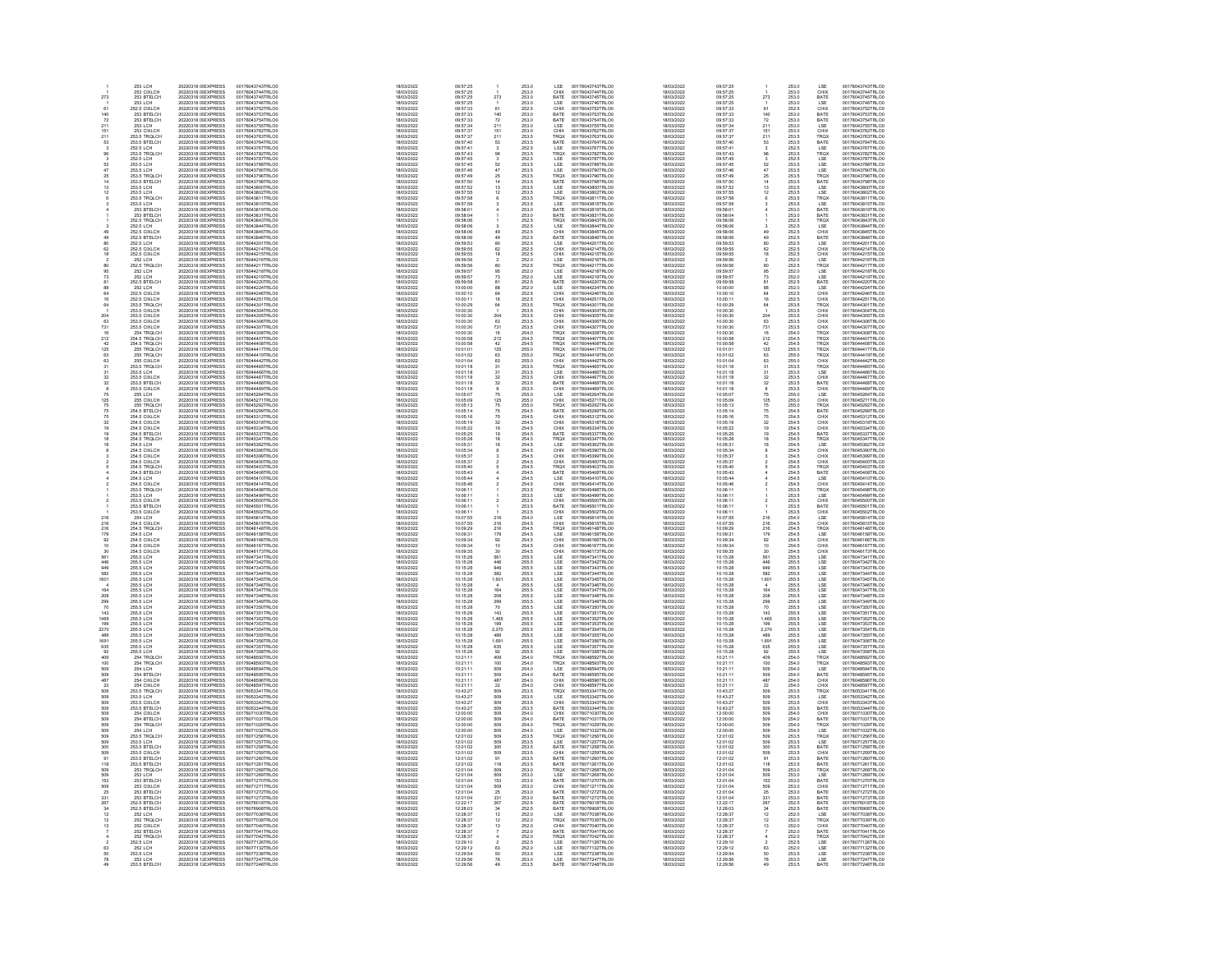|                  | 253 LCH                                                                                 | 20220318 0! EXPRESS                                                                                                                                                                  | 00178043743TRLO0                                                                                                     | 18/03/2022                                                         | 09:57:25                                                             |                                                | 253.0                                              | LSE<br>00178043743TRLO0                                                                                                                                            | 18/03/2022                                                         | 09:57:25                                                 |                                                               | 253.0                                              | LSE                                                                                   | 00178043743TRLO0                                                                                                     |
|------------------|-----------------------------------------------------------------------------------------|--------------------------------------------------------------------------------------------------------------------------------------------------------------------------------------|----------------------------------------------------------------------------------------------------------------------|--------------------------------------------------------------------|----------------------------------------------------------------------|------------------------------------------------|----------------------------------------------------|--------------------------------------------------------------------------------------------------------------------------------------------------------------------|--------------------------------------------------------------------|----------------------------------------------------------|---------------------------------------------------------------|----------------------------------------------------|---------------------------------------------------------------------------------------|----------------------------------------------------------------------------------------------------------------------|
|                  | 253 CIXLCH<br>253 BTELCH                                                                | 20220318 0! EXPRESS<br>20220318 0! EXPRESS                                                                                                                                           | 00178043744TRLO0                                                                                                     | 18/03/2022                                                         | 09:57:25<br>09:57:25                                                 |                                                | 253.0                                              | 00178043744TRLO0<br>00178043745TRLO0<br>CHIX                                                                                                                       | 18/03/2022                                                         | 09:57:25                                                 |                                                               | 253.0                                              | CHIX                                                                                  | 00178043744TRLO0<br>00178043745TRLO0                                                                                 |
| 273              |                                                                                         |                                                                                                                                                                                      | 00178043745TRLO0                                                                                                     | 18/03/2022                                                         |                                                                      | 273                                            | 253.0                                              | BATE                                                                                                                                                               | 18/03/2022                                                         | 09:57:25                                                 | 273                                                           | 253.0                                              | BATE                                                                                  |                                                                                                                      |
|                  | 253 LCH<br>252.5 CIXLCH                                                                 | 20220318 OF EXPRESS<br>20220318 0LEXPRESS                                                                                                                                            | 00178043746TRLO0<br>00178043752TRLO0                                                                                 | <b>RIDAVODOS</b><br>8/03/2022                                      | 09:57:25                                                             |                                                | 253.0<br>252.5                                     | LSE<br>CHIX<br>001780437451RLO0<br>00178043746TRLO0<br>00178043752TRLO0<br>00178043754TRLO0<br>00178043755TRLO0                                                    | 18/03/2022<br>803/2022                                             | 09:57:25<br>09:57:33                                     | Ŕ1                                                            | 253.0<br>252.5                                     | LSE<br>CHIX<br>BATE<br>BATE<br>CHIX<br>DATE<br>LSE<br>LSE<br>LSE<br>LSE<br>LSE<br>LSE | 00178043746TRLO0<br>00178043752TRLOC                                                                                 |
|                  |                                                                                         |                                                                                                                                                                                      |                                                                                                                      |                                                                    |                                                                      |                                                |                                                    |                                                                                                                                                                    |                                                                    |                                                          |                                                               |                                                    |                                                                                       |                                                                                                                      |
|                  | 253 BTELCH                                                                              | 20220318 01 EXPRESS<br>20220318 01 EXPRESS<br>20220318 01 EXPRESS                                                                                                                    | 00178043753TRLO0<br>00178043753TRLO0<br>00178043755TRLO0                                                             | 8/03/2022                                                          | 09:57:33<br>09:57:33<br>09:57:34                                     | 140<br>72<br>211<br>151<br>211                 | 253.0                                              |                                                                                                                                                                    | 18/03/2022                                                         | 09:57:33                                                 |                                                               | 253.0                                              |                                                                                       | 00178043753TRLO0<br>00178043753TRLO0<br>00178043754TRLO0                                                             |
| 211              | 253 BTELCH<br>253 LCH                                                                   |                                                                                                                                                                                      |                                                                                                                      | 18/03/2022<br>18/03/2022                                           |                                                                      |                                                | 253.0<br>253.0                                     | BATE<br>LSE                                                                                                                                                        | 18/03/2022<br>18/03/2022                                           | 09:57:33<br>09:57:34                                     | $\frac{72}{211}$                                              | 253.0<br>253.0                                     |                                                                                       |                                                                                                                      |
| 151              | 253 CIXLCH<br>253.5 TRQLCH                                                              |                                                                                                                                                                                      |                                                                                                                      | 18/03/2022                                                         | 09:57:37                                                             |                                                |                                                    |                                                                                                                                                                    | 18/03/2022                                                         | 09:57:37                                                 |                                                               |                                                    |                                                                                       | 00178043762TRLO0                                                                                                     |
| 211              |                                                                                         | 20220318 0! EXPRESS<br>20220318 0! EXPRESS                                                                                                                                           | 00178043762TRLO0<br>00178043763TRLO0                                                                                 | 18/03/2022                                                         | 09:57:37                                                             |                                                | 253.0<br>253.5                                     | CHIX<br>TRQX<br>00178043762TRLO0<br>00178043763TRLO0                                                                                                               | 18/03/2022                                                         | 09:57:37                                                 | $\frac{151}{211}$                                             | 253.0<br>253.5                                     |                                                                                       | 00178043763TRLOO                                                                                                     |
| 63               | 253.5 BTELCH                                                                            | 20220318 0! EXPRESS                                                                                                                                                                  | 00178043764TRLO0                                                                                                     | 18/03/2022                                                         | 09:57:40                                                             | 53                                             | 253.5                                              | BATE<br>00178043764TRLO0                                                                                                                                           | 18/03/2022                                                         | 09:57:40                                                 | 53                                                            | 253.5                                              |                                                                                       | 00178043764TRLO0                                                                                                     |
|                  | 252.5 LCH<br>253.5 TROLCH                                                               | 20220318 0! EXPRESS<br>20220318 0! EXPRESS                                                                                                                                           | 001780437641RLO0<br>00178043767TRLO0<br>00178043782TRLO0<br>00178043783TRLO0<br>00178043788TRLO0<br>00178043790TRLO0 | 18/03/2022<br>18/03/2022                                           | 09:57:41<br>09:57:43                                                 |                                                | 253.5<br>252.5<br>253.5<br>253.5<br>253.5          | LSE<br>TRQX<br>001780437641RLO0<br>00178043767TRLO0<br>00178043782TRLO0<br>00178043783TRLO0<br>00178043788TRLO0<br>00178043790TRLO0                                | 18/03/2022<br>18/03/2022                                           | 09:57:41<br>09:57:43                                     |                                                               | 253.5<br>252.5<br>253.5<br>253.5<br>253.5          |                                                                                       | 001780437641RLO0<br>00178043767TRLO0<br>00178043782TRLO0<br>00178043787TRLO0<br>00178043788TRLO0                     |
|                  |                                                                                         |                                                                                                                                                                                      |                                                                                                                      |                                                                    |                                                                      | 38830247                                       |                                                    |                                                                                                                                                                    |                                                                    |                                                          | $363$<br>$32$<br>$47$                                         |                                                    |                                                                                       |                                                                                                                      |
|                  | 252.5 LCH<br>252.5 LCH<br>253.5 LCH                                                     | 20220318 01 EXPRESS<br>20220318 01 EXPRESS<br>20220318 01 EXPRESS                                                                                                                    |                                                                                                                      | 18/03/2022<br>18/03/2022                                           | 09:57:45<br>09:57:45                                                 |                                                |                                                    | LSE<br>LSE<br>LSE                                                                                                                                                  | 18/03/2022<br>18/03/2022<br>18/03/2022                             |                                                          |                                                               |                                                    |                                                                                       |                                                                                                                      |
|                  |                                                                                         |                                                                                                                                                                                      |                                                                                                                      |                                                                    |                                                                      |                                                |                                                    |                                                                                                                                                                    |                                                                    |                                                          |                                                               |                                                    |                                                                                       |                                                                                                                      |
|                  | 253.5 LCH                                                                               |                                                                                                                                                                                      |                                                                                                                      | 18/03/2022                                                         | 09:57:46                                                             |                                                |                                                    |                                                                                                                                                                    | 18/03/2022                                                         | 09:57:46                                                 |                                                               |                                                    |                                                                                       |                                                                                                                      |
|                  | 253.5 TROLCH<br>253.5 BTELCH                                                            | 20220318 0! EXPRESS<br>20220318 0! EXPRESS                                                                                                                                           | 00178043796TRLO0<br>00178043798TRLO0                                                                                 | 18/03/2022                                                         | 09:57:49                                                             | $^{25}_{14}$                                   | 253.5<br>253.5                                     | TRQX<br>BATE<br>00178043796TRLO0<br>00178043798TRLO0                                                                                                               | 18/03/2022                                                         | 09:57:49                                                 | $\frac{25}{14}$                                               | 253.5<br>253.5                                     | TRQX<br>BATE                                                                          | 00178043796TRLO0<br>00178043798TRLO0                                                                                 |
|                  | 253.5 LCH                                                                               | 20220318 OLEXPRESS                                                                                                                                                                   | 00178043800TRLO0                                                                                                     | 18/03/2022<br>18/03/2022                                           | 09:57:50<br>09:57:52                                                 |                                                |                                                    | 00178043800TRLO0                                                                                                                                                   | 18/03/2022<br>18/03/2022                                           | 09:57:50<br>09:57:52                                     |                                                               |                                                    |                                                                                       | 00178043800TRLO0                                                                                                     |
|                  | 253.5 LCH                                                                               | 20220318 0LEXPRESS                                                                                                                                                                   | 00178043802TRLO0                                                                                                     | 18/03/2022                                                         | 09:57:55                                                             | $\frac{13}{12}$                                | 253.5<br>253.5                                     | LSE<br>LSE<br>00178043802TRLO0                                                                                                                                     | 18/03/2022                                                         | 09:57:55                                                 | $13$<br>$12$                                                  | 253.5<br>253.5                                     |                                                                                       | 00178043802TRLOO                                                                                                     |
|                  |                                                                                         |                                                                                                                                                                                      |                                                                                                                      |                                                                    |                                                                      |                                                |                                                    |                                                                                                                                                                    |                                                                    |                                                          |                                                               |                                                    |                                                                                       |                                                                                                                      |
|                  |                                                                                         |                                                                                                                                                                                      |                                                                                                                      | 18/03/2022<br>18/03/2022<br>18/03/2022                             | 09:57:58<br>09:57:58<br>09:57:59<br>09:58:01                         |                                                | 253.5<br>253.5<br>253.5                            | TROX<br>LSE<br>BATE                                                                                                                                                | 18/03/2022<br>18/03/2022<br>18/03/2022                             | 09:57:58<br>09:57:58<br>09:57:59<br>09:58:01             |                                                               | 253.5<br>253.5<br>253.5                            |                                                                                       |                                                                                                                      |
|                  |                                                                                         |                                                                                                                                                                                      |                                                                                                                      |                                                                    |                                                                      |                                                |                                                    |                                                                                                                                                                    |                                                                    |                                                          |                                                               |                                                    |                                                                                       |                                                                                                                      |
|                  | 253.5 LCH<br>253.5 TRQLCH<br>253.5 LCH<br>253 BTELCH<br>252.5 TRQLCH<br>252.5 TRQLCH    | 20220318 01 EXPRESS<br>20220318 01 EXPRESS<br>20220318 01 EXPRESS<br>20220318 01 EXPRESS<br>20220318 01 EXPRESS<br>20220318 01 EXPRESS                                               | 001780438021RLO0<br>00178043811TRLO0<br>00178043815TRLO0<br>00178043819TRLO0<br>00178043831TRLO0<br>00178043843TRLO0 | 18/03/2022                                                         | 09:58:04                                                             |                                                |                                                    | 001780438021RLO0<br>00178043811TRLO0<br>00178043815TRLO0<br>00178043819TRLO0<br>00178043831TRLO0<br>00178043843TRLO0                                               | 18/03/2022                                                         | 09:58:04                                                 |                                                               | 253.0                                              | LSE<br>LSE<br>TROX<br>LSE<br>BATE<br>TROX<br>LSE                                      | 00178043802TRLO0<br>00178043811TRLO0<br>00178043815TRLO0<br>00178043819TRLO0<br>00178043831TRLO0                     |
|                  |                                                                                         |                                                                                                                                                                                      |                                                                                                                      | 18/03/2022                                                         | 09:58:06                                                             |                                                | 253.0<br>252.5                                     | BATE<br>TRQX                                                                                                                                                       | 18/03/2022                                                         | 09:58:06                                                 |                                                               | 252.5                                              |                                                                                       |                                                                                                                      |
|                  | 252.5 LCH                                                                               | 20220318 0! EXPRESS                                                                                                                                                                  | 00178043844TRLO0                                                                                                     | 18/03/2022                                                         | 09:58:06                                                             |                                                | 252.5                                              | LSE<br>00178043844TRLO0                                                                                                                                            | 18/03/2022                                                         | 09:58:06                                                 |                                                               | 252.5                                              |                                                                                       | 00178043844TRLO0                                                                                                     |
|                  | 252.5 CIXLCH<br>252.5 BTELCH                                                            | 20220318 0! EXPRESS<br>20220318 0! EXPRESS                                                                                                                                           | 00178043845TRLO0<br>00178043846TRLO0                                                                                 | 18/03/2022                                                         | 09:58:06<br>09:58:06                                                 | $\frac{49}{49}$                                | 252.5<br>252.5                                     | CHIX<br>BATE<br>00178043845TRLO0<br>00178043846TRLO0                                                                                                               | 18/03/2022<br>18/03/2022                                           | 09:58:06                                                 | $\frac{49}{49}$                                               | 252.5<br>252.5                                     | CHIX<br>BATE<br>LSE<br>CHIX<br>CHIX<br>LSE<br>LSE<br>LSE<br>LSE                       | 00178043845TRLO0<br>00178043846TRLO0                                                                                 |
|                  |                                                                                         |                                                                                                                                                                                      |                                                                                                                      | 18/03/2022                                                         |                                                                      |                                                |                                                    |                                                                                                                                                                    |                                                                    | 09:58:06                                                 |                                                               |                                                    |                                                                                       |                                                                                                                      |
|                  | 252.5 BTELCH<br>252.5 CIXLCH<br>252.5 CIXLCH                                            | 20220318 01 EXPRESS<br>20220318 01 EXPRESS<br>20220318 01 EXPRESS<br>20220318 01 EXPRESS<br>20220318 01 EXPRESS                                                                      | 001780438461RLOD<br>00178044201TRLOD<br>00178044215TRLOD                                                             | 18/03/2022<br>18/03/2022<br>18/03/2022                             | 09:59:53<br>09:59:53<br>09:59:55<br>09:59:55                         | $\frac{80}{62}$<br>18                          | 252.5<br>252.5<br>252.5<br>252.6<br>252.6          | ESE<br>CHIX<br>CHIX<br>CHIX<br>LSE<br>TRQX<br>00178044201TRLO0<br>00178044214TRLO0<br>00178044215TRLO0                                                             | 18/03/2022<br>18/03/2022<br>18/03/2022                             | 09:59:53                                                 | 80<br>62<br>18                                                | 252.5<br>252.5<br>252.5                            |                                                                                       | 001780438461RE00<br>00178044201TRLO0<br>00178044215TRLO0                                                             |
|                  |                                                                                         |                                                                                                                                                                                      |                                                                                                                      |                                                                    |                                                                      |                                                |                                                    |                                                                                                                                                                    |                                                                    |                                                          |                                                               |                                                    |                                                                                       |                                                                                                                      |
|                  |                                                                                         |                                                                                                                                                                                      |                                                                                                                      | 18/03/2022                                                         | 09:59:56                                                             |                                                |                                                    |                                                                                                                                                                    | 18/03/2022                                                         | 09:59:55<br>09:59:56                                     |                                                               |                                                    |                                                                                       |                                                                                                                      |
|                  | 252 LCH<br>252.5 TRQLCH                                                                 |                                                                                                                                                                                      | 00178044216TRLO0<br>00178044217TRLO0                                                                                 | 18/03/2022                                                         | 09:59:56                                                             | $\frac{2}{80}$                                 |                                                    | 00178044216TRLO0<br>00178044217TRLO0                                                                                                                               | 18/03/2022                                                         | 09:59:56                                                 | 80                                                            | 252.0<br>252.5                                     |                                                                                       | 00178044216TRLO0<br>00178044217TRLO0                                                                                 |
|                  |                                                                                         |                                                                                                                                                                                      | 00178044218TRLO0                                                                                                     | 18/03/2022                                                         | 09:59:57                                                             |                                                |                                                    | 00178044218TRLO0                                                                                                                                                   | 18/03/2022                                                         | 09:59:57                                                 |                                                               |                                                    |                                                                                       | 00178044218TRLO0                                                                                                     |
|                  | 252 LCH<br>252 LCH                                                                      | 20220318 0! EXPRESS<br>20220318 0! EXPRESS                                                                                                                                           | 00178044219TRLO0                                                                                                     | 18/03/2022                                                         | 09:59:57                                                             | $\frac{95}{73}$                                | 252.0<br>252.0                                     | LSE<br>LSE<br>00178044219TRLO0                                                                                                                                     | 18/03/2022                                                         | 09:59:57                                                 | $\frac{95}{73}$                                               | 252.0<br>252.0                                     |                                                                                       | 00178044219TRLOD                                                                                                     |
|                  | 252.5 BTELCH                                                                            |                                                                                                                                                                                      | 00178044220TRLO0                                                                                                     | 18/03/2022                                                         | 09:59:58                                                             |                                                |                                                    |                                                                                                                                                                    | 18/03/2022                                                         | 09:59:58                                                 | 81                                                            |                                                    |                                                                                       | 00178044220TRLOO                                                                                                     |
|                  |                                                                                         |                                                                                                                                                                                      |                                                                                                                      |                                                                    |                                                                      |                                                |                                                    |                                                                                                                                                                    |                                                                    |                                                          |                                                               |                                                    |                                                                                       |                                                                                                                      |
|                  | 252.5 BTELCH<br>252.5 CIXLCH<br>252.5 CIXLCH<br>253.5 TRQLCH<br>253.5 TRQLCH            | 20220318 01 EXPRESS<br>20220318 01 EXPRESS<br>20220318 11 EXPRESS<br>20220318 11 EXPRESS<br>20220318 11 EXPRESS<br>20220318 11 EXPRESS<br>20220318 11 EXPRESS<br>20220318 11 EXPRESS | 001780442201RLO0<br>00178044224TRLO0<br>00178044246TRLO0<br>00178044301TRLO0<br>00178044301TRLO0                     | 18/03/2022<br>18/03/2022<br>18/03/2022                             | 10:00:00<br>10:00:00                                                 | 81 88 64 16 44 1                               | 252.5<br>252.5<br>252.5<br>252.5<br>253.5          | BATE<br>LSE<br>CHIX<br>CHIX<br>TRQX<br>001780442191RLO0<br>00178044220TRLO0<br>00178044224TRLO0<br>00178044261TRLO0<br>00178044301TRLO0                            | 18/03/2022<br>18/03/2022<br>18/03/2022<br>18/03/2022<br>18/03/2022 | 09.09.06<br>10:00:00<br>10:00:10                         | 88<br>64<br>64                                                | 252.0<br>252.5<br>252.6<br>252.5<br>253.5          | BATE<br>LSE<br>CHIX<br>CHIX<br>TRQX                                                   | 001780442201RLO0<br>00178044224TRLO0<br>00178044251TRLO0<br>00178044301TRLO0                                         |
|                  |                                                                                         |                                                                                                                                                                                      |                                                                                                                      |                                                                    | 10:00:11<br>10:00:29                                                 |                                                |                                                    |                                                                                                                                                                    |                                                                    | 10:00:11<br>10:00:29                                     |                                                               |                                                    |                                                                                       |                                                                                                                      |
|                  |                                                                                         |                                                                                                                                                                                      |                                                                                                                      | 18/03/2022                                                         |                                                                      |                                                |                                                    |                                                                                                                                                                    |                                                                    |                                                          |                                                               |                                                    |                                                                                       |                                                                                                                      |
|                  | 253.5 CIXLCH<br>253.5 CIXLCH                                                            |                                                                                                                                                                                      | 00178044304TRLO0<br>00178044305TRLO0                                                                                 | 18/03/2022<br>18/03/2022                                           | 10:00:30<br>10:00:30                                                 |                                                | 253.5                                              | 00178044304TRLO0<br>CHIX                                                                                                                                           | 18/03/2022<br>18/03/2022                                           | 10:00:30<br>10:00:30                                     | 204                                                           | 253.5                                              |                                                                                       | 00178044304TRLO0<br>00178044305TRLO0                                                                                 |
| 204<br>63        | 253.5 CIXLCH                                                                            | 20220318 1(EXPRESS<br>20220318 1(EXPRESS                                                                                                                                             | 00178044306TRLO0                                                                                                     | 18/03/2022                                                         | 10:00:30                                                             |                                                | 253.5<br>253.5                                     | CHIX<br>CHIX<br>00178044305TRLO0<br>00178044306TRLO0                                                                                                               | 18/03/2022                                                         | 10:00:30                                                 | 63                                                            | 253.5<br>253.5                                     | CHIX<br>CHIX                                                                          | 00178044306TRLO0                                                                                                     |
|                  |                                                                                         |                                                                                                                                                                                      |                                                                                                                      |                                                                    |                                                                      |                                                |                                                    |                                                                                                                                                                    |                                                                    |                                                          |                                                               |                                                    |                                                                                       |                                                                                                                      |
| $\frac{731}{16}$ | 253.5 CIXLCH<br>254 TROLCH                                                              | 20220318 1(EXPRESS<br>20220318 1(EXPRESS                                                                                                                                             |                                                                                                                      | 18/03/2022<br>18/03/2022                                           | 10:00:30<br>10:00:30                                                 |                                                |                                                    | 00178044307TRLO0<br>00178044308TRLO0                                                                                                                               | 18/03/2022<br>18/03/2022                                           | 10:00:30<br>10:00:30                                     | $731$<br>$16$                                                 |                                                    |                                                                                       |                                                                                                                      |
|                  |                                                                                         |                                                                                                                                                                                      |                                                                                                                      | 18/03/2022                                                         | 10:00:58                                                             |                                                |                                                    |                                                                                                                                                                    | 18/03/2022                                                         | 10:00:58                                                 | 212                                                           |                                                    |                                                                                       |                                                                                                                      |
|                  | 254.5 TROLCH<br>254.5 TROLCH<br>255 TROLCH                                              | 20220318 11 EXPRESS<br>20220318 11 EXPRESS<br>20220318 11 EXPRESS                                                                                                                    | 001780443061RLO0<br>00178044307TRLO0<br>00178044407TRLO0<br>00178044408TRLO0<br>00178044417TRLO0                     | 18/03/2022                                                         |                                                                      |                                                | 253.5<br>253.5<br>254.0<br>254.5<br>254.5<br>255.0 | CHIX<br>TRQX<br>TRQX<br>TRQX<br>TRQX<br>00178044407TRLO0<br>00178044408TRLO0<br>00178044417TRLO0                                                                   |                                                                    | 10:00:58                                                 |                                                               | 253.5<br>253.5<br>254.0<br>254.5<br>254.5<br>255.0 | CHIX<br>TROX<br>TROX<br>TROX<br>TROX<br>TROX<br>CHIX                                  | 001780443061RLO0<br>00178044307TRLO0<br>00178044407TRLO0<br>00178044408TRLO0<br>00178044417TRLO0                     |
|                  |                                                                                         |                                                                                                                                                                                      |                                                                                                                      | 18/03/2022                                                         | 10:00:58<br>10:01:01                                                 |                                                |                                                    |                                                                                                                                                                    | 18/03/2022<br>18/03/2022                                           | 10:01:01                                                 | $\frac{42}{125}$                                              |                                                    |                                                                                       |                                                                                                                      |
| $rac{63}{63}$    | 255 TRQLCH<br>255 CIXLCH                                                                | 20220318 1(EXPRESS<br>20220318 1(EXPRESS                                                                                                                                             | 00178044419TRLO0<br>00178044442TRLO0                                                                                 | 18/03/2022                                                         | 10:01:02                                                             |                                                | 255.0<br>255.0                                     | TRQX<br>CHIX<br>00178044419TRLO0                                                                                                                                   | 18/03/2022                                                         | 10:01:02                                                 | $\substack{63 \\ 63}$                                         | 255.0<br>255.0                                     |                                                                                       | 00178044419TRLO0<br>00178044442TRLO0                                                                                 |
|                  |                                                                                         |                                                                                                                                                                                      |                                                                                                                      | 18/03/2022                                                         | 10:01:04                                                             | 204 63 73 16 212 42 125 63 63 31 31 32 32 8 75 |                                                    | 00178044442TRLO0                                                                                                                                                   | 18/03/2022                                                         | 10:01:04                                                 |                                                               |                                                    |                                                                                       |                                                                                                                      |
|                  | 253.5 TROLCH                                                                            | 20220318 1(EXPRESS                                                                                                                                                                   | 00178044465TRLO0                                                                                                     | 18/03/2022                                                         | 10:01:18                                                             |                                                | 253.5                                              | TROX<br>00178044465TRLO0                                                                                                                                           | 18/03/2022                                                         | 10:01:18                                                 | 31                                                            | 253.5                                              | TROX                                                                                  | 00178044465TRLO0                                                                                                     |
|                  | 253.5 TRULCH<br>253.5 CIXLCH<br>253.5 CIXLCH<br>253.5 BTELCH<br>253.5 CIXLCH<br>255 LCH | 20220318 11 EXPRESS<br>20220318 11 EXPRESS<br>20220318 11 EXPRESS<br>20220318 11 EXPRESS<br>20220318 11 EXPRESS<br>20220318 11 EXPRESS                                               | 00178044465TRLO0<br>00178044466TRLO0<br>00178044467TRLO0<br>00178044468TRLO0<br>00178044469TRLO0<br>00178045264TRLO0 | 18/03/2022<br>18/03/2022<br>18/03/2022<br>18/03/2022               | 10:01:18<br>10:01:18<br>10:01:18<br>10:01:18                         |                                                | 253.5<br>253.5<br>253.5<br>253.5<br>253.5<br>255.0 | INUX<br>LSE<br>CHIX<br>BATE<br>CHIX<br>LSE<br>001780444651RLO0<br>00178044465TRLO0<br>00178044467TRLO0<br>00178044468TRLO0<br>00178044469TRLO0<br>00178045264TRLO0 | 18/03/2022<br>18/03/2022<br>18/03/2022<br>18/03/2022<br>18/03/2022 | 10:01:18<br>10:01:18<br>10:01:18<br>10:01:18             | $\frac{31}{32}$                                               | 253.5<br>253.5<br>253.5<br>253.5                   | ESE<br>CHIX<br>BATE<br>CHIX<br>LSE                                                    | 00178044485TRLO0<br>00178044485TRLO0<br>00178044485TRLO0<br>00178044485TRLO0<br>00178044485TRLO0                     |
|                  |                                                                                         |                                                                                                                                                                                      |                                                                                                                      |                                                                    |                                                                      |                                                |                                                    |                                                                                                                                                                    |                                                                    |                                                          |                                                               |                                                    |                                                                                       |                                                                                                                      |
|                  |                                                                                         |                                                                                                                                                                                      |                                                                                                                      |                                                                    |                                                                      |                                                |                                                    |                                                                                                                                                                    |                                                                    |                                                          | $\frac{32}{8}$                                                |                                                    |                                                                                       |                                                                                                                      |
|                  |                                                                                         |                                                                                                                                                                                      |                                                                                                                      | 18/03/2022                                                         | 10:05:07                                                             |                                                |                                                    |                                                                                                                                                                    |                                                                    | 10:05:07                                                 | 75                                                            | 255.0                                              |                                                                                       |                                                                                                                      |
|                  |                                                                                         |                                                                                                                                                                                      |                                                                                                                      | 18/03/2022                                                         | 10:05:09                                                             |                                                |                                                    |                                                                                                                                                                    | 18/03/2022                                                         | 10:05:09                                                 |                                                               |                                                    |                                                                                       |                                                                                                                      |
| 125<br>75        | 255 CIXLCH<br>255 TRQLCH                                                                | 20220318 1(EXPRESS<br>20220318 1(EXPRESS                                                                                                                                             | 00178045271TRLO0<br>00178045292TRLO0                                                                                 | 18/03/2022                                                         | 10:05:13                                                             |                                                | 255.0<br>255.0                                     | CHIX<br>TRQX<br>00178045271TRLO0<br>00178045292TRLO0                                                                                                               | 18/03/2022                                                         | 10:05:13                                                 | 125<br>75                                                     | 255.0<br>255.0                                     | CHIX<br>TRQX                                                                          | 00178045271TRLO0<br>00178045292TRLO0                                                                                 |
|                  | 254 S RTFLCH                                                                            | 20220318 1(EXPRESS)                                                                                                                                                                  | 00178045299TRLO0<br>00178045312TRLO0                                                                                 | 18/03/2022                                                         | 10:05:14                                                             |                                                | 254.5<br>254.5                                     | BATE<br>CHIX<br>00178045299TRLO0<br>00178045312TRLO0                                                                                                               | 18/03/2022<br>18/03/2022                                           | 10:05:14                                                 | 75/75                                                         | 254.5<br>254.5                                     |                                                                                       | 00178045299TRLOO<br>00178045312TRLOO                                                                                 |
|                  | 254.5 CIXI CH                                                                           | 20220318 1(EXPRESS)                                                                                                                                                                  |                                                                                                                      | 18/03/2022                                                         |                                                                      |                                                |                                                    |                                                                                                                                                                    |                                                                    | 10:05:18                                                 |                                                               |                                                    |                                                                                       |                                                                                                                      |
|                  |                                                                                         |                                                                                                                                                                                      |                                                                                                                      |                                                                    |                                                                      |                                                |                                                    |                                                                                                                                                                    |                                                                    | 10:05:19                                                 |                                                               |                                                    |                                                                                       |                                                                                                                      |
|                  | 254.5 CIXLCH<br>254.5 CIXLCH<br>254.5 BTELCH                                            |                                                                                                                                                                                      | 00178045318TRLOO<br>00178045334TRLOO<br>00178045337TRLOO                                                             | 18/03/2022<br>18/03/2022<br>18/03/2022                             | 10:05:19<br>10:05:22<br>10:05:25                                     |                                                |                                                    | 00178045318TRLOO<br>00178045334TRLOO<br>00178045337TRLOO                                                                                                           | 18/03/2022<br>18/03/2022<br>18/03/2022                             | 10:05:22<br>10:05:25                                     | 32<br>19<br>19                                                |                                                    |                                                                                       | 00178045318TRLO0<br>00178045334TRLO0<br>00178045337TRLO0                                                             |
|                  |                                                                                         |                                                                                                                                                                                      |                                                                                                                      | 18/03/2022                                                         | 10:05:28                                                             |                                                |                                                    |                                                                                                                                                                    | 18/03/2022                                                         | 10:05:28                                                 |                                                               |                                                    |                                                                                       |                                                                                                                      |
|                  | 254.5 TROLCH<br>254.5 LCH                                                               | 20220318 11 EXPRESS<br>20220318 11 EXPRESS<br>20220318 11 EXPRESS<br>20220318 11 EXPRESS<br>20220318 11 EXPRESS<br>20220318 11 EXPRESS                                               | 00178045347TRLO0<br>00178045362TRLO0                                                                                 | 18/03/2022                                                         | 10:05:31                                                             | 125 75 75 75 32 19 18 18                       | 254.5<br>254.5<br>254.5<br>254.5<br>254.5<br>254.5 | CHIX<br>CHIX<br>BATE<br>TRQX<br>LSE<br>00178045347TRLO0<br>00178045362TRLO0                                                                                        | 18/03/2022                                                         | 10:05:31                                                 | $\frac{18}{18}$                                               | 254.5<br>254.5<br>254.5<br>254.5<br>254.5<br>254.5 | RUX<br>BATE<br>CHIX<br>CHIX<br>CHIX<br>BATE<br>TRQX<br>LSE                            | 00178045347TRLO0<br>00178045362TRLO0                                                                                 |
|                  | 254.5 CIXLCH                                                                            | 20220318 1(EXPRESS                                                                                                                                                                   | 00178045390TRLO0                                                                                                     | 18/03/2022                                                         | 10:05:34                                                             |                                                | 254.5                                              | CHIX<br>00178045390TRLO0                                                                                                                                           | 18/03/2022                                                         | 10:05:34                                                 |                                                               | 254.5                                              | CHIX                                                                                  | 00178045390TRLO0                                                                                                     |
|                  | 254.5 CIXLCH<br>254.5 CIXLCH<br>254.5 CIXLCH<br>254.5 BTELCH<br>254.5 LCH<br>254.5 LCH  | 20220318 1(EXPRESS                                                                                                                                                                   | 00178045399TRLO0<br>00178045400TRLO0                                                                                 | 18/03/2022                                                         | 10:05:37                                                             |                                                | 254.5<br>254.5                                     | CHIX<br>CHIX<br>00178045399TRLO0<br>00178045400TRLO0                                                                                                               | 18/03/2022                                                         | 10:05:37                                                 |                                                               | 254.5<br>254.5                                     |                                                                                       | 00178045399TRLOO<br>00178045400TRLOO                                                                                 |
|                  |                                                                                         | 20220318 1(EXPRESS)                                                                                                                                                                  |                                                                                                                      | 18/03/2022                                                         | $10-05-37$                                                           |                                                |                                                    |                                                                                                                                                                    | 18/03/2022                                                         | 10:05:37                                                 |                                                               |                                                    |                                                                                       |                                                                                                                      |
|                  |                                                                                         |                                                                                                                                                                                      |                                                                                                                      |                                                                    |                                                                      |                                                |                                                    |                                                                                                                                                                    |                                                                    |                                                          |                                                               |                                                    |                                                                                       |                                                                                                                      |
|                  |                                                                                         |                                                                                                                                                                                      | 001780454001RLC0<br>00178045408TRLO0<br>00178045410TRLO0                                                             | 18/03/2022<br>18/03/2022<br>18/03/2022                             | 10:05:40<br>10:05:43<br>10:05:44                                     |                                                | 254.5<br>254.5<br>254.5                            | TROX<br>BATE<br>LSE<br>001780454001RE00<br>00178045403TRLO0<br>00178045410TRLO0                                                                                    | 18/03/2022<br>18/03/2022<br>18/03/2022                             | 10:05:40<br>10:05:43<br>10:05:44                         |                                                               | 254.5<br>254.5<br>254.5                            |                                                                                       | 001780454001RE00<br>00178045403TRLO0<br>00178045410TRLO0                                                             |
|                  |                                                                                         |                                                                                                                                                                                      |                                                                                                                      | 18/03/2022                                                         |                                                                      |                                                |                                                    |                                                                                                                                                                    |                                                                    | 10:05:46                                                 |                                                               |                                                    |                                                                                       |                                                                                                                      |
|                  | 254.5 CIXLCH<br>253.5 TRQLCH                                                            | 20220318 11 EXPRESS<br>20220318 11 EXPRESS<br>20220318 11 EXPRESS<br>20220318 11 EXPRESS<br>20220318 11 EXPRESS<br>20220318 11 EXPRESS                                               | 00178045414TRLO0<br>00178045498TRLO0                                                                                 | 18/03/2022                                                         | 10:05:46<br>10:06:11                                                 |                                                | 254.5<br>253.5                                     | CHIX<br>TRQX<br>00178045414TRLO0<br>00178045498TRLO0                                                                                                               | 18/03/2022<br>18/03/2022                                           | 10:06:11                                                 |                                                               | 254.5<br>253.5                                     |                                                                                       | 00178045414TRLO0<br>00178045498TRLO0                                                                                 |
|                  | 253.5 LCH                                                                               |                                                                                                                                                                                      | 00178045499TRLO0                                                                                                     | 18/03/2022                                                         | 10:06:11                                                             |                                                | 253.5                                              | LSE<br>00178045499TRLO0                                                                                                                                            | 18/03/2022                                                         | 10:06:11                                                 |                                                               | 253.5                                              | CHIX<br>CHIX<br>TRQX<br>BATE<br>LSE<br>CHIX<br>TRQX<br>LSE<br>CHIX                    | 00178045499TRLO0                                                                                                     |
|                  | 253.5 CIXLCH                                                                            | 20220318 1(EXPRESS<br>20220318 1(EXPRESS                                                                                                                                             | 00178045500TRLO0                                                                                                     | 18/03/2022                                                         | 10:06:11                                                             |                                                | 253.5                                              | CHIX<br>00178045500TRLO0                                                                                                                                           | 18/03/2022                                                         | 10:06:11                                                 |                                                               | 253.5                                              |                                                                                       | 00178045500TRLO0                                                                                                     |
|                  | 253.5 BTELCH                                                                            | 20220318 1(EXPRESS                                                                                                                                                                   | 00178045501TRLO0                                                                                                     | 18/03/2022                                                         | 10:06:11                                                             |                                                | 253.5<br>253.5<br>253.5<br>254.0<br>254.5<br>254.5 | BATE<br>CHIX<br>LSE<br>CHIX<br>TRQX<br>00178045501TRLO0<br>00178045502TRLO0<br>00178045814TRLO0<br>00178045815TRLO0<br>00178046148TRLO0                            | 18/03/2022                                                         | 10:06:11                                                 |                                                               | 253.5<br>253.5<br>253.5<br>254.0<br>254.5<br>254.5 | BATE<br>CHIX<br>LSE<br>CHIX<br>TRQX<br>LSE                                            | 001780455001RLO0<br>00178045501TRLO0<br>00178045502TRLO0<br>00178045815TRLO0<br>00178046148TRLO0<br>00178046148TRLO0 |
|                  | 253.5 BTELCH<br>253.5 CIXLCH<br>254.5 CIXLCH<br>254.5 TRQLCH<br>254.5 TRQLCH            | 20220318 11 EXPRESS<br>20220318 11 EXPRESS<br>20220318 11 EXPRESS<br>20220318 11 EXPRESS<br>20220318 11 EXPRESS<br>20220318 11 EXPRESS                                               | 00178045502TRLO0<br>00178045814TRLO0<br>00178045815TRLO0<br>00178046148TRLO0                                         | 18/03/2022                                                         | 10:06:11<br>10:06:11<br>10:07:55                                     |                                                |                                                    |                                                                                                                                                                    | 18/03/2022<br>18/03/2022<br>18/03/2022                             |                                                          |                                                               |                                                    |                                                                                       |                                                                                                                      |
|                  |                                                                                         |                                                                                                                                                                                      |                                                                                                                      |                                                                    |                                                                      |                                                |                                                    |                                                                                                                                                                    |                                                                    |                                                          | 216                                                           |                                                    |                                                                                       |                                                                                                                      |
| 216<br>216       |                                                                                         |                                                                                                                                                                                      |                                                                                                                      | 18/03/2022<br>18/03/2022                                           | 10:07:55<br>10:09:29                                                 | 216<br>216<br>179                              |                                                    |                                                                                                                                                                    | 18/03/2022<br>18/03/2022                                           | 10:07:55<br>10:09:29                                     | $\frac{216}{216}$                                             |                                                    |                                                                                       |                                                                                                                      |
| 179              | 254.5 LCH                                                                               |                                                                                                                                                                                      | 00178046158TRLO0                                                                                                     | 18/03/2022                                                         | 10:09:31                                                             |                                                |                                                    | LSE<br>00178046158TRLO0                                                                                                                                            | 18/03/2022                                                         | 10:09:31                                                 | 179                                                           |                                                    |                                                                                       | 00178046158TRLO0                                                                                                     |
|                  | 254.5 CIXLCH                                                                            | 20220318 1(EXPRESS                                                                                                                                                                   | 00178046166TRLO0                                                                                                     | 18/03/2022                                                         | 10:09:34                                                             |                                                |                                                    | 00178046166TRLO0                                                                                                                                                   | 18/03/2022                                                         | 10:09:34                                                 |                                                               |                                                    |                                                                                       | 00178046166TRLO0                                                                                                     |
|                  | 254.5 CIXLCH                                                                            | 20220318 1(EXPRESS                                                                                                                                                                   | 00178046167TRLO0                                                                                                     | 18/03/2022                                                         | 10:09:34                                                             | $^{92}_{10}$                                   | 254.5<br>254.5                                     | CHIX<br>CHIX<br>00178046167TRLO0                                                                                                                                   | 18/03/2022                                                         | 10:09:34                                                 | $\frac{92}{10}$                                               | 254.5<br>254.5                                     | CHIX<br>CHIX                                                                          | 00178046167TRLOD                                                                                                     |
|                  | <b>254.5 CIXLCH</b><br>255.5 LCH                                                        |                                                                                                                                                                                      |                                                                                                                      |                                                                    |                                                                      |                                                |                                                    |                                                                                                                                                                    |                                                                    |                                                          |                                                               |                                                    |                                                                                       |                                                                                                                      |
|                  |                                                                                         |                                                                                                                                                                                      |                                                                                                                      |                                                                    |                                                                      |                                                |                                                    |                                                                                                                                                                    |                                                                    |                                                          |                                                               |                                                    |                                                                                       |                                                                                                                      |
|                  | 255.5 LCH                                                                               |                                                                                                                                                                                      |                                                                                                                      | 18/03/2022<br>18/03/2022<br>18/03/2022                             | 10:09:35<br>10:15:28<br>10:15:28                                     |                                                | 254.5<br>255.5<br>255.5                            | CHIX<br>LSE<br>LSE                                                                                                                                                 | 18/03/2022<br>18/03/2022<br>18/03/2022                             | 10:09:35<br>10:15:28<br>10:15:28                         |                                                               | 254.5<br>255.5<br>255.5                            |                                                                                       |                                                                                                                      |
| 949<br>582       | 255.5 LCH<br>255.5 LCH                                                                  |                                                                                                                                                                                      |                                                                                                                      | 18/03/2022                                                         | 10:15:28<br>10:15:28                                                 | 30<br>561<br>446<br>949<br>582                 | 255.5<br>255.5                                     | LSE<br>LSE                                                                                                                                                         | 18/03/2022<br>18/03/2022                                           | 10:15:28                                                 | $\begin{array}{r} 30 \\ 561 \\ 446 \\ 949 \\ 582 \end{array}$ | 255.5<br>255.5                                     |                                                                                       |                                                                                                                      |
|                  |                                                                                         | 20220318 11 EXPRESS<br>20220318 11 EXPRESS<br>20220318 11 EXPRESS<br>20220318 11 EXPRESS<br>20220318 11 EXPRESS<br>20220318 11 EXPRESS                                               | 001780461671RLO0<br>00178046173TRLO0<br>00178047341TRLO0<br>00178047342TRLO0<br>00178047343TRLO0<br>00178047344TRLO0 | 18/03/2022                                                         |                                                                      |                                                |                                                    | 001780461671RLO0<br>00178046173TRLO0<br>00178047341TRLO0<br>00178047342TRLO0<br>00178047343TRLO0<br>00178047344TRLO0                                               |                                                                    | 10:15:28                                                 |                                                               |                                                    |                                                                                       | 001780461671RLO0<br>00178046173TRLO0<br>00178047341TRLO0<br>00178047343TRLO0<br>00178047343TRLO0                     |
| 1601             | 255.5 LCH<br>255.5 LCH                                                                  | 20220318 1(EXPRESS<br>20220318 1(EXPRESS                                                                                                                                             | 00178047345TRLO0<br>00178047346TRLO0                                                                                 | 18/03/2022<br>18/03/2022                                           | 10:15:28<br>10:15:28                                                 | 1,601                                          | 255.5<br>255.5                                     | LSE<br>LSE<br>00178047345TRLO0<br>00178047346TRLO0                                                                                                                 | 18/03/2022<br>18/03/2022                                           | 10:15:28<br>10:15:28                                     | 1,601                                                         | 255.5<br>255.5                                     |                                                                                       | 00178047345TRLO0<br>00178047346TRLO0                                                                                 |
| 164              | 255.5 LCH                                                                               | 20220318 1(EXPRESS)                                                                                                                                                                  | 00178047347TRLO0                                                                                                     | 18/03/2022                                                         | 10:15:28                                                             | 164                                            | 255.5                                              | <b>ISE</b><br>00178047347TRLO0                                                                                                                                     | 18/03/2022                                                         | 10:15:28                                                 | 1R4                                                           | 255.5                                              |                                                                                       | 00178047347TRLO0                                                                                                     |
|                  |                                                                                         |                                                                                                                                                                                      |                                                                                                                      |                                                                    |                                                                      |                                                |                                                    |                                                                                                                                                                    |                                                                    |                                                          |                                                               |                                                    |                                                                                       |                                                                                                                      |
| 208<br>299       |                                                                                         |                                                                                                                                                                                      |                                                                                                                      |                                                                    |                                                                      |                                                |                                                    |                                                                                                                                                                    |                                                                    |                                                          |                                                               |                                                    |                                                                                       |                                                                                                                      |
|                  | 255.5 LCH<br>255.5 LCH<br>255.5 LCH<br>255.5 LCH<br>255.5 LCH<br>255.5 LCH              |                                                                                                                                                                                      |                                                                                                                      | 18/03/2022<br>18/03/2022<br>18/03/2022<br>18/03/2022<br>18/03/2022 | 10:15:28<br>10:15:28<br>10:15:28<br>10:15:28<br>10:15:28             |                                                |                                                    |                                                                                                                                                                    | 18/03/2022<br>18/03/2022<br>18/03/2022<br>18/03/2022<br>18/03/2022 | 10:15:28<br>10:15:28<br>10:15:28<br>10:15:28<br>10:15:28 | 208<br>208<br>299<br>70<br>143                                |                                                    |                                                                                       |                                                                                                                      |
|                  |                                                                                         |                                                                                                                                                                                      |                                                                                                                      |                                                                    |                                                                      |                                                |                                                    |                                                                                                                                                                    |                                                                    |                                                          |                                                               |                                                    |                                                                                       |                                                                                                                      |
| 1465             | 255.5 LCH                                                                               | 20220318 11 EXPRESS<br>20220318 11 EXPRESS<br>20220318 11 EXPRESS<br>20220318 11 EXPRESS<br>20220318 11 EXPRESS<br>20220318 11 EXPRESS                                               | 00178047347TRLO0<br>00178047348TRLO0<br>00178047349TRLO0<br>00178047350TRLO0<br>00178047351TRLO0<br>00178047352TRLO0 | 18/03/2022                                                         | 10:15:28                                                             | 104<br>208<br>299<br>70<br>143<br>1,465        | 255.5<br>255.5<br>255.5<br>255.5<br>255.5<br>255.5 | LSE<br>LSE<br>LSE<br>LSE<br>LSE<br>00178047347TRLO0<br>00178047348TRLO0<br>00178047349TRLO0<br>00178047350TRLO0<br>00178047351TRLO0<br>00178047352TRLO0            | 18/03/2022                                                         | 10:15:28                                                 | 1,465                                                         | 255.5<br>255.5<br>255.5<br>255.5<br>255.5<br>255.5 |                                                                                       | 00178047347TRLO0<br>00178047348TRLO0<br>00178047349TRLO0<br>00178047350TRLO0<br>00178047351TRLO0                     |
| 199<br>2270      | 255.5 LCH                                                                               | 20220318 1(EXPRESS<br>20220318 1(EXPRESS                                                                                                                                             | 00178047353TRLO0<br>00178047354TRLO0                                                                                 | 18/03/2022                                                         | 10:15:28                                                             | 199<br>2,270                                   | 255.5<br>255.5                                     | LSE<br>LSE<br>00178047353TRLO0<br>00178047354TRLO0                                                                                                                 | 18/03/2022                                                         | 10:15:28                                                 | 199<br>2,270                                                  | 255.5<br>255.5                                     |                                                                                       | 00178047353TRLO0<br>00178047354TRLO0                                                                                 |
| 489              | 255.5 LCH                                                                               | 20220318 1(EXPRESS                                                                                                                                                                   |                                                                                                                      | 18/03/2022<br>18/03/2022                                           | 10:15:28                                                             |                                                |                                                    |                                                                                                                                                                    | 18/03/2022<br>18/03/2022                                           | 10:15:28                                                 |                                                               |                                                    |                                                                                       |                                                                                                                      |
| i 691            | 255.5 LCH<br>255.5 LCH                                                                  | 20220318 1(EXPRESS)                                                                                                                                                                  | 00178047355TRLO0<br>00178047356TRLO0                                                                                 | 18/03/2022                                                         | 10:15:28<br>10:15:28                                                 |                                                | 255.5                                              | LSE<br>LSE<br>00178047355TRLO0<br>00178047356TRLO0                                                                                                                 | 18/03/2022                                                         | 10:15:28<br>10:15:28                                     |                                                               | 255.5<br>255.5                                     |                                                                                       | 00178047355TRLOO<br>00178047356TRLOO                                                                                 |
|                  |                                                                                         |                                                                                                                                                                                      |                                                                                                                      |                                                                    |                                                                      |                                                | 255.5<br>255.5<br>255.5                            | LSE<br>LSE<br>TRQX                                                                                                                                                 |                                                                    | 10:15:28<br>10:15:28<br>10:15:28                         |                                                               | 255.5<br>255.5<br>255.5                            |                                                                                       |                                                                                                                      |
|                  |                                                                                         |                                                                                                                                                                                      |                                                                                                                      |                                                                    |                                                                      |                                                |                                                    |                                                                                                                                                                    |                                                                    |                                                          |                                                               |                                                    |                                                                                       |                                                                                                                      |
|                  | 255.5 LCH<br>255.5 LCH<br>254 TROLCH<br>254 TROLCH<br>254 LCH                           | 20220318 11 EXPRESS<br>20220318 11 EXPRESS<br>20220318 11 EXPRESS<br>20220318 11 EXPRESS<br>20220318 11 EXPRESS<br>20220318 11 EXPRESS                                               | 00178047356TRLO0<br>00178047357TRLO0<br>00178047356TRLO0<br>00178048592TRLO0<br>00178048593TRLO0                     | 18/03/2022<br>18/03/2022<br>18/03/2022                             | 10:15:28<br>10:15:28<br>10:21:11                                     | 489<br>1,691<br>635<br>92<br>409<br>100<br>509 |                                                    | 00178047357TRLO0<br>00178047358TRLO0<br>00178048592TRLO0                                                                                                           | 18/03/2022<br>18/03/2022<br>18/03/2022                             |                                                          | 489<br>1,691<br>635<br>92<br>409                              |                                                    | LSE<br>LSE<br>LSE<br>LSE<br>TROX<br>TROX<br>LSE<br>LSE<br>BATE                        | 00178047356TRLO0<br>00178047357TRLO0<br>00178048592TRLO0<br>00178048593TRLO0<br>00178048593TRLO0                     |
| 100              |                                                                                         |                                                                                                                                                                                      |                                                                                                                      | 18/03/2022                                                         | 10:21:11                                                             |                                                | 254.0<br>254.0                                     | 00178048593TRLO0<br>00178048594TRLO0<br>TRQX<br>LSE                                                                                                                | 18/03/2022<br>18/03/2022                                           | 10:21:11<br>10:21:11                                     | $\frac{100}{509}$                                             | 254.0<br>254.0                                     |                                                                                       |                                                                                                                      |
| 509<br>509       | 254 BTELCH                                                                              | 20220318 1(EXPRESS                                                                                                                                                                   | 00178048595TRLO0                                                                                                     | 18/03/2022<br>18/03/2022                                           | 10:21:11<br>10:21:11                                                 |                                                | 254.0                                              | BATE<br>00178048595TRLO0                                                                                                                                           | 18/03/2022                                                         | 10:21:11                                                 | 509                                                           | 254.0                                              |                                                                                       | 00178048595TRLO0                                                                                                     |
| 487              |                                                                                         |                                                                                                                                                                                      |                                                                                                                      |                                                                    |                                                                      |                                                |                                                    |                                                                                                                                                                    |                                                                    |                                                          |                                                               |                                                    |                                                                                       |                                                                                                                      |
|                  | 254 CIXLCH<br>254 CIXLCH                                                                | 20220318 1(EXPRESS<br>20220318 1(EXPRESS                                                                                                                                             | 00178048596TRLO0<br>00178048597TRLO0                                                                                 | 18/03/2022<br>18/03/2022                                           | 10:21:11<br>10:21:11                                                 |                                                | 254.0<br>254.0                                     | CHIX<br>CHIX<br>00178048596TRLO0<br>00178048597TRLO0                                                                                                               | 18/03/2022<br>18/03/2022                                           | 10:21:11<br>10:21:11                                     |                                                               |                                                    |                                                                                       | 00178048596TRLOO<br>00178048597TRLOO                                                                                 |
|                  |                                                                                         |                                                                                                                                                                                      |                                                                                                                      |                                                                    |                                                                      |                                                |                                                    |                                                                                                                                                                    |                                                                    | 10:43:27<br>10:43:27                                     |                                                               |                                                    |                                                                                       |                                                                                                                      |
|                  |                                                                                         |                                                                                                                                                                                      |                                                                                                                      |                                                                    |                                                                      |                                                |                                                    |                                                                                                                                                                    |                                                                    |                                                          |                                                               |                                                    |                                                                                       |                                                                                                                      |
| 509              | 254 GALCH<br>253.5 TRQLCH<br>253.5 CIXLCH                                               | 20220318 11 EXPRESS<br>20220318 11 EXPRESS<br>20220318 11 EXPRESS                                                                                                                    | 00178053341TRLO0<br>00178053342TRLO0<br>00178053343TRLO0                                                             | 18/03/2022<br>18/03/2022<br>18/03/2022                             | 10:43:27<br>10:43:27<br>10:43:27                                     |                                                | 253.5<br>253.5<br>253.5                            | TROX<br>LSE<br>CHIX<br>00178053341TRLO0<br>00178053342TRLO0<br>00178053342TRLO0                                                                                    | 18/03/2022<br>18/03/2022<br>18/03/2022                             | 10:43:27                                                 | 487<br>$22$<br>$509$<br>$509$<br>$509$                        | 254.0<br>254.0<br>254.0<br>253.5<br>253.5<br>253.5 |                                                                                       | 00178053341TRLO0<br>00178053342TRLO0<br>00178053343TRLO0                                                             |
| 509<br>509       | 253.5 BTELCH<br>254 CIXLCH                                                              | 20220318 1(EXPRESS<br>20220318 1; EXPRESS                                                                                                                                            | 00178053344TRLO0<br>00178071030TRLO0                                                                                 | 18/03/2022                                                         | 10:43:27<br>12:00:00                                                 | 509<br>487<br>22<br>509<br>509<br>509<br>509   | 253.5<br>254.0                                     | BATE<br>CHIX<br>00178053344TRLO0<br>00178071030TRLO0                                                                                                               | 18/03/2022<br>18/03/2022                                           | 10:43:27<br>12:00:00                                     | 509<br>509                                                    | 253.5<br>254.0                                     | CHIX<br>CHIX<br>TRQX<br>LSE<br>CHIX<br>BATE<br>CHIX                                   | 00178053344TRLO0<br>00178071030TRLO0                                                                                 |
|                  |                                                                                         |                                                                                                                                                                                      |                                                                                                                      | 18/03/2022                                                         |                                                                      |                                                |                                                    |                                                                                                                                                                    |                                                                    |                                                          |                                                               |                                                    |                                                                                       |                                                                                                                      |
| 509<br>509       | 254 BTELCH<br>254 TROLCH                                                                | 20220318 1: EXPRESS<br>20220318 1: EXPRESS                                                                                                                                           | 00178071031TRLO0<br>00178071029TRLO0                                                                                 | 18/03/2022<br>18/03/2022                                           | 12:00:00<br>12:00:00                                                 | 509<br>509                                     | 254.0<br>254.0                                     | BATE<br>TRQX<br>00178071031TRLO0<br>00178071029TRLO0                                                                                                               | 18/03/2022<br>18/03/2022                                           | 12:00:00<br>12:00:00                                     | 509<br>509                                                    | 254.0<br>254.0                                     | BATE<br>TRQX                                                                          | 00178071031TRLOD<br>00178071029TRLO0                                                                                 |
|                  | <b>254 LCH</b>                                                                          |                                                                                                                                                                                      |                                                                                                                      | 18/03/2022                                                         |                                                                      |                                                |                                                    | <b>ISE</b>                                                                                                                                                         | 18/03/2022                                                         |                                                          |                                                               |                                                    |                                                                                       |                                                                                                                      |
|                  |                                                                                         |                                                                                                                                                                                      |                                                                                                                      |                                                                    |                                                                      |                                                |                                                    |                                                                                                                                                                    |                                                                    |                                                          |                                                               |                                                    |                                                                                       |                                                                                                                      |
|                  | 253.5 TROLCH<br>253.5 LCH<br>253.5 BTELCH<br>253.5 BTELCH                               | 20220318 1: EXPRESS<br>20220318 1: EXPRESS<br>20220318 1: EXPRESS<br>20220318 1: EXPRESS<br>20220318 1: EXPRESS                                                                      | 001780710291RLO0<br>00178071256TRLO0<br>00178071256TRLO0<br>00178071258TRLO0<br>00178071258TRLO0                     | 18/03/2022<br>18/03/2022<br>18/03/2022                             | 12:00:00<br>12:01:02<br>12:01:02<br>12:01:02<br>12:01:02<br>12:01:02 | 509<br>509<br>509<br>509<br>509<br>118<br>509  | 254.0<br>254.0<br>253.5<br>253.5<br>253.5          | 001780710291RLO0<br>00178071032TRLO0<br>00178071255TRLO0<br>00178071255TRLO0<br>00178071259TRLO0<br>00178071259TRLO0<br>TRQX<br>LSE<br>BATE<br>CHIX                | 18/03/2022<br>18/03/2022<br>18/03/2022<br>18/03/2022<br>18/03/2022 | $12:00:00$<br>$12:01:02$<br>$12:01:02$                   | 509<br>509<br>509<br>509<br>509                               | 254.0<br>253.5<br>253.5                            | LSE<br>TROX<br>LSE<br>BATE<br>CHIX<br>BATE                                            | 001780710291RLO0<br>00178071032TRLO0<br>00178071256TRLO0<br>00178071258TRLO0<br>00178071258TRLO0                     |
|                  |                                                                                         |                                                                                                                                                                                      |                                                                                                                      |                                                                    |                                                                      |                                                |                                                    |                                                                                                                                                                    |                                                                    |                                                          |                                                               |                                                    |                                                                                       |                                                                                                                      |
| 300<br>509       | 253.5 CIXLCH                                                                            |                                                                                                                                                                                      |                                                                                                                      | 18/03/2022                                                         |                                                                      |                                                |                                                    |                                                                                                                                                                    |                                                                    | 12:01:02<br>12:01:02                                     |                                                               | 253.5<br>253.5                                     |                                                                                       |                                                                                                                      |
| 91               | 253.5 BTELCH                                                                            | 20220318 1: EXPRESS                                                                                                                                                                  | 00178071260TRLO0                                                                                                     | 18/03/2022                                                         | 12:01:02                                                             |                                                | 253.5                                              | BATE<br>00178071260TRLO0                                                                                                                                           | 18/03/2022                                                         | 12:01:02                                                 |                                                               | 253.5                                              |                                                                                       | 00178071260TRLO0                                                                                                     |
|                  | 253.5 BTELCH<br>253 TRQLCH                                                              | 20220318 1: EXPRESS<br>20220318 1: EXPRESS                                                                                                                                           | 00178071261TRLO0<br>00178071268TRLO0                                                                                 | concurring                                                         | 12:01:02<br>12:01:04                                                 |                                                | 253.5<br>253.0                                     | BATE<br>TRQX<br>00178071261TRLO0<br>00178071268TRLO0                                                                                                               | 18/03/2022<br>18/03/2022                                           | 12:01:02<br>12:01:04                                     | 91<br>118<br>509                                              | 253.5<br>253.0                                     |                                                                                       | 00178071261TRLO0<br>00178071268TRLO0                                                                                 |
|                  |                                                                                         |                                                                                                                                                                                      |                                                                                                                      | 18/03/2022                                                         |                                                                      |                                                |                                                    |                                                                                                                                                                    |                                                                    |                                                          |                                                               |                                                    | BATE<br>TRQX<br>LSE<br>BATE<br>CHIX<br>BATE<br>BATE<br>BATE                           |                                                                                                                      |
| 163              | 253 LCH<br>253 BTELCH<br>253 CIXLCH                                                     | 20220318 1: EXPRESS<br>20220318 1: EXPRESS                                                                                                                                           | 001780712681RECO<br>00178071269TRLO0<br>00178071270TRLO0                                                             | 18/03/2022<br>18/03/2022                                           | 12:01:04<br>12:01:04<br>12:01:04                                     | 509<br>153<br>509<br>25<br>25<br>331           | 253.0<br>253.0<br>253.0<br>253.0                   | LSE<br>BATE<br>CHIX<br>001780712681RLCO<br>00178071270TRLCO<br>00178071271TRLCO                                                                                    | 18/03/2022<br>18/03/2022                                           | 12:01:04<br>12:01:04<br>12:01:04                         | 509<br>153<br>509                                             | 253.0<br>253.0<br>253.0<br>253.0                   |                                                                                       | 00178071268TRLO0<br>00178071269TRLO0<br>00178071270TRLO0<br>00178071271TRLO0<br>00178071272TRLO0                     |
|                  |                                                                                         |                                                                                                                                                                                      |                                                                                                                      | 18/03/2022                                                         |                                                                      |                                                |                                                    |                                                                                                                                                                    | 18/03/2022                                                         |                                                          |                                                               |                                                    |                                                                                       |                                                                                                                      |
|                  |                                                                                         | 20220318 1: EXPRESS<br>20220318 1: EXPRESS<br>20220318 1: EXPRESS                                                                                                                    |                                                                                                                      | 18/03/2022                                                         |                                                                      |                                                |                                                    |                                                                                                                                                                    |                                                                    |                                                          |                                                               |                                                    |                                                                                       |                                                                                                                      |
| 331              | 253 BTELCH<br>253 BTELCH                                                                |                                                                                                                                                                                      | 00178071272TRLO0<br>00178071273TRLO0                                                                                 | 18/03/2022                                                         | 12:01:04<br>12:01:04                                                 |                                                | 253.0<br>253.0                                     | 00178071272TRLO0<br>00178071273TRLO0<br>BATE<br>BATE                                                                                                               | 18/03/2022<br>18/03/2022                                           | 12:01:04<br>12:01:04                                     | $\frac{25}{331}$                                              | 253.0<br>253.0                                     |                                                                                       |                                                                                                                      |
| 267              | 252.5 BTELCH                                                                            | 20220318 1: EXPRESS<br>20220318 1: EXPRESS                                                                                                                                           | 00178076018TRLO0                                                                                                     | 18/03/2022                                                         | 12:22:17                                                             |                                                | 252.5<br>252.5                                     | BATE<br>BATE<br>00178076018TRLO0                                                                                                                                   | 18/03/2022                                                         | 12:22:17                                                 | $\frac{267}{34}$                                              | 252.5<br>252.5                                     | BATE<br>BATE                                                                          | 00178076018TRLOD                                                                                                     |
|                  | 252.5 BTELCH                                                                            |                                                                                                                                                                                      | 00178076908TRLO0                                                                                                     | 18/03/2022                                                         | 12:28:03                                                             | 267<br>34<br>12                                |                                                    | 00178076908TRLO0                                                                                                                                                   | 18/03/2022                                                         | 12:28:03                                                 |                                                               |                                                    |                                                                                       | 00178076908TRLOD                                                                                                     |
|                  | 252 LCH                                                                                 | 20220318 1: EXPRESS                                                                                                                                                                  | 00178077038TRLO0                                                                                                     | 18/03/2022                                                         | 12:28:37                                                             |                                                | 252 <sub>0</sub>                                   | <b>ISE</b><br>00178077038TRLO0                                                                                                                                     | 18/03/2022                                                         | 12:28:37                                                 | 12                                                            | 252.0                                              |                                                                                       | 00178077038TRLO0                                                                                                     |
|                  |                                                                                         |                                                                                                                                                                                      |                                                                                                                      |                                                                    |                                                                      | $rac{12}{13}$                                  |                                                    |                                                                                                                                                                    |                                                                    |                                                          | $\frac{12}{13}$                                               |                                                    |                                                                                       |                                                                                                                      |
|                  |                                                                                         |                                                                                                                                                                                      |                                                                                                                      |                                                                    |                                                                      |                                                |                                                    |                                                                                                                                                                    |                                                                    |                                                          |                                                               |                                                    |                                                                                       |                                                                                                                      |
|                  |                                                                                         |                                                                                                                                                                                      | 001780770381RLO0<br>00178077040TRLO0<br>00178077041TRLO0<br>00178077042TRLO0                                         | 18/03/2022<br>18/03/2022<br>18/03/2022<br>18/03/2022               | 12:28:37<br>12:28:37<br>12:28:37<br>12:28:37<br>12:28:37             |                                                |                                                    | TROX<br>CHIX<br>BATE<br>TROX                                                                                                                                       | 18/03/2022<br>18/03/2022<br>18/03/2022<br>18/03/2022<br>18/03/2022 | 12:28:37<br>12:28:37<br>12:28:37<br>12:28:37<br>12:28:37 |                                                               | 252.0<br>252.0<br>252.0<br>252.0                   |                                                                                       |                                                                                                                      |
|                  | 252 LCH<br>252 TRQLCH<br>252 CIXLCH<br>252 BTELCH<br>252 TRQLCH<br>252.5 LCH            | 20220318 1: EXPRESS<br>20220318 1: EXPRESS<br>20220318 1: EXPRESS<br>20220318 1: EXPRESS<br>20220318 1: EXPRESS<br>20220318 1: EXPRESS                                               | 00178077126TRLO0                                                                                                     | 18/03/2022                                                         | 12:29:10                                                             |                                                | 252.0<br>252.0<br>252.0<br>252.0<br>252.0<br>252.5 | 001780770381RLO0<br>00178077039TRLO0<br>00178077040TRLO0<br>00178077041TRLO0<br>00178077042TRLO0<br>00178077126TRLO0<br>LSE                                        | 18/03/2022                                                         | 12:29:10                                                 |                                                               | 252.5                                              |                                                                                       | 00178077038TRLO0<br>00178077039TRLO0<br>00178077040TRLO0<br>00178077041TRLO0<br>00178077042TRLO0                     |
| 63               | 252 LCH                                                                                 | 20220318 1: EXPRESS<br>20220318 1: EXPRESS                                                                                                                                           | 00178077132TRLO0                                                                                                     | 18/03/2022                                                         | 12:29:12<br>12:29:54                                                 | $^{63}_{50}$                                   | 252.0                                              | LSE<br>LSE<br>00178077132TRLO0                                                                                                                                     | 18/03/2022                                                         | 12:29:12<br>12:29:54                                     | 63<br>50                                                      | 252.0                                              | LSE<br>TROX<br>CHIX<br>BATE<br>TROX<br>LSE<br>LSE<br>LSE<br>LSE                       | 00178077132TRLO0                                                                                                     |
|                  | 253.5 LCH                                                                               |                                                                                                                                                                                      | 00178077238TRLO0                                                                                                     | 18/03/2022                                                         | 12:29:56<br>12:29:56                                                 |                                                | 253.5                                              | 00178077238TRLO0                                                                                                                                                   | 18/03/2022                                                         |                                                          |                                                               | 253.5                                              |                                                                                       | 00178077238TRLOD<br>00178077247TRLO0                                                                                 |
|                  |                                                                                         |                                                                                                                                                                                      |                                                                                                                      |                                                                    |                                                                      | $^{78}_{49}$                                   | 253.0<br>253.5                                     | LSE<br>BATE<br>00178077247TRLO0<br>00178077248TRLO0                                                                                                                | 18/03/2022<br>18/03/2022                                           | 12:29:56<br>12:29:56                                     | $78$<br>$49$                                                  | 253.0<br>253.5                                     | LSE<br>BATE                                                                           |                                                                                                                      |
| $78$<br>$49$     | 253 LCH<br>253.5 BTELCH                                                                 | 20220318 1: EXPRESS<br>20220318 1: EXPRESS                                                                                                                                           | 00178077247TRLO0<br>00178077248TRLO0                                                                                 | 18/03/2022<br>18/03/2022                                           |                                                                      |                                                |                                                    |                                                                                                                                                                    |                                                                    |                                                          |                                                               |                                                    |                                                                                       | 00178077248TRLOO                                                                                                     |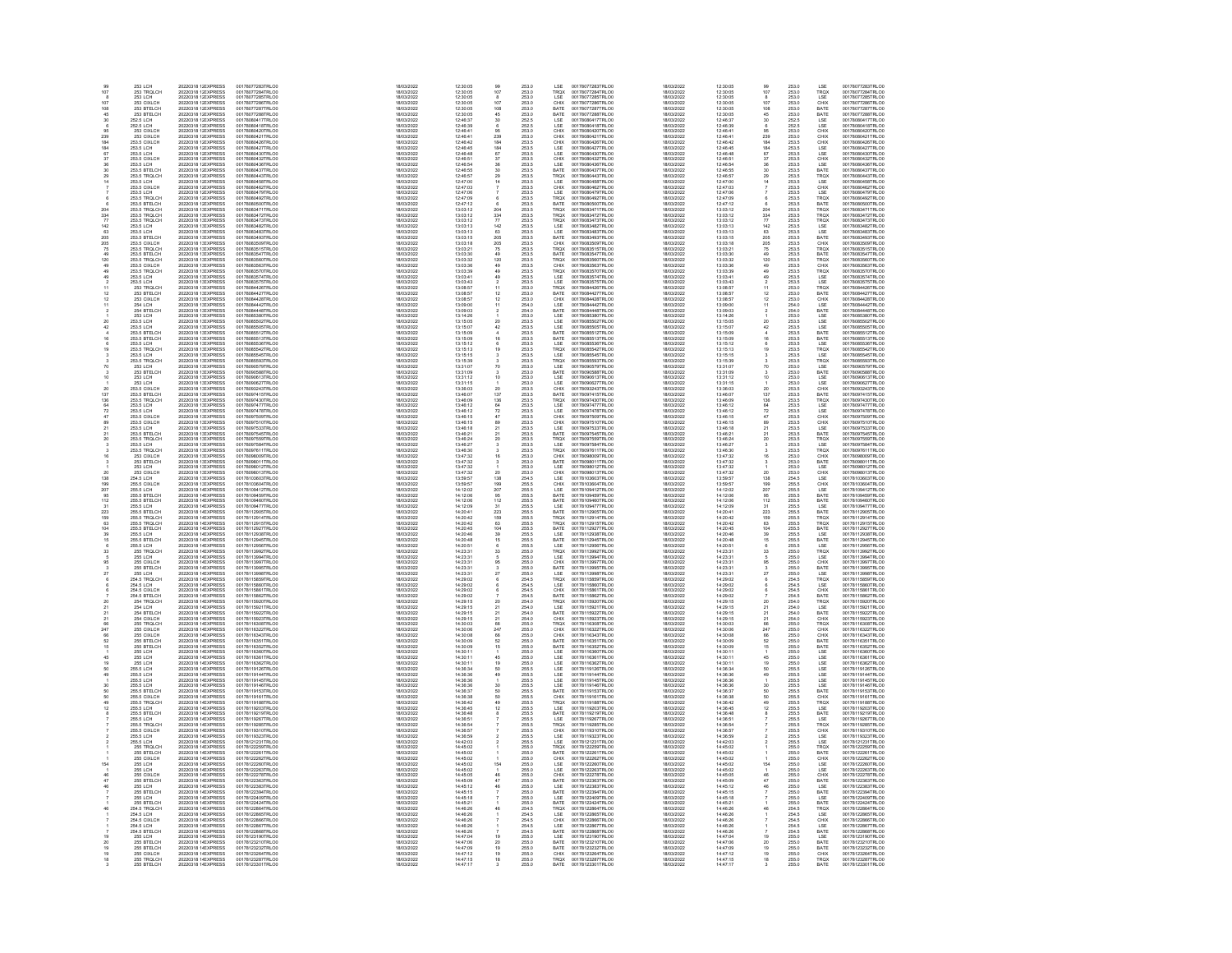| 99<br>107       | <b>253 LCH</b>                                                                         | 20220318 1; EXPRESS                                                                                                                    | 00178077283TRLO0                                                                                                       | 18/03/2022                                                         | 12:30:05                                                             |                                                                        | 253.0                                              | LSE                                                         | 00178077283TRLO0                                                                                                     | 18/03/2022                                                         | 12:30:05                                               |                                                             | 253.0                                              | LSE                                                                            | 00178077283TRLO0                                                                                                     |
|-----------------|----------------------------------------------------------------------------------------|----------------------------------------------------------------------------------------------------------------------------------------|------------------------------------------------------------------------------------------------------------------------|--------------------------------------------------------------------|----------------------------------------------------------------------|------------------------------------------------------------------------|----------------------------------------------------|-------------------------------------------------------------|----------------------------------------------------------------------------------------------------------------------|--------------------------------------------------------------------|--------------------------------------------------------|-------------------------------------------------------------|----------------------------------------------------|--------------------------------------------------------------------------------|----------------------------------------------------------------------------------------------------------------------|
|                 | 253 ECH<br>253 ECH<br>253 CIXLCH<br>253 BTELCH<br>253 BTELCH<br>353 BTELCH             | 20220318 1: EXPRESS<br>20220318 1: EXPRESS                                                                                             | 001780772831RLO0<br>00178077284TRLO0<br>00178077285TRLO0<br>00178077287TRLO0<br>00178077287TRLO0                       | 18/03/2022<br>18/03/2022                                           | 12:30:05<br>12:30:05                                                 | $\frac{107}{8}$                                                        | 253.0<br>253.0                                     | TRQX<br>LSE                                                 | 00178077284TRLO0<br>00178077285TRLO0<br>00178077285TRLO0<br>00178077287TRLO0<br>00178077288TRLO0                     | 18/03/2022<br>18/03/2022                                           | 12:30:05<br>12:30:05                                   | $\frac{107}{8}$                                             | 253.0<br>253.0                                     | TROX<br>LSE                                                                    | 001780772831RLO0<br>00178077285TRLO0<br>00178077285TRLO0<br>00178077287TRLO0<br>00178077288TRLO0                     |
|                 |                                                                                        | 20220318 1:EXPRESS<br>20220318 1:EXPRESS<br>20220318 1:EXPRESS                                                                         |                                                                                                                        |                                                                    | 12:30:05<br>12:30:05<br>12:30:05<br>12:30:05                         | $\frac{107}{108}$                                                      | 253.0<br>253.0                                     | CHIX<br>BATE<br>BATE                                        |                                                                                                                      | 18/03/2022<br>18/03/2022<br>18/03/2022                             |                                                        | 107<br>108<br>45                                            | 253.0<br>253.0<br>253.0<br>253.0                   | CHIX<br>BATE<br>BATE                                                           |                                                                                                                      |
|                 | 253 BTELCH                                                                             | 20220318 1; EXPRESS                                                                                                                    |                                                                                                                        | 18/03/2022<br>18/03/2022                                           |                                                                      |                                                                        | 253.0                                              |                                                             |                                                                                                                      | 18/03/2022                                                         | 12:30:05<br>12:46:37                                   |                                                             |                                                    |                                                                                |                                                                                                                      |
|                 | 252.5 LCH<br>252.5 LCH                                                                 | 20220318 1: EXPRESS                                                                                                                    | 00178080417TRLO0<br>00178080418TRLO0                                                                                   | 18/03/2022                                                         | 12:46:37<br>12:46:39                                                 | $^{30}_{\hphantom{1}6}$                                                | 252.5<br>252.5                                     | LSE<br>LSE                                                  | 00178080417TRLO0<br>00178080418TRLO0                                                                                 | 18/03/2022                                                         | 12:46:39                                               | $\frac{30}{6}$                                              | 252.5<br>252.5                                     | LSE<br>LSE                                                                     | 00178080417TRLO0<br>00178080418TRLO0                                                                                 |
| 239             | 253 CIXLCH<br>253 CIXLCH                                                               | 20220318 1 EXPRESS<br>20220318 1: EXPRESS                                                                                              | 00178080420TRLO0<br>00178080421TRLO0                                                                                   | 18/03/2022<br>18/03/2022                                           | 12:46:41<br>12:46:41                                                 | $\frac{95}{239}$                                                       | 253.0<br>253.0                                     | LACHIX<br>CHIX<br>CHIX<br>CHIX<br>LACHIX<br>CHIX<br>CHIX    | 00178080420TRLO0<br>00178080421TRLO0                                                                                 | 18/03/2022<br>18/03/2022                                           | 12:46:41<br>12:46:41                                   | $\frac{95}{239}$                                            | 253.0<br>253.0                                     | CHIX<br>CHIX<br>CHIX<br>LSE<br>LSE<br>LSE<br>LSE<br>BATE                       | 00178080420TRLO0<br>00178080421TRLO0                                                                                 |
| 184             | 253.5 CIXLCH<br>253.5 LCH<br>253.5 LCH                                                 | 20220318 1: EXPRESS<br>20220318 1: EXPRESS<br>20220318 1: EXPRESS                                                                      | 00178080428TRLOO<br>00178080428TRLOO<br>00178080430TRLOO<br>00178080432TRLOO                                           | 18/03/2022<br>18/03/2022<br>18/03/2022                             | 12:46:42<br>12:46:45<br>12:46:48                                     | 184 87 37 36 30 29 14                                                  | 253.5<br>253.5<br>253.5                            |                                                             | 00178080421TRL00<br>00178080426TRL00<br>00178080427TRL00<br>00178080430TRL00<br>00178080438TRL00<br>00178080438TRL00 | 18/03/2022<br>18/03/2022<br>18/03/2022                             | 12:46:42<br>12:46:45<br>12:46:48                       | 184<br>184<br>67<br>37<br>36                                | 253.5<br>253.5<br>253.5                            |                                                                                | 00178080421TRLO0<br>00178080426TRLO0<br>00178080427TRLO0<br>00178080430TRLO0<br>00178080432TRLO0<br>00178080436TRLO0 |
|                 |                                                                                        |                                                                                                                                        |                                                                                                                        |                                                                    |                                                                      |                                                                        |                                                    |                                                             |                                                                                                                      |                                                                    |                                                        |                                                             |                                                    |                                                                                |                                                                                                                      |
|                 | 253.5 CIXLCH<br>253.5 LCH                                                              | 20220318 1: EXPRESS<br>20220318 1: EXPRESS                                                                                             | 00178080436TRLO0                                                                                                       | 18/03/2022<br>18/03/2022                                           | 12:46:51<br>12:46:54                                                 |                                                                        | 253.5<br>253.5                                     |                                                             |                                                                                                                      | 18/03/2022<br>18/03/2022                                           | 12:46:51<br>12:46:54                                   |                                                             | 253.5<br>253.5                                     |                                                                                |                                                                                                                      |
| 30 <sub>0</sub> | 253.5 BTELCH<br>253.5 TROLCH                                                           | 20220318 1 EXPRESS<br>20220318 1: EXPRESS                                                                                              | 00178080437TRLO0<br>00178080443TRLO0                                                                                   | 18/03/2022<br>18/03/2022                                           | 12:46:55<br>12:46:57                                                 |                                                                        | 253.5                                              | BATE                                                        | 00178080437TRLO0                                                                                                     | 18/03/2022<br>18/03/2022                                           | 12:46:55<br>$12 - 46 - 57$                             | 30                                                          | 253.5                                              |                                                                                | 00178080437TRLO0<br>00178080443TRLO0                                                                                 |
|                 | 253.5 LCH                                                                              | 20220318 1: EXPRESS                                                                                                                    | 00178080458TRLO0                                                                                                       | 18/03/2022                                                         | $12 - 47 - 00$                                                       |                                                                        | 253.5<br>253.5                                     | TRQX<br>LSE                                                 | 00178080443TRLO0<br>00178080458TRLO0                                                                                 | 18/03/2022                                                         | $12 - 47 - 00$                                         | $\frac{29}{14}$                                             | 253.5<br>253.5                                     | TRQX<br>LSE                                                                    | 00178080458TRLO0                                                                                                     |
|                 |                                                                                        | 20220318 1:EXPRESS<br>20220318 1:EXPRESS<br>20220318 1:EXPRESS                                                                         | 001780804361RLCO<br>00178080462TRLCO<br>00178080492TRLCO                                                               | 18/03/2022<br>18/03/2022<br>18/03/2022                             | 12:47:00<br>12:47:03<br>12:47:06<br>12:47:09                         |                                                                        | 253.5<br>253.5<br>253.5                            | CHIX<br>LSE<br>TRQX                                         |                                                                                                                      | 18/03/2022<br>18/03/2022<br>18/03/2022                             | 12:47:03<br>12:47:03<br>12:47:06                       |                                                             | 253.5<br>253.5<br>253.5                            |                                                                                |                                                                                                                      |
|                 | 253.5 LCH<br>253.5 CIXLCH<br>253.5 LCH<br>253.5 TRQLCH<br>253.5 BTELCH<br>253.5 TRQLCH |                                                                                                                                        | 00178080500TRLO0                                                                                                       | 18/03/2022                                                         |                                                                      |                                                                        |                                                    |                                                             | 00178080458TRLO0<br>00178080462TRLO0<br>00178080479TRLO0<br>00178080500TRLO0<br>00178080500TRLO0<br>00178083471TRLO0 | 18/03/2022                                                         |                                                        |                                                             |                                                    | LSE<br>CHIX<br>LSE<br>TROX<br>BATE<br>TROX<br>TROX                             | 001780804681RLO0<br>00178080462TRLO0<br>00178080479TRLO0<br>00178080500TRLO0<br>00178080500TRLO0<br>00178083471TRLO0 |
| 204             |                                                                                        | 20220318 1: EXPRESS<br>20220318 1: EXPRESS                                                                                             | 00178083471TRLO0                                                                                                       | 18/03/2022                                                         | 12:47:12<br>13:03:12                                                 | $\frac{6}{204}$                                                        | 253.5<br>253.5                                     | BATE<br>TRQX                                                |                                                                                                                      | 18/03/2022                                                         | 12:47:12<br>13:03:12                                   | 204                                                         | 253.5<br>253.5                                     |                                                                                |                                                                                                                      |
| 334<br>77       | 253.5 TROLCH<br>253.5 TROLCH                                                           | 20220318 1: EXPRESS<br>20220318 1: EXPRESS                                                                                             | 00178083472TRLO0<br>00178083473TRLO0                                                                                   | 18/03/2022<br>18/03/2022                                           | 13:03:12<br>13:03:12                                                 | $\frac{334}{77}$<br>142                                                | 253.5<br>253.5                                     | TRQX<br>TRQX                                                | 00178083472TRLO0<br>00178083473TRLO0                                                                                 | 18/03/2022<br>18/03/2022                                           | 13:03:12<br>13:03:12                                   | $\frac{334}{77}$                                            | 253.5<br>253.5                                     |                                                                                | 00178083472TRLO0<br>00178083473TRLO0                                                                                 |
| 142             | 253.5 LCH                                                                              | 20220318 1: EXPRESS                                                                                                                    | 00178083482TRLO0                                                                                                       | 18/03/2022                                                         | 13:03:13                                                             |                                                                        | 253.5                                              | <b>ISE</b>                                                  | 00178083482TRLO0                                                                                                     | 18/03/2022                                                         | 13:03:13                                               | 142                                                         |                                                    |                                                                                | 00178083482TRLO0                                                                                                     |
|                 | 253.5 LCH<br>253.5 BTELCH<br>253.5 BTELCH<br>253.5 TROLCH<br>253.5 TROLCH              | 20220318 1: EXPRESS<br>20220318 1: EXPRESS<br>20220318 1: EXPRESS<br>20220318 1: EXPRESS<br>20220318 1: EXPRESS<br>20220318 1: EXPRESS | 001780834821RL00<br>00178083483TRL00<br>00178083509TRL00<br>00178083509TRL00<br>00178083515TRL00                       | 18/03/2022<br>18/03/2022<br>18/03/2022<br>18/03/2022<br>18/03/2022 | 13:03:13<br>13:03:13<br>13:03:15<br>13:03:18<br>13:03:21             | 63<br>205<br>205<br>75<br>49                                           | 253.5<br>253.5<br>253.5<br>253.5                   | LSE<br>LSE<br>BATE<br>CHIX<br>TRQX<br>BATE                  | 001780834821RL00<br>00178083483TRL00<br>00178083509TRL00<br>00178083515TRL00<br>00178083515TRL00                     | 8/03/2022<br>18/03/2022                                            | 13:03:13<br>13:03:13<br>13:03:15                       | $\begin{array}{r} 63 \\ 205 \\ 205 \\ 75 \\ 49 \end{array}$ | 253.5<br>253.5<br>253.5<br>253.5<br>253.5<br>253.5 | LSE<br>LSE<br>BATE<br>CHIX<br>TRQX<br>BATE                                     | 001780834821RLO0<br>00178083483TRLO0<br>00178083493TRLO0<br>00178083509TRLO0<br>00178083515TRLO0<br>00178083547TRLO0 |
| 205<br>75       |                                                                                        |                                                                                                                                        |                                                                                                                        |                                                                    |                                                                      |                                                                        |                                                    |                                                             |                                                                                                                      | 18/03/2022<br>18/03/2022<br>18/03/2022                             | 13:03:18<br>13:03:21                                   |                                                             |                                                    |                                                                                |                                                                                                                      |
| 120             | 253.5 BTELCH<br>253.5 TROLCH                                                           | 20220318 1: EXPRESS                                                                                                                    | 00178083547TRLO0<br>00178083560TRLO0                                                                                   | 18/03/2022<br>18/03/2022                                           | 13:03:30<br>13:03:32                                                 |                                                                        | 253.5                                              |                                                             | 00178083547TRLO0<br>00178083560TRLO0                                                                                 | 18/03/2022<br>18/03/2022                                           | 13:03:30<br>13:03:32                                   |                                                             |                                                    |                                                                                | 00178083560TRLO0                                                                                                     |
|                 | 253.5 CIXLCH                                                                           | 20220318 1: EXPRESS                                                                                                                    | 00178083563TRLO0                                                                                                       | 18/03/2022                                                         | 13:03:36                                                             | 120<br>49                                                              | 253.5<br>253.5                                     | TRQX<br>CHIX                                                | 00178083563TRLO0                                                                                                     | 18/03/2022                                                         | 13:03:36                                               | $\frac{120}{49}$                                            | 253.5<br>253.5                                     | TRQX<br>CHIX                                                                   | 00178083563TRLO0                                                                                                     |
|                 | 253.5 TROLCH<br>253.5 LCH                                                              | 20220318 1: EXPRESS<br>20220318 1: EXPRESS                                                                                             | 00178083570TRLO0<br>00178083574TRLOC                                                                                   | 18/03/2022<br>18/03/2022                                           | 13:03:39<br>13:03:41                                                 | 49 49 2 11 12 12 11                                                    | 253.5<br>253.5                                     | TROX<br>LSE<br>LSE<br>TROX<br>BATE                          | 00178083570TRLO0<br>00178083574TRLO0                                                                                 | 18/03/2022<br>18/03/2022                                           | 13:03:39<br>13:03:41                                   | $\frac{49}{49}$                                             | 253.5<br>253.5                                     | <b>CHIX</b><br><b>TROX</b><br>LSE<br>LSE<br><b>TROX</b><br>BATE<br>CHIX<br>LSE | 00178083570TRLO0<br>00178083574TRLO0                                                                                 |
|                 | 253.5 LCH<br>253.5 LCH<br>253 TRQLCH<br>253 BTELCH                                     | 20220318 1: EXPRESS<br>20220318 1: EXPRESS<br>20220318 1: EXPRESS                                                                      | 00178083575TRLO0<br>00178084426TRLO0<br>00178084427TRLO0                                                               | 18/03/2022<br>18/03/2022<br>18/03/2022<br>18/03/2022               | 13:03:43<br>13:03:43<br>13:08:57<br>13:08:57                         |                                                                        | 253.5<br>253.6<br>253.0<br>253.0                   |                                                             |                                                                                                                      | 18/03/2022<br>18/03/2022<br>18/03/2022                             | 13:03:43<br>13:08:57<br>13:08:57                       |                                                             | 253.5<br>253.5<br>253.0<br>253.0                   |                                                                                |                                                                                                                      |
|                 |                                                                                        |                                                                                                                                        |                                                                                                                        |                                                                    |                                                                      |                                                                        |                                                    |                                                             |                                                                                                                      |                                                                    |                                                        | $\frac{2}{11}$                                              |                                                    |                                                                                |                                                                                                                      |
| 11              | 253 CIXLCH<br>254 LCH                                                                  | 20220318 1: EXPRESS<br>20220318 1: EXPRESS                                                                                             | 00178084428TRLO0<br>00178084442TRLO0                                                                                   | 18/03/2022<br>18/03/2022                                           | 13:08:57<br>13:09:00                                                 |                                                                        | 253.0<br>254.0                                     | CHIX<br>LSE                                                 | 00178083574TRLO0<br>00178083575TRLO0<br>00178084426TRLO0<br>00178084427TRLO0<br>00178084442TRLO0                     | 18/03/2022<br>18/03/2022                                           | 13:08:57<br>13:09:00                                   | $\frac{12}{11}$                                             | 253.0<br>254.0                                     |                                                                                | 00178083574TRLO0<br>00178083575TRLO0<br>00178084426TRLO0<br>00178084427TRLO0<br>00178084428TRLO0                     |
|                 | 254 BTELCH                                                                             | 20220318 1: EXPRESS                                                                                                                    | 00178084448TRLO0                                                                                                       | 18/03/2022                                                         | 13:09:03                                                             |                                                                        | 254.0                                              | BATE                                                        | 00178084448TRLO0                                                                                                     | 18/03/2022                                                         | 13:09:03                                               | $\overline{2}$                                              | 254.0                                              | BATE                                                                           | 00178084448TRLO0                                                                                                     |
|                 | 253 LCH<br>253.5 LCH                                                                   | 20220318 1: EXPRESS<br>20220318 1: EXPRESS                                                                                             | 00178085380TRLO0<br>00178085502TRLO0                                                                                   | 18/03/2022<br>18/03/2022                                           | 13:14:26<br>13:15:05                                                 |                                                                        | 253.0<br>253.5                                     | LSE<br>LSE                                                  | 00178085380TRLO0<br>00178085502TRLO0                                                                                 | 18/03/2022<br>18/03/2022                                           | 13:14:26<br>13:15:05                                   | ó.                                                          | 253.0<br>253.5                                     |                                                                                | 00178085380TRLOO<br>00178085502TRLOO                                                                                 |
|                 |                                                                                        |                                                                                                                                        |                                                                                                                        | 18/03/2022<br>18/03/2022<br>18/03/2022                             |                                                                      | $\frac{20}{42}$                                                        |                                                    |                                                             |                                                                                                                      |                                                                    |                                                        | $\frac{1}{4}$                                               |                                                    |                                                                                |                                                                                                                      |
|                 | 253.5 LCH<br>253.5 LCH<br>253.5 BTELCH<br>253.5 BTELCH                                 | 20220318 1: EXPRESS<br>20220318 1: EXPRESS<br>20220318 1: EXPRESS                                                                      | 00178085505TRLO0<br>00178085512TRLO0<br>00178085513TRLO0                                                               | 18/03/2022                                                         | 13:15:07<br>13:15:07<br>13:15:09                                     |                                                                        | 253.5<br>253.5<br>253.5                            | LSE<br>LSE<br>BATE<br>BATE                                  | 00178085505TRLO0<br>00178085512TRLO0<br>00178085513TRLO0                                                             | 18/03/2022<br>18/03/2022<br>18/03/2022                             | 13:15:07<br>13:15:07<br>13:15:09                       |                                                             | 253.5<br>253.5<br>253.5                            | LSE<br>LSE<br>LSE<br>BATE<br>BATE                                              | 001780855021RECO<br>00178085505TRLO0<br>00178085513TRLO0<br>00178085513TRLO0                                         |
|                 | 253.5 LCH<br>253.5 TRQLCH                                                              | 20220318 1: EXPRESS<br>20220318 1: EXPRESS                                                                                             | 00178085536TRLO0<br>00178085542TRLO0                                                                                   | 18/03/2022<br>18/03/2022                                           | 13:15:12<br>13:15:13                                                 |                                                                        | 253.5<br>253.5                                     | LSE<br>TRQX                                                 | 00178085536TRLO0<br>00178085542TRLO0                                                                                 | 18/03/2022<br>18/03/2022                                           | 13:15:12<br>13:15:13                                   | $6$<br>19                                                   | 253.5<br>253.5                                     | LSE<br>TRQX                                                                    | 00178085536TRLO0<br>00178085542TRLO0                                                                                 |
|                 | 253.5 LCH<br>253.5 TRQLCH                                                              | 20220318 1: EXPRESS<br>20220318 1: EXPRESS                                                                                             | 00178085545TRLO0<br>00178085593TRLO0                                                                                   | 18/03/2022<br>18/03/2022                                           | 13:15:15<br>13:15:39                                                 |                                                                        | 253.5<br>253.5                                     | LSE<br>TRQX                                                 | 00178085545TRLO0<br>00178085593TRLO0                                                                                 | 18/03/2022<br>18/03/2022                                           | 13:15:15<br>13:15:39                                   |                                                             | 253.5<br>253.5                                     | LSE<br>TRQX                                                                    | 00178085545TRLO0<br>00178085593TRLO0                                                                                 |
|                 | 253 LCH                                                                                |                                                                                                                                        |                                                                                                                        |                                                                    |                                                                      | 70                                                                     |                                                    | LSE                                                         |                                                                                                                      | 18/03/2022                                                         | 13:31:07                                               | 70                                                          |                                                    |                                                                                |                                                                                                                      |
|                 |                                                                                        |                                                                                                                                        |                                                                                                                        |                                                                    |                                                                      | $\frac{3}{10}$                                                         | 253.0<br>253.0<br>253.0                            |                                                             |                                                                                                                      |                                                                    | 13:31:07<br>13:31:09<br>13:31:12                       |                                                             |                                                    |                                                                                |                                                                                                                      |
|                 | 253 LCH<br>253 LCH<br>253 LCH<br>253 LCH<br>253 CIXLCH<br>253 CIXLCH                   | 20220318 1: EXPRESS<br>20220318 1: EXPRESS<br>20220318 1: EXPRESS<br>20220318 1: EXPRESS<br>20220318 1: EXPRESS                        | 001780855931RLO0<br>00178090579TRLO0<br>00178090588TRLO0<br>00178090627TRLO0<br>001780953243TRLO0<br>001780953243TRLO0 | 18/03/2022<br>18/03/2022<br>18/03/2022<br>18/03/2022               | $13:33:07$<br>$13:31:09$<br>$13:31:12$<br>$13:31:15$<br>$13:36:03$   |                                                                        | 253.0<br>253.5                                     | LSE<br>BATE<br>LSE<br>LSE<br>CHIX                           | 001780855931RLO0<br>00178090579TRLO0<br>00178090588TRLO0<br>00178090627TRLO0<br>00178093243TRLO0                     | 18/03/2022<br>18/03/2022<br>18/03/2022<br>18/03/2022<br>18/03/2022 | 13:31:15<br>13:36:03                                   |                                                             | 253.0<br>253.0<br>253.0<br>253.0<br>253.0          | LSE<br>LSE<br>LSE<br>LSE<br>CHIX<br>BATE                                       | 001780855931RLO0<br>00178090588TRLO0<br>00178090613TRLO0<br>00178090627TRLO0<br>00178093243TRLO0                     |
| 137             | 253.5 BTELCH                                                                           | 20220318 1: EXPRESS                                                                                                                    | 00178097415TRLO0                                                                                                       | 18/03/2022<br>18/03/2022                                           | 13:46:07                                                             | $\frac{1}{20}$<br>137                                                  | 253.5                                              | BATE                                                        | 00178097415TRLO0                                                                                                     | 18/03/2022                                                         | 13:46:07                                               | $\frac{20}{137}$                                            | 253.5                                              |                                                                                | 00178097415TRLO0                                                                                                     |
| 64              | 253.5 TROLCH<br>253.5 LCH                                                              | 20220318 1: EXPRESS<br>20220318 1: EXPRESS                                                                                             | 00178097430TRLO0<br>00178097477TRLOD                                                                                   | 18/03/2022<br>18/03/2022                                           | 13:46:09<br>13:46:12                                                 | 136<br>64                                                              | 253.5<br>253.5                                     | TRQX<br>LSE                                                 | 00178097430TRLO0<br>00178097477TRLO0                                                                                 | 18/03/2022<br>18/03/2022                                           | 13:46:09<br>13:46:12                                   |                                                             | 253.5<br>253.5                                     | TROX<br>LSE<br>LSE<br>CHIX<br>CHIX<br>LSE<br>BATE                              | 00178097430TRLO0<br>00178097477TRLO0                                                                                 |
|                 | 253.5 LCH<br>253.5 CIXLCH                                                              | 20220318 1: EXPRESS<br>20220318 1: EXPRESS                                                                                             | 00178097478TRLOO                                                                                                       | 18/03/2022<br>18/03/2022                                           |                                                                      | $72 \\  47$                                                            |                                                    |                                                             | 00178097478TRLO0<br>00178097509TRLO0                                                                                 | 18/03/2022<br>18/03/2022                                           | 13:46:12<br>13:46:15                                   | $136$<br>$64$<br>$72$<br>$47$                               |                                                    |                                                                                | 00178097478TRLOO<br>00178097509TRLOO                                                                                 |
|                 | 253.5 CIXLCH                                                                           |                                                                                                                                        | 00178097510TRLOD                                                                                                       | 18/03/2022                                                         | 13:46:12<br>13:46:15<br>13:46:15                                     |                                                                        | 253.5<br>253.5<br>253.5                            | LSE<br>CHIX<br>CHIX<br>LSE<br>BATE                          |                                                                                                                      | 18/03/2022                                                         | 13:46:15                                               |                                                             | 253.5<br>253.5<br>253.5                            |                                                                                |                                                                                                                      |
|                 | 253.5 LCH<br>253.5 BTELCH                                                              | 20220318 1: EXPRESS<br>20220318 1: EXPRESS<br>20220318 1: EXPRESS                                                                      | 00178097533TRLO0<br>00178097545TRLO0                                                                                   | 18/03/2022                                                         | 13:46:18<br>13:46:21                                                 | $rac{89}{21}$                                                          | 253.5<br>253.5                                     |                                                             | 00178097510TRLO0<br>00178097533TRLO0<br>00178097545TRLO0                                                             | 18/03/2022                                                         | 13:46:18<br>13:46:21                                   | $\frac{21}{21}$                                             | 253.5<br>253.5                                     |                                                                                | 00178097510TRLO0<br>00178097533TRLO0<br>00178097545TRLO0                                                             |
| 20              | 253.5 TROLCH                                                                           | 20220318 1: EXPRESS                                                                                                                    | 00178097559TRLO0                                                                                                       | 18/03/2022<br>18/03/2022                                           |                                                                      |                                                                        |                                                    |                                                             |                                                                                                                      | 18/03/2022<br>18/03/2022                                           | 13:46:24                                               |                                                             |                                                    |                                                                                | 00178097559TRLO0                                                                                                     |
|                 | 253.5 LCH<br>253 S TROLCH                                                              | 20220318 1: EXPRESS<br>20220318 1: EXPRESS                                                                                             | 00178097584TRLO0<br>00178097611TRLO0                                                                                   | 18/03/2022<br>18/03/2022                                           | 13:46:24<br>13:46:27<br>13:46:30                                     | $_{\rm 3}^{20}$                                                        | 253.5<br>253.5<br>253.5                            | TRQX<br>LSE<br>TROX                                         | 00178097559TRLO0<br>00178097584TRLO0<br>00178097611TRLO0                                                             | 18/03/2022<br>18/03/2022                                           | 13:46:27<br>13:46:30                                   | $_{3}^{20}$                                                 | 253.5<br>253.5<br>253.5                            | TRQX<br>LSE<br>TROX                                                            | 00178097584TRLO0<br>00178097611TRLO0                                                                                 |
|                 |                                                                                        |                                                                                                                                        |                                                                                                                        |                                                                    |                                                                      |                                                                        |                                                    |                                                             |                                                                                                                      |                                                                    |                                                        |                                                             |                                                    |                                                                                |                                                                                                                      |
|                 | 53.5 TRULCH<br>253 CIXLCH<br>253 BTELCH<br>253 CIXLCH<br>253 CIXLCH<br>51.5 LOU        | 20220318 1: EXPRESS<br>20220318 1: EXPRESS<br>20220318 1: EXPRESS<br>20220318 1: EXPRESS<br>20220318 1: EXPRESS<br>20220318 1: EXPRESS | 00178097611TRLO0<br>00178098009TRLO0<br>00178098011TRLO0<br>00178098012TRLO0<br>00178098013TRLO0<br>00178103803TRLO0   | 18/03/2022<br>18/03/2022<br>18/03/2022<br>18/03/2022<br>18/03/2022 | 13:47:32<br>13:47:32<br>13:47:32<br>13:47:32<br>13:59:57             |                                                                        | 253.0<br>253.0<br>253.0<br>253.0                   | CHIX<br>BATE<br>LSE<br>LSE<br>LSE                           | 00178097611TRLO0<br>00178098009TRLO0<br>00178098011TRLO0<br>00178098013TRLO0<br>00178098013TRLO0<br>00178103603TRLO0 | 18/03/2022<br>18/03/2022<br>18/03/2022<br>18/03/2022<br>18/03/2022 | $13:47:32$ $13:47:32$ $13:47:32$ $13:47:32$ $13:47:32$ |                                                             | 253.5<br>253.0<br>253.0<br>253.0<br>253.0<br>254.5 | CHIX<br>CHIX<br>BATE<br>LSE<br>CHIX<br>LSE                                     | 00178097611TRLO0<br>00178098009TRLO0<br>00178098011TRLO0<br>00178098013TRLO0<br>00178098013TRLO0<br>00178103603TRLO0 |
|                 |                                                                                        |                                                                                                                                        |                                                                                                                        |                                                                    |                                                                      | $\frac{1}{138}$                                                        |                                                    |                                                             |                                                                                                                      |                                                                    |                                                        | $\frac{20}{138}$                                            |                                                    |                                                                                |                                                                                                                      |
| 138<br>199      | 254.5 LCH<br>255.5 CIXLCH<br>255.5 LCH                                                 | 20220318 1: EXPRESS                                                                                                                    | 00178103604TRLO0                                                                                                       | 18/03/2022<br>18/03/2022                                           | 13:59:57                                                             | 199<br>207                                                             | 254.5<br>255.5<br>255.5                            | CHIX<br>LSE                                                 | 00178103604TRLO0<br>00178109412TRLO0                                                                                 | 18/03/2022<br>18/03/2022                                           | 13:59:57<br>13:59:57                                   | 199<br>207                                                  | 255.5<br>255.5                                     | CHIX<br>LSE                                                                    | 00178103604TRLO0<br>00178109412TRLO0                                                                                 |
| 95              | 255 S RTFLCH                                                                           | 20220318 1 EXPRESS                                                                                                                     | 00178109412TRLO0                                                                                                       | 18/03/2022<br>18/03/2022                                           | 14:12:02                                                             |                                                                        |                                                    |                                                             |                                                                                                                      | 18/03/2022<br>18/03/2022                                           | 14:12:02<br>14:12:06                                   |                                                             |                                                    |                                                                                |                                                                                                                      |
| 449             | 255.5 BTELCH                                                                           | 20220318 1 EXPRESS<br>20220318 1 EXPRESS                                                                                               | 00178109459TRLO0<br>00178109460TRLO0                                                                                   | 18/03/2022                                                         | 14:12:06<br>14:12:06                                                 | $\frac{95}{112}$                                                       | 255.5<br>255.5                                     | BATE<br>BATE                                                | 00178109459TRLO0<br>00178109460TRLO0                                                                                 | 18/03/2022                                                         | $14.12 - 06$                                           | $\frac{95}{112}$                                            | 255.5<br>255.5                                     | <b>ESE<br/>BATE<br/>LSE<br/>LSE<br/>BATE<br/>TROX<br/>TROX<br/>BATE</b>        | 00178109459TRLO0<br>00178109460TRLO0                                                                                 |
|                 | 255.5 BTELCH<br>255.5 BTELCH<br>255.5 BTELCH<br>255.5 TRQLCH                           | 20220318 1-EXPRESS<br>20220318 1-EXPRESS<br>20220318 1-EXPRESS                                                                         | 00178109477TRLO0<br>00178112905TRLO0<br>00178112914TRLO0                                                               | 18/03/2022<br>18/03/2022<br>18/03/2022                             | 14:12:06<br>14:12:09<br>14:20:41<br>14:20:42                         | 31<br>223<br>159<br>104<br>39<br>15<br>6                               | 255.5<br>255.5<br>255.5                            | <b>LSE<br/> BATE<br/> TRQX<br/> TRQX<br/> BATE</b>          | 00178109477TRLO0<br>00178112905TRLO0<br>00178112914TRLO0                                                             | 18/03/2022<br>18/03/2022<br>18/03/2022                             | 14:12:09<br>14:20:41<br>14:20:42                       | 31<br>223<br>159<br>63<br>104                               | 255.5<br>255.5<br>255.5                            |                                                                                | 00178109477TRLO0<br>00178112905TRLO0<br>00178112914TRLO0                                                             |
| 63              |                                                                                        |                                                                                                                                        | 00178112915TRLO0                                                                                                       | 18/03/2022                                                         |                                                                      |                                                                        |                                                    |                                                             |                                                                                                                      | 18/03/2022                                                         |                                                        |                                                             |                                                    |                                                                                |                                                                                                                      |
| 104             | 255.5 TROLCH<br>255.5 BTELCH                                                           | 20220318 1 EXPRESS<br>20220318 1 EXPRESS                                                                                               | 00178112927TRLO0                                                                                                       | 18/03/2022                                                         | 14:20:42<br>14:20:45                                                 |                                                                        | 255.5<br>255.5                                     |                                                             | 00178112915TRLO0<br>00178112927TRLO0                                                                                 | 18/03/2022                                                         | 14:20:42<br>14:20:45                                   |                                                             | 255.5<br>255.5                                     |                                                                                | 00178112915TRLO0<br>00178112927TRLO0                                                                                 |
|                 | 255.5 LCH<br>255.5 BTELCH                                                              | 20220318 1 EXPRESS<br>20220318 1 EXPRESS                                                                                               | 00178112938TRLO0<br>00178112945TRLOC                                                                                   | 18/03/2022<br>18/03/2022                                           | 14:20:46<br>14:20:48                                                 |                                                                        | 255.5<br>255.5<br>255.5                            | LSE<br>BATE<br>LSE                                          | 00178112938TRLO0<br>00178112945TRLO0<br>00178112956TRLO0                                                             | 18/03/2022<br>18/03/2022                                           | 14:20:46<br>14:20:48                                   | $39$<br>$15$<br>$6$                                         | 255.5<br>255.5<br>255.5                            | LSE<br>BATE<br>LSE                                                             | 00178112938TRLO0                                                                                                     |
|                 | 255.5 LCH                                                                              | 20220318 1 EXPRESS                                                                                                                     | 00178112956TRLOO                                                                                                       | 18/03/2022                                                         | 14:20:51                                                             |                                                                        |                                                    |                                                             |                                                                                                                      | 18/03/2022                                                         | 14:20:51                                               |                                                             |                                                    |                                                                                |                                                                                                                      |
|                 | 255 TROLCH<br>255 LCH<br>255 CIXLCH                                                    | 20220318 1-EXPRESS<br>20220318 1-EXPRESS<br>20220318 1-EXPRESS                                                                         | 00178113992TRLO0<br>00178113994TRLO0<br>00178113997TRLO0                                                               | 18/03/2022<br>18/03/2022<br>18/03/2022                             | 14:20:01<br>14:23:31<br>14:23:31<br>14:23:31                         | $\frac{1}{6}$                                                          | 255.0<br>255.0<br>255.0                            | LSE<br>TRQX<br>LSE<br>CHIX<br>BATE<br>LSE                   | 001781129901RECO<br>00178113992TRLO0<br>00178113997TRLO0                                                             | 18/03/2022<br>18/03/2022<br>18/03/2022                             | 14:23:31<br>14:23:31<br>14:23:31                       | $\frac{1}{6}$                                               | 255.0<br>255.0<br>255.0                            | LSE<br>TROX<br>LSE<br>CHIX<br>BATE<br>LSE                                      | 001781129381KLO0<br>00178112945TRLO0<br>00178113992TRLO0<br>00178113994TRLO0<br>00178113997TRLO0                     |
|                 | 255 BTELCH                                                                             |                                                                                                                                        | 00178113995TRLO0                                                                                                       | 18/03/2022                                                         | 14:23:31                                                             | $\frac{6}{95}$                                                         |                                                    |                                                             |                                                                                                                      | 18/03/2022                                                         | 14:23:31                                               | $\frac{6}{96}$                                              |                                                    |                                                                                |                                                                                                                      |
| 27              | <b>255 LCH</b><br>254.5 TROLCH                                                         | 20220318 1 EXPRESS<br>20220318 1 EXPRESS<br>20220318 1 EXPRESS                                                                         | 00178113998TRLO0<br>00178115859TRLO0                                                                                   | 18/03/2022<br>18/03/2022                                           | 14:23:31<br>14:29:02                                                 | $\frac{3}{27}$                                                         | 255.0<br>255.0                                     |                                                             | 00178113995TRLO0<br>00178113998TRLO0                                                                                 | 18/03/2022<br>18/03/2022                                           | 14:23:31<br>14:29:02                                   | $\frac{3}{27}$                                              | 255.0<br>255.0                                     |                                                                                | 00178113995TRLO0<br>00178113998TRLO0<br>00178115859TRLO0                                                             |
|                 | 254.5 LCH                                                                              | 20220318 1 EXPRESS                                                                                                                     | 00178115860TRLO0                                                                                                       | 18/03/2022                                                         | 14:29:02                                                             |                                                                        | 254.5<br>254.5                                     | TRQX<br>LSE                                                 | 00178115859TRLO0<br>00178115860TRLO0                                                                                 | 18/03/2022                                                         | 14:29:02                                               | $\frac{6}{6}$                                               | 254.5<br>254.5                                     | TRQX<br>LSE                                                                    | 00178115860TRLO0                                                                                                     |
|                 | 254.5 CIXI CH                                                                          | 20220318 1/ EXPRESS                                                                                                                    | 00178115861TRLO0                                                                                                       | 18/03/2022                                                         | 14:29:02                                                             |                                                                        | 254.5<br>254.5<br>254.0<br>254.0<br>254.0<br>254.0 |                                                             | 00178115861TRLOO                                                                                                     | 18/03/2022                                                         | 14:29:02                                               |                                                             | 254.5<br>254.5<br>254.6<br>254.0<br>254.0          | LSE<br>CHIX<br>BATE<br>TRQX<br>LSE<br>BATE                                     | 001781158601RLO0<br>00178115861TRLO0<br>00178115862TRLO0<br>00178115920TRLO0<br>00178115922TRLO0<br>00178115922TRLO0 |
|                 |                                                                                        |                                                                                                                                        |                                                                                                                        | 18/03/2022<br>18/03/2022<br>18/03/2022                             |                                                                      |                                                                        |                                                    |                                                             |                                                                                                                      |                                                                    | 14:29:02<br>14:29:02<br>14:29:15                       |                                                             |                                                    |                                                                                |                                                                                                                      |
|                 | 254.5 CIXLUM<br>254.5 BTELCH<br>254 LCH<br>254 BTELCH<br>254 BTELCH<br>014 0110 011    | 20220318 1-EXPRESS<br>20220318 1-EXPRESS<br>20220318 1-EXPRESS<br>20220318 1-EXPRESS<br>20220318 1-EXPRESS                             | 001781158611RLO0<br>00178115827TRLO0<br>00178115921TRLO0<br>00178115922TRLO0                                           | 18/03/2022<br>18/03/2022                                           | 14:29:02<br>14:29:02<br>14:29:15<br>14:29:15<br>14:29:15             | $\begin{array}{c} 21 \\ 21 \\ 21 \end{array}$                          |                                                    |                                                             | 001781158611KLO0<br>00178115920TRLO0<br>00178115921TRLO0<br>00178115922TRLO0                                         | 18/03/2022<br>18/03/2022<br>18/03/2022<br>18/03/2022<br>18/03/2022 | 14:29:15<br>14:29:15                                   | $\frac{20}{21}$<br>$\frac{21}{21}$                          |                                                    |                                                                                |                                                                                                                      |
| 21              | 254 CIXLCH<br>255 TROLCH                                                               | 20220318 1 EXPRESS<br>20220318 1 EXPRESS                                                                                               | 00178115923TRLO0<br>00178116308TRLO0                                                                                   | 18/03/2022<br>18/03/2022                                           | 14:29:15<br>14:30:03                                                 |                                                                        |                                                    | CHIX<br>BATE<br>TROX<br>LSE<br>BATE<br>CHIX<br>TROX<br>CHIX | 00178115923TRLO0                                                                                                     | 18/03/2022<br>18/03/2022                                           | 14:29:15<br>14:30:03                                   |                                                             | 254.0                                              | CHIX                                                                           | 00178115923TRLO0<br>00178116308TRLO0                                                                                 |
|                 | 255 CIXLCH                                                                             | 20220318 1 EXPRESS                                                                                                                     | 00178116322TRLO0                                                                                                       | 18/03/2022                                                         | 14:30:06                                                             | $\frac{66}{247}$                                                       | 255.0<br>255.0                                     |                                                             | 00178116308TRLO0<br>00178116322TRLO0                                                                                 | 18/03/2022                                                         | 14:30:06                                               | $\frac{66}{247}$                                            | 255.0<br>255.0                                     | TRQX<br>CHIX                                                                   | 00178116322TRLO0                                                                                                     |
|                 | 255 CIXLCH<br>255 BTELCH                                                               | 20220318 11 EXPRESS<br>20220318 11 EXPRESS<br>20220318 11 EXPRESS<br>20220318 11 EXPRESS<br>20220318 11 EXPRESS                        | 00178116343TRLOO                                                                                                       | 18/03/2022<br>18/03/2022                                           | 14:30:08<br>14:30:09                                                 | 66<br>52<br>15                                                         | 255.0<br>255.0<br>255.0                            | CHIX<br>BATE<br>BATE<br>LSE<br>LSE                          | 001781163221RL00<br>00178116351TRL00<br>00178116352TRL00<br>00178116380TRL00<br>00178116381TRL00                     | 18/03/2022<br>18/03/2022                                           | 14:30:08<br>14:30:09                                   | 66<br>52                                                    | 255.0<br>255.0<br>255.0<br>255.0<br>255.0          | CHIX<br>BATE<br>BATE<br>LSE<br>LSE<br>LSE<br>LSE<br>LSE                        | 001781163221RL00<br>00178116343TRL00<br>00178116351TRL00<br>00178116363TRL00<br>00178116361TRL00                     |
|                 | 255 BTELCH                                                                             |                                                                                                                                        | 00178116352TRLO0<br>00178116360TRLO0<br>00178116361TRLO0                                                               | 8/03/2022<br>18/03/2022                                            | 4:30:09                                                              |                                                                        |                                                    |                                                             |                                                                                                                      | 18/03/2022<br>18/03/2022<br>18/03/2022                             | 14:30:09                                               |                                                             |                                                    |                                                                                |                                                                                                                      |
|                 | 255 LCH<br>255 LCH                                                                     |                                                                                                                                        |                                                                                                                        | 18/03/2022                                                         | 14:30:11<br>14:30:11                                                 | $\frac{1}{45}$<br>$\frac{19}{50}$                                      | 255.0<br>255.0                                     |                                                             |                                                                                                                      |                                                                    | 14:30:11<br>14:30:11                                   | $rac{1}{45}$                                                |                                                    |                                                                                |                                                                                                                      |
|                 | <b>255 LCH</b><br>255.5 LCH                                                            | 20220318 1 EXPRESS<br>20220318 1 EXPRESS                                                                                               | 00178116362TRLO0<br>00178119126TRLO0                                                                                   | 18/03/2022<br>18/03/2022                                           | 14:30:11<br>14:36:34                                                 |                                                                        | 255.0<br>255.5                                     | LSE<br>LSE                                                  | 00178116362TRLO0<br>00178119126TRLO0                                                                                 | 18/03/2022<br>18/03/2022                                           | 14:30:11<br>14:36:34                                   | $^{19}_{50}$                                                | 255.0<br>255.5                                     |                                                                                | 00178116362TRLO0<br>00178119126TRLO0                                                                                 |
| 49              | 255.5 LCH                                                                              | 20220318 1 EXPRESS                                                                                                                     | 00178119144TRLO0                                                                                                       | 18/03/2022                                                         | 14:36:36                                                             | 49                                                                     | 255.5                                              | LSE                                                         | 00178119144TRLO0                                                                                                     | 18/03/2022                                                         | 14:36:36                                               | 49                                                          | 255.5                                              |                                                                                | 00178119144TRLO0                                                                                                     |
|                 | 255.5 LCH<br>255.5 LCH                                                                 | 20220318 1-EXPRESS<br>20220318 1-EXPRESS                                                                                               | 00178119145TRLOO<br>00178119146TRLOO                                                                                   | 18/03/2022<br>18/03/2022                                           | 14:36:36<br>14:36:36<br>14:36:37<br>14:36:38<br>14:36:42<br>14:36:42 | $\begin{array}{c}\n 1 \\  30 \\  50 \\  49 \\  12 \\  8\n \end{array}$ | 255.5<br>255.5<br>255.5<br>255.5<br>255.5          | LSE<br>LSE                                                  | 001781191441RL00<br>00178119146TRL00<br>00178119146TRL00<br>00178119161TRL00<br>00178119186TRL00<br>00178119188TRL00 | 18/03/2022<br>18/03/2022                                           | 14:36:36<br>14:36:36                                   |                                                             | 255.5<br>255.5<br>255.5<br>255.5<br>255.5          | LSE<br>LSE<br>BATE<br>CHIX<br>TRQX                                             | 001781191441RL00<br>00178119145TRL00<br>00178119146TRL00<br>00178119161TRL00<br>00178119188TRL00                     |
|                 | 255.5 ECH<br>255.5 BTELCH<br>255.5 CIXLCH<br>255.5 TROLCH                              | 20220318 1-EXPRESS<br>20220318 1-EXPRESS<br>20220318 1-EXPRESS                                                                         | 00178119153TRLO0<br>00178119161TRLO0<br>00178119188TRLO0                                                               | 18/03/2022<br>18/03/2022<br>18/03/2022                             |                                                                      |                                                                        |                                                    | ESE<br>BATE<br>CHIX<br>TRQX                                 |                                                                                                                      | 18/03/2022<br>18/03/2022<br>18/03/2022                             | 14:36:37<br>14:36:37<br>14:36:38                       | $\frac{30}{50}$                                             |                                                    |                                                                                |                                                                                                                      |
|                 | 255.5 LCH                                                                              |                                                                                                                                        |                                                                                                                        | 18/03/2022<br>18/03/2022                                           |                                                                      |                                                                        |                                                    |                                                             |                                                                                                                      | 18/03/2022                                                         | 14:36:42<br>14:36:45                                   | 12                                                          |                                                    |                                                                                |                                                                                                                      |
|                 | 255.5 BTELCH                                                                           | 20220318 1 EXPRESS<br>20220318 1 EXPRESS                                                                                               | 00178119203TRLO0<br>00178119219TRLO0                                                                                   | 18/03/2022                                                         | 14:36:45<br>14:36:48                                                 |                                                                        | 255.5<br>255.5                                     | LSE<br>BATE                                                 | 00178119203TRLO0<br>00178119219TRLO0                                                                                 | 18/03/2022                                                         | 14:36:48                                               |                                                             | 255.5<br>255.5                                     | LSE<br>BATE                                                                    | 00178119203TRLO0<br>00178119219TRLO0                                                                                 |
|                 | 255.5 LCH<br>255.5 TROLCH                                                              | 20220318 1/ EXPRESS<br>20220318 1 EXPRESS                                                                                              | 00178119267TRLO0<br>00178119285TRLO0                                                                                   | 18/03/2022<br>18/03/2022                                           | 14:36:51<br>14:36:54                                                 |                                                                        | 255.5<br>255.5                                     | LSE<br>TRQX                                                 | 00178119267TRLO0<br>00178119285TRLO0                                                                                 | 18/03/2022<br>18/03/2022                                           | 14:36:51<br>14:36:54                                   |                                                             | 255.5<br>255.5                                     | LSE.<br>TROX                                                                   | 00178119267TRLO0<br>00178119285TRLO0                                                                                 |
|                 | 255.5 CIXLCH<br>255.5 LCH<br>255.5 LCH                                                 |                                                                                                                                        |                                                                                                                        | 18/03/2022<br>18/03/2022<br>18/03/2022                             | 14:36:57<br>14:36:57<br>14:42:03                                     |                                                                        | 255.5<br>255.5<br>255.5                            | CHIX<br>LSE<br>LSE                                          |                                                                                                                      | 18/03/2022<br>18/03/2022<br>18/03/2022                             | 14:36:57<br>14:36:59<br>14:42:03                       |                                                             | 255.5<br>255.5<br>255.5                            |                                                                                |                                                                                                                      |
|                 |                                                                                        |                                                                                                                                        |                                                                                                                        |                                                                    |                                                                      |                                                                        |                                                    |                                                             |                                                                                                                      |                                                                    |                                                        |                                                             |                                                    |                                                                                |                                                                                                                      |
|                 | 255 TRQLCH<br>255 BTELCH                                                               | 20220318 1-EXPRESS<br>20220318 1-EXPRESS<br>20220318 1-EXPRESS<br>20220318 1-EXPRESS<br>20220318 1-EXPRESS<br>20220318 1-EXPRESS       | 00178119285TRLO0<br>00178119310TRLO0<br>00178119323TRLO0<br>00178122259TRLO0<br>00178122259TRLO0<br>00178122261TRLO0   | 18/03/2022<br>18/03/2022                                           | 14:45:02<br>14:45:02                                                 |                                                                        | 255.0<br>255.0                                     | TRQX<br>BATE                                                | 001781192851RLO0<br>00178119310TRLO0<br>00178119323TRLO0<br>00178122259TRLO0<br>00178122259TRLO0                     | 18/03/2022<br>18/03/2022                                           | 14:45:02<br>14:45:02                                   |                                                             | 255.0<br>255.0                                     | CHIX<br>LSE<br>LSE<br>TRQX<br>BATE                                             | 00178119285TRLO0<br>00178119310TRLO0<br>00178119323TRLO0<br>001781222251TRLO0<br>001781222251TRLO0                   |
|                 | 255 CIXLCH                                                                             | 20220318 1 EXPRESS                                                                                                                     | 00178122262TRLO0                                                                                                       | 18/03/2022                                                         | 14:45:02                                                             |                                                                        | 255.0                                              | CHIX                                                        | 00178122262TRLO0                                                                                                     | 18/03/2022                                                         | 14:45:02                                               |                                                             | 255.0                                              |                                                                                | 00178122262TRLO0                                                                                                     |
| 154             | 255 LCH<br>255 LCH                                                                     | 20220318 1 EXPRESS<br>20220318 1 EXPRESS                                                                                               | 00178122260TRLO0<br>00178122263TRLO0                                                                                   | 18/03/2022<br>18/03/2022                                           | 14:45:02<br>14:45:02                                                 | 154                                                                    | 255.0<br>255.0                                     | LSE<br>LSE                                                  | 00178122260TRLO0<br>00178122263TRLO0                                                                                 | 18/03/2022<br>18/03/2022                                           | 14:45:02<br>$14.45 - 02$                               | 164                                                         | 255.0<br>255.0                                     | CHIX<br>LSE<br>LSE                                                             | 00178122260TRLO0<br>00178122263TRLO0                                                                                 |
|                 |                                                                                        |                                                                                                                                        |                                                                                                                        | -----------<br>18/03/2022<br>18/03/2022                            |                                                                      | $\frac{46}{47}$                                                        |                                                    |                                                             |                                                                                                                      | 8/03/2022<br>18/03/2022                                            | 14:45:05                                               | $\frac{46}{47}$                                             |                                                    |                                                                                |                                                                                                                      |
|                 | 255 CIXLCH<br>255 BTELCH<br>255 LCH<br>255 LCH                                         | 20220318 1-EXPRESS<br>20220318 1-EXPRESS<br>20220318 1-EXPRESS                                                                         | 001781222831RLO0<br>00178122363TRLO0<br>00178122363TRLO0                                                               | 18/03/2022                                                         | 14:45:02<br>14:45:05<br>14:45:09                                     |                                                                        | 255.0<br>255.0<br>255.0                            | LSE<br>CHIX<br>BATE<br>LSE<br>BATE<br>LSE                   | 001781222831RLO0<br>00178122278TRLO0<br>00178122383TRLO0<br>00178122383TRLO0                                         | 18/03/2022                                                         | 14:45:12                                               |                                                             | 255.0<br>255.0<br>255.0                            | LSE<br>CHIX<br>BATE<br>LSE<br>BATE<br>LSE                                      | 001781222631RLOO<br>00178122363TRLOO<br>00178122363TRLOO                                                             |
|                 | 255 BTELCH<br><b>255 LCH</b>                                                           | 20220318 1- EXPRESS<br>20220318 1- EXPRESS                                                                                             | 00178122394TRLO0<br>00178122409TRLO0                                                                                   | 18/03/2022<br>18/03/2022                                           | 14:45:15<br>14:45:18                                                 |                                                                        | 255.0<br>255.0                                     |                                                             | 00178122394TRLO0<br>00178122409TRLO0                                                                                 | 18/03/2022<br>18/03/2022                                           | 14:45:15<br>14:45:18                                   |                                                             | 255.0<br>255.0                                     |                                                                                | 00178122394TRLO0<br>00178122409TRLO0                                                                                 |
| 4Ŕ              | 255 BTELCH<br>254.5 TROLCH                                                             | 20220318 1 EXPRESS                                                                                                                     | 00178122424TRLO0                                                                                                       | 18/03/2022                                                         | 14:45:21                                                             |                                                                        | 255.0<br>254.5                                     | BATE<br>TRQX                                                | 00178122424TRLO0<br>00178122864TRLO0                                                                                 | 18/03/2022                                                         | 14:45:21                                               |                                                             | 255.0<br>254.5                                     | BATE<br>TRQX                                                                   | 00178122424TRLO0                                                                                                     |
|                 | 254.5 LCH                                                                              | 20220318 1-EXPRESS<br>20220318 1/ EXPRESS                                                                                              | 00178122864TRLO0<br>00178122865TRLO0                                                                                   | 18/03/2022<br>18/03/2022                                           | 14:46:26<br>14:46:26                                                 | 46                                                                     | 254.5                                              | <b>ISE</b>                                                  | 00178122865TRLO0                                                                                                     | 18/03/2022<br>18/03/2022                                           | 14:46:26<br>14:46:26                                   |                                                             | 254.5                                              | LSE                                                                            | 00178122864TRLO0<br>00178122865TRLO0                                                                                 |
|                 |                                                                                        |                                                                                                                                        |                                                                                                                        |                                                                    |                                                                      |                                                                        |                                                    | CHIX<br>I SE                                                |                                                                                                                      |                                                                    |                                                        |                                                             |                                                    |                                                                                |                                                                                                                      |
|                 |                                                                                        |                                                                                                                                        | 001781228651RLO0<br>00178122867TRLO0<br>00178122867TRLO0<br>00178123190TRLO0<br>00178123190TRLO0                       | 18/03/2022<br>18/03/2022<br>18/03/2022<br>18/03/2022<br>18/03/2022 |                                                                      |                                                                        | 254.5<br>254.5<br>254.5<br>255.0                   |                                                             |                                                                                                                      | 18/03/2022<br>18/03/2022<br>18/03/2022<br>18/03/2022<br>18/03/2022 | 14:46:26<br>14:46:26<br>14:46:26<br>14:47:04           |                                                             | 254.5<br>254.5<br>254.5<br>254.5<br>255.0          |                                                                                |                                                                                                                      |
|                 | 254.5 LCH<br>254.5 CIXLCH<br>254.5 LCH<br>255 LCH<br>255 BTELCH<br>255 BTELCH          | 20220318 1-EXPRESS<br>20220318 1-EXPRESS<br>20220318 1-EXPRESS<br>20220318 1-EXPRESS<br>20220318 1-EXPRESS<br>20220318 1-EXPRESS       | 00178123210TRLO0                                                                                                       | 18/03/2022                                                         | 14:46:26<br>14:46:26<br>14:46:26<br>14:47:04<br>14:47:06             | 20                                                                     | 255.0                                              | LSE<br>BATE<br>LSE<br>BATE                                  | 00178122865TRLO0<br>00178122865TRLO0<br>00178122867TRLO0<br>00178123190TRLO0<br>00178123210TRLO0                     | 18/03/2022                                                         | 14:47:06                                               | 20                                                          | 255.0                                              | LSE<br>CHIX<br>LSE<br>BATE<br>LSE<br>BATE                                      | 001781228651RLO0<br>00178122867TRLO0<br>00178122867TRLO0<br>00178123190TRLO0<br>00178123190TRLO0                     |
|                 | 255 BTELCH<br>255 CIXLCH                                                               | 20220318 1 EXPRESS<br>20220318 1-EXPRESS                                                                                               | 00178123232TRLO0<br>00178123264TRLO0                                                                                   | 18/03/2022<br>18/03/2022                                           | 14:47:09<br>14:47:12                                                 |                                                                        | 255.0<br>255.0                                     | BATE<br>CHIX                                                | 00178123232TRLO0<br>00178123264TRLO0                                                                                 | 18/03/2022<br>18/03/2022                                           | 14:47:09<br>14:47:12                                   | $\frac{19}{19}$                                             | 255.0<br>255.0                                     | BATE<br>CHIX                                                                   | 00178123232TRLO0<br>00178123264TRLO0                                                                                 |
|                 | 255 TROLCH<br>255 BTELCH                                                               | 20220318 1 EXPRESS<br>20220318 1 EXPRESS                                                                                               | 00178123287TRLOD<br>00178123301TRLOD                                                                                   | 18/03/2022<br>18/03/2022                                           | 14:47:15<br>14:47:17                                                 | $\frac{19}{18}$                                                        | 255.0<br>255.0                                     | TROX<br>BATE                                                | 00178123287TRLOD<br>00178123301TRLOD                                                                                 | 18/03/2022<br>18/03/2022                                           | $14.47 - 15$<br>$14.47 - 17$                           |                                                             | 255.0<br>255.0                                     | TROX<br>BATE                                                                   | 00178123287TRLOO<br>00178123301TRLOO                                                                                 |
|                 |                                                                                        |                                                                                                                                        |                                                                                                                        |                                                                    |                                                                      |                                                                        |                                                    |                                                             |                                                                                                                      |                                                                    |                                                        |                                                             |                                                    |                                                                                |                                                                                                                      |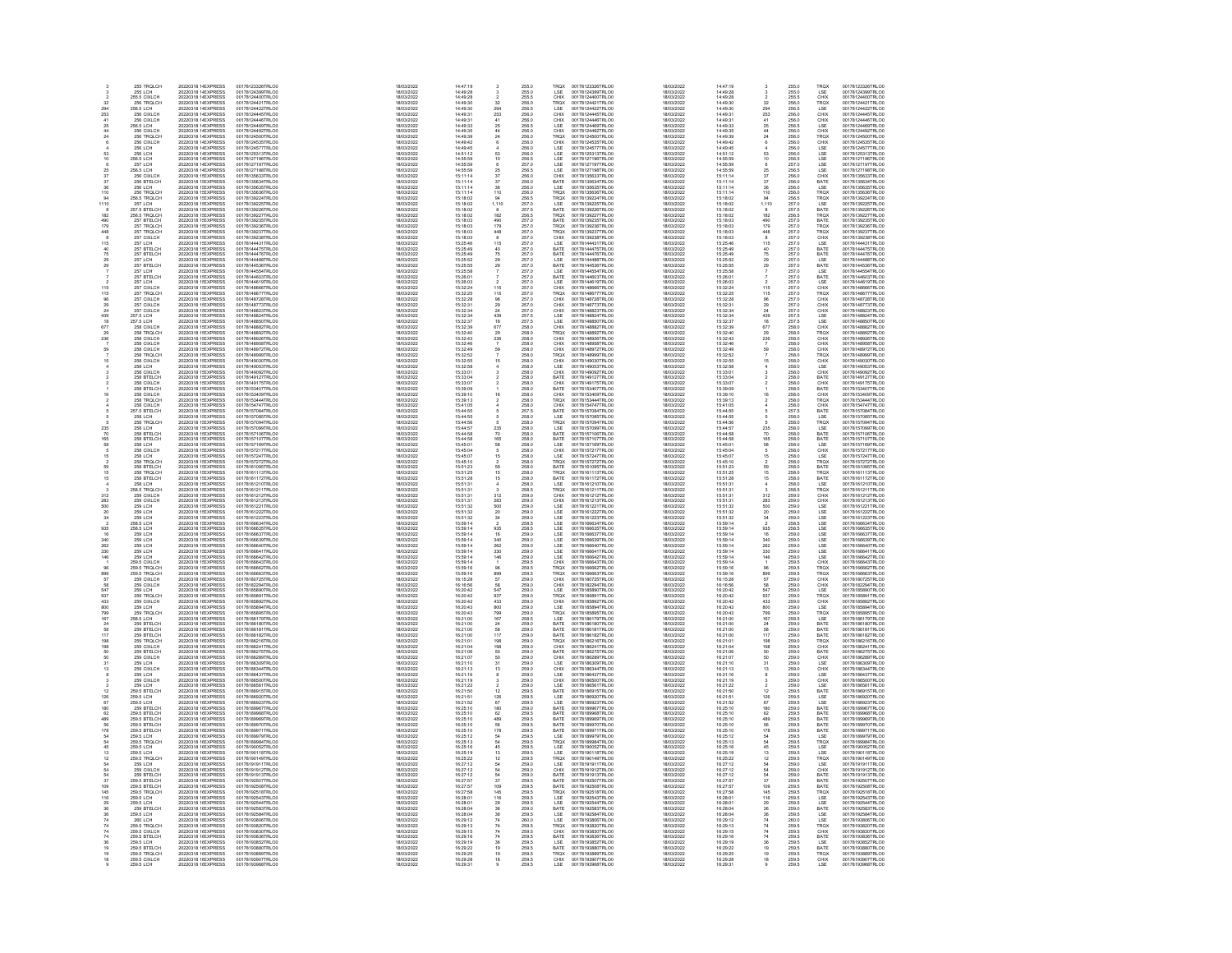|                   | 255 TROLCH                                                                                                   | 20220318 1 EXPRESS                                                                                                                     | 00178123326TRLO0                                                                                 | 18/03/2022                                                         | 14:47:19                                                           |                                                                                | 255.0                                              | <b>TROX</b>                                 | 00178123326TRLO0                                                                                                     | 18/03/2022                                                         | 14:47:19                                     |                                                                                                             | 255.0                                              | <b>TROX</b>                                                                                                  | 00178123326TRLO0                                                                                                     |
|-------------------|--------------------------------------------------------------------------------------------------------------|----------------------------------------------------------------------------------------------------------------------------------------|--------------------------------------------------------------------------------------------------|--------------------------------------------------------------------|--------------------------------------------------------------------|--------------------------------------------------------------------------------|----------------------------------------------------|---------------------------------------------|----------------------------------------------------------------------------------------------------------------------|--------------------------------------------------------------------|----------------------------------------------|-------------------------------------------------------------------------------------------------------------|----------------------------------------------------|--------------------------------------------------------------------------------------------------------------|----------------------------------------------------------------------------------------------------------------------|
|                   |                                                                                                              |                                                                                                                                        |                                                                                                  | 18/03/2022<br>18/03/2022                                           |                                                                    |                                                                                | 255.0<br>255.5                                     | LSE<br>CHIX                                 |                                                                                                                      |                                                                    | 14:49:28<br>14:49:28                         |                                                                                                             | 255.0<br>255.5                                     |                                                                                                              |                                                                                                                      |
|                   |                                                                                                              |                                                                                                                                        |                                                                                                  | 18/03/202<br>18/03/202<br>18/03/202                                |                                                                    |                                                                                |                                                    |                                             |                                                                                                                      |                                                                    | 14.49.28<br>14:49:30<br>14:49:30             |                                                                                                             |                                                    |                                                                                                              |                                                                                                                      |
| 32<br>294<br>253  | 255 LCH<br>255.5 CIXLCH<br>256.5 CIXLCH<br>256.5 LCH<br>256 CIXLCH<br>256 CIXLCH                             | 20220318 11 EXPRESS<br>20220318 11 EXPRESS<br>20220318 11 EXPRESS<br>20220318 11 EXPRESS<br>20220318 11 EXPRESS                        | 00178124399TRLO0<br>00178124499TRLO0<br>00178124400TRLO0<br>00178124421TRLO0<br>00178124445TRLO0 |                                                                    | $14.49.28$<br>$14.49.28$<br>$14.49.30$<br>$14.49.31$<br>$14.49.31$ | 32<br>294<br>253                                                               | 256.0<br>256.0<br>256.5                            | TRQX<br>LSE<br>CHIX                         | 00178124399TRLO0<br>00178124400TRLO0<br>00178124421TRLO0<br>00178124422TRLO0<br>00178124445TRLO0                     | 18/03/2022<br>18/03/2022<br>18/03/2022<br>18/03/2022<br>18/03/2022 |                                              | 32<br>294<br>253                                                                                            | 256.0<br>256.0<br>256.5                            |                                                                                                              | 00178124399TRL00<br>00178124400TRL00<br>00178124421TRL00<br>00178124422TRL00<br>00178124445TRL00                     |
| 41                |                                                                                                              |                                                                                                                                        |                                                                                                  | 18/03/2022<br>18/03/2022                                           |                                                                    |                                                                                |                                                    |                                             |                                                                                                                      | 18/03/2022                                                         | 14:49:31<br>14:49:31                         |                                                                                                             |                                                    | LSE<br>CHIX<br>CHIX<br>CHIX<br>CHIX<br>CHIX                                                                  |                                                                                                                      |
| 25                | 256 CIXLCH<br>256.5 LCH                                                                                      | 20220318 1 EXPRESS<br>20220318 1 EXPRESS                                                                                               | 00178124446TRLO0<br>00178124469TRLO0                                                             | 18/03/2022                                                         | 14:49:31<br>14:49:33                                               | $\frac{41}{25}$<br>$\frac{44}{24}$                                             | 256.0<br>256.5                                     | CHIX<br>LSE                                 | 00178124446TRLO0<br>00178124469TRLO0                                                                                 | 18/03/2022                                                         | 14:49:33                                     | $\frac{41}{25}$                                                                                             | 256.0<br>256.5                                     |                                                                                                              | 00178124446TRLO0<br>00178124469TRLO0                                                                                 |
| $^{24}$           | 256 CIXLCH<br>256 TRQLCH                                                                                     | 20220318 1 EXPRESS<br>20220318 1 EXPRESS                                                                                               | 00178124492TRLO0<br>00178124500TRLO0                                                             | 18/03/2022<br>18/03/2022                                           | 14:49:35<br>14:49:39                                               |                                                                                | 256.0<br>256.0                                     | CHIX<br>TRQX                                | 00178124492TRLO0<br>00178124500TRLO0                                                                                 | 18/03/2022<br>18/03/2022                                           | 14:49:35<br>14:49:39                         | $\frac{44}{24}$                                                                                             | 256.0<br>256.0                                     | CHIX<br>TROX<br>CHIX<br>CHIX<br>LSE<br>LSE<br>LSE<br>LSE                                                     | 00178124492TRLO0<br>00178124500TRLO0                                                                                 |
|                   |                                                                                                              |                                                                                                                                        |                                                                                                  | 18/03/2022                                                         |                                                                    |                                                                                |                                                    |                                             | 00178124500TRLO0<br>00178124535TRLO0<br>00178124577TRLO0<br>00178127196TRLO0<br>00178127196TRLO0<br>00178127197TRLO0 |                                                                    |                                              | $\ddot{\textbf{6}}$                                                                                         |                                                    |                                                                                                              | 00178124500TRLO0<br>00178124535TRLO0<br>00178124577TRLO0<br>00178127393TRLO0<br>00178127196TRLO0<br>00178127197TRLO0 |
|                   | 256 CIXLCH<br>256 LCH<br>256 LCH                                                                             | 20220318 1-EXPRESS<br>20220318 1-EXPRESS<br>20220318 1-EXPRESS                                                                         | 00178124535TRLO0<br>00178124577TRLO0<br>00178125313TRLO0                                         | 18/03/2022<br>18/03/2022<br>18/03/2022                             | 14:49:42<br>14:49:45<br>14:51:12                                   |                                                                                | 256.0<br>256.0<br>256.0                            | CHIX<br>LSE<br>LSE<br>LSE<br>LSE            |                                                                                                                      | 18/03/2022<br>18/03/2022<br>18/03/2022                             | 14:49:42<br>14:49:45<br>14:51:12             |                                                                                                             | 256.0<br>256.0<br>256.0                            |                                                                                                              |                                                                                                                      |
|                   |                                                                                                              |                                                                                                                                        |                                                                                                  |                                                                    |                                                                    | $\frac{4}{63}$<br>$\frac{10}{6}$                                               |                                                    |                                             |                                                                                                                      |                                                                    |                                              | $\frac{4}{63}$<br>10 6                                                                                      |                                                    |                                                                                                              |                                                                                                                      |
|                   | 256.5 LCH<br><b>257 LCH</b>                                                                                  | 20220318 1- EXPRESS<br>20220318 1- EXPRESS                                                                                             | 00178127196TRLO0<br>00178127197TRLO0                                                             | 18/03/2022<br>18/03/2022                                           | 14:55:59<br>14:55:59                                               |                                                                                | 256.5<br>257.0                                     |                                             |                                                                                                                      | 18/03/2022<br>18/03/2022                                           | 14:55:59<br>14:55:59                         |                                                                                                             | 256.5<br>257.0                                     |                                                                                                              |                                                                                                                      |
|                   | 256.5 LCH                                                                                                    | 20220318 1 EXPRESS                                                                                                                     | 00178127198TRLO0                                                                                 | 18/03/2022                                                         | 14:55:59                                                           | $\begin{array}{r} 25 \\ 37 \\ 37 \\ 36 \\ 110 \\ 94 \\ 1,110 \\ 0 \end{array}$ | 256.5                                              | LSE                                         | 00178127198TRLO0                                                                                                     | 18/03/2022                                                         | 14:55:59                                     | $25 \frac{37}{37}$<br>$36 \frac{110}{110}$<br>$44 \frac{110}{110}$                                          | 256.5                                              |                                                                                                              | 00178127198TRLOD                                                                                                     |
|                   | 256.5 LCH<br>256 CIXLCH<br>256 BTELCH<br>256 LCH<br>256.5 TRQLCH<br>256.5 TRQLCH                             | 20220318 1! EXPRESS<br>20220318 1! EXPRESS                                                                                             | 00178135633TRLO0<br>00178135634TRLO0                                                             | 18/03/2022<br>18/03/2023                                           | 15:11:14<br>15:11:14                                               |                                                                                | 256.0<br>256.0                                     | CHIX<br>BATE                                | 00178135633TRLO0<br>00178135634TRLO0                                                                                 | 18/03/2022<br>18/03/2022                                           | 15:11:14<br>15:11:14                         |                                                                                                             | 256.0<br>256.0                                     | LSE<br>CHIX<br>BATE<br>LSE<br>TROX<br>LSE<br>BATE                                                            | 00178135633TRLO0<br>00178135634TRLO0                                                                                 |
|                   |                                                                                                              | 20220318 11 EXPRESS<br>20220318 11 EXPRESS<br>20220318 11 EXPRESS<br>20220318 11 EXPRESS<br>20220318 11 EXPRESS<br>20220318 11 EXPRESS | 00178135635TRLOO<br>00178135635TRLOO<br>00178135636TRLOO                                         | ensiste                                                            | 15:11:14<br>15:11:14<br>15:18:02                                   |                                                                                | 256.0<br>256.0<br>256.0<br>256.5                   | LSE<br>TROX<br>TROX                         | 001781356341RLO0<br>00178135635TRLO0<br>00178135636TRLO0<br>00178139224TRLO0<br>00178139225TRLO0                     | 18/03/2022<br>18/03/2022<br>18/03/2022                             | 15:11:14<br>15:11:14<br>15:18:02             |                                                                                                             | 256.0<br>256.0<br>256.0<br>256.5                   |                                                                                                              | 00178135634TRL00<br>00178135635TRL00<br>00178135636TRL00<br>00178139224TRL00<br>00178139225TRL00<br>00178139226TRL00 |
|                   |                                                                                                              |                                                                                                                                        |                                                                                                  | sensions:                                                          |                                                                    |                                                                                |                                                    |                                             |                                                                                                                      |                                                                    |                                              |                                                                                                             |                                                    |                                                                                                              |                                                                                                                      |
| 110               |                                                                                                              |                                                                                                                                        |                                                                                                  | 18/03/2022<br>18/03/2022                                           |                                                                    |                                                                                |                                                    |                                             |                                                                                                                      | 18/03/2022                                                         |                                              |                                                                                                             |                                                    |                                                                                                              |                                                                                                                      |
|                   | 257 LCH<br>257.5 BTELCH                                                                                      |                                                                                                                                        | 00178139225TRLO0<br>00178139226TRLO0                                                             | 18/03/2022                                                         | 15:18:02<br>15:18:02                                               |                                                                                | 257.0<br>257.5                                     | LSE<br>BATE                                 |                                                                                                                      | 18/03/2022                                                         | 15:18:02<br>15:18:02                         |                                                                                                             | 257.0<br>257.5                                     |                                                                                                              |                                                                                                                      |
| 182<br>490        | 256.5 TRQLCH<br>257 BTELCH                                                                                   | 20220318 1! EXPRESS<br>20220318 1! EXPRESS                                                                                             | 00178139227TRLO0<br>00178139235TRLO0                                                             | 18/03/2022<br>18/03/2022                                           | 15:18:02<br>15:18:03                                               |                                                                                | 256.5<br>257.0                                     | TRQX<br>BATE                                | 00178139227TRLO0<br>00178139235TRLO0                                                                                 | 18/03/2022<br>18/03/2022                                           | 15:18:02<br>15:18:03                         | 8<br>182<br>490<br>179<br>448<br>115<br>40<br>75                                                            | 256.5<br>257.0                                     | TRQX<br>BATE                                                                                                 | 00178139227TRLO0<br>00178139235TRLO0                                                                                 |
| 179               | 257 TROLCH                                                                                                   | 20220318 1/ EXPRESS                                                                                                                    | 00178139236TRLO0                                                                                 | 18/03/2022                                                         | 15:18:03                                                           | 182<br>490<br>179<br>448<br>8<br>115<br>40<br>75                               | 257.0                                              | TROX                                        | 00178139236TRLO0                                                                                                     | 18/03/2022                                                         | 15:18:03                                     |                                                                                                             | 2570                                               | TROX                                                                                                         | 00178139236TRLO0                                                                                                     |
|                   | 257 TROLCH<br>257 CIXLCH<br>257 CIXLCH<br>257 BTELCH<br>257 BTELCH                                           | 20220318 11 EXPRESS<br>20220318 11 EXPRESS<br>20220318 11 EXPRESS<br>20220318 11 EXPRESS<br>20220318 11 EXPRESS                        | 001781392361RLO0<br>00178139237TRLO0<br>00178139238TRLO0<br>00178144475TRLO0                     | 18/03/2022<br>18/03/2022<br>18/03/2022<br>18/03/2022<br>18/03/2022 | 15:18:03<br>15:18:03<br>15:25:46<br>15:25:49                       |                                                                                | 257.0<br>257.0<br>257.0<br>257.0<br>257.0          | TROX<br>CHIX<br>CHIX<br>LSE<br>BATE<br>BATE | 001781392361RLO0<br>00178139237TRLO0<br>00178139238TRLO0<br>00178144431TRLO0<br>00178144475TRLO0<br>00178144476TRLO0 | 18/03/2022<br>18/03/2022<br>18/03/2022<br>18/03/2022<br>18/03/2022 | 15:18:03<br>15:18:03<br>15:25:46<br>15:25:49 |                                                                                                             | 257.0<br>257.0<br>257.0<br>257.0<br>257.0<br>257.0 | TROX<br>CHIX<br>LSE<br>BATE<br>BATE                                                                          | 00178139236TRLOO<br>00178139237TRLOO<br>00178139238TRLOO<br>00178144431TRLOO<br>00178144475TRLOO                     |
|                   |                                                                                                              |                                                                                                                                        |                                                                                                  |                                                                    |                                                                    |                                                                                |                                                    |                                             |                                                                                                                      |                                                                    |                                              |                                                                                                             |                                                    |                                                                                                              |                                                                                                                      |
|                   |                                                                                                              |                                                                                                                                        |                                                                                                  |                                                                    |                                                                    |                                                                                |                                                    |                                             |                                                                                                                      |                                                                    |                                              |                                                                                                             |                                                    |                                                                                                              |                                                                                                                      |
|                   | 257 BTELCH                                                                                                   | 20220318 1! EXPRESS                                                                                                                    | 00178144476TRLO0                                                                                 | 18/03/2022                                                         | 15:25:49                                                           |                                                                                |                                                    |                                             |                                                                                                                      | 18/03/2022                                                         | 15:25:49                                     |                                                                                                             |                                                    |                                                                                                              |                                                                                                                      |
|                   | 257 LCH<br>257 BTELCH                                                                                        | 20220318 1! EXPRESS<br>20220318 1! EXPRESS                                                                                             | 00178144488TRLO0<br>00178144536TRLO0                                                             | 18/03/2022<br>18/03/2022                                           | 15:25:52<br>15:25:55                                               | $29$<br>$29$<br>$7$<br>$7$                                                     | 257.0<br>257.0                                     | LSE<br>BATE                                 | 00178144488TRLO0<br>00178144536TRLO0                                                                                 | 18/03/2022<br>18/03/2022                                           | 15:25:52<br>15:25:55                         | $29$<br>$29$<br>$7$<br>$7$                                                                                  | 257.0<br>257.0                                     | LSE<br>BATE                                                                                                  | 00178144488TRLOO<br>00178144536TRLOO                                                                                 |
|                   |                                                                                                              | 20220318 1! EXPRESS<br>20220318 1! EXPRESS                                                                                             | 00178144554TRLO0<br>00178144603TRLO0                                                             | SOCKORD                                                            | 15:25:58                                                           |                                                                                | 257.0<br>257.0                                     | LSE<br>BATE<br>LSE<br>CHIX<br>TRQX          | 00178144554TRLO0<br>00178144603TRLO0                                                                                 | 18/03/2022                                                         | 15:25:58<br>15:26:01                         |                                                                                                             | 257.0<br>257.0                                     |                                                                                                              | 00178144554TRLO0<br>00178144603TRLO0                                                                                 |
|                   |                                                                                                              |                                                                                                                                        |                                                                                                  | 18/03/2023                                                         | 15:26:01                                                           |                                                                                |                                                    |                                             |                                                                                                                      | 18/03/2022                                                         |                                              |                                                                                                             |                                                    |                                                                                                              |                                                                                                                      |
|                   |                                                                                                              |                                                                                                                                        |                                                                                                  |                                                                    |                                                                    |                                                                                |                                                    |                                             |                                                                                                                      |                                                                    |                                              |                                                                                                             |                                                    |                                                                                                              |                                                                                                                      |
|                   |                                                                                                              | 20220318 11 EXPRESS<br>20220318 11 EXPRESS<br>20220318 11 EXPRESS                                                                      | 001781446031RECO<br>00178148666TRLO0<br>00178148677TRLO0                                         | 18/03/2022<br>18/03/2022<br>18/03/2022<br>18/03/2022               | 15:26:03<br>15:32:24<br>15:32:25                                   | 115<br>115                                                                     | 257.0<br>257.0<br>257.0<br>257.0                   |                                             |                                                                                                                      | 18/03/2022<br>18/03/2022<br>18/03/2022                             | 15:26:03<br>15:32:24<br>15:32:25             | $\frac{1}{115}$                                                                                             | 257.0<br>257.0<br>257.0<br>257.0                   |                                                                                                              |                                                                                                                      |
|                   | 257 BTELCH<br>257 BTELCH<br>257 BTELCH<br>257 CIXLCH<br>257 CIXLCH<br>257 CIXLCH<br>257 CIXLCH               | 20220318 1! EXPRESS<br>20220318 1! EXPRESS                                                                                             | 00178148728TRLO0<br>00178148773TRLO0                                                             | 18/03/2022                                                         | 15:32:28<br>15:32:31                                               | $\begin{array}{c} 96 \\ 29 \\ 24 \end{array}$                                  | 257.0<br>257.0                                     | CHIX<br>CHIX                                | 001781446031RLO0<br>00178144619TRLO0<br>00178148667RLO0<br>00178148728TRLO0<br>00178148773TRLO0                      | 18/03/2022                                                         | 15:32:28                                     | $\frac{96}{29}$                                                                                             | 257.0<br>257.0                                     | <b>ERESE CHARGE CHARGE</b><br>CHARGE CHARGE CHARGE<br>CHARGE CHARGE CHARGE                                   | 00178144603TRLO0<br>00178144619TRLO0<br>00178148666TRLO0<br>00178148677TRLO0<br>00178148728TRLO0<br>00178148773TRLO0 |
| 24                | 257 CIXLCH                                                                                                   | 20220318 1! EXPRESS                                                                                                                    | 00178148823TRLO0                                                                                 | 18/03/2022<br>18/03/2022                                           | 15:32:34                                                           |                                                                                | 257.0                                              | CHIX                                        | 00178148823TRLO0                                                                                                     | 18/03/2022<br>18/03/2022                                           | 15:32:31<br>15:32:34                         | 24                                                                                                          | 257.0                                              |                                                                                                              | 00178148823TRLO0                                                                                                     |
|                   | 257.5 LCH<br>257.5 LCH                                                                                       | 20220318 1! EXPRESS<br>20220318 1! EXPRESS                                                                                             | 00178148824TRLO0<br>00178148850TRLO0                                                             | 18/03/2022<br>18/03/2022                                           | 15:32:34<br>15:32:37                                               |                                                                                | 257.5<br>257.5                                     | LSE<br>LSE                                  | 00178148824TRLO0<br>00178148850TRLO0                                                                                 | 18/03/2022<br>18/03/2022                                           | 15:32:34<br>15:32:37                         |                                                                                                             | 257.5<br>257.5                                     |                                                                                                              | 00178148824TRLO0<br>00178148850TRLO0                                                                                 |
|                   |                                                                                                              |                                                                                                                                        |                                                                                                  |                                                                    |                                                                    |                                                                                |                                                    |                                             |                                                                                                                      |                                                                    |                                              |                                                                                                             |                                                    |                                                                                                              |                                                                                                                      |
|                   |                                                                                                              |                                                                                                                                        |                                                                                                  |                                                                    |                                                                    |                                                                                |                                                    |                                             |                                                                                                                      |                                                                    |                                              |                                                                                                             |                                                    |                                                                                                              |                                                                                                                      |
| 236               | 258 CIXLCH<br>258 TRQLCH<br>258 CIXLCH                                                                       | 20220318 11 EXPRESS<br>20220318 11 EXPRESS<br>20220318 11 EXPRESS                                                                      | 00178148892TRLO0<br>00178148892TRLO0<br>00178148926TRLO0                                         | 18/03/2022<br>18/03/2022<br>18/03/2022                             | 15:32:39<br>15:32:40<br>15:32:43                                   | 439<br>18<br>677<br>29<br>236<br>7<br>69                                       | 258.0<br>258.0<br>258.0                            | CHIX<br>TRQX<br>CHIX                        | 00178148892TRLO0<br>00178148892TRLO0<br>00178148926TRLO0                                                             | 18/03/2022<br>18/03/2022<br>18/03/2022                             | 15:32:39<br>15:32:40<br>15:32:43             | 439<br>18<br>677<br>29<br>236                                                                               | 258.0<br>258.0<br>258.0<br>258.0                   |                                                                                                              | 00178148882TRLO0<br>00178148892TRLO0<br>00178148926TRLO0                                                             |
|                   | 258 CIXLCH<br>258 CIXLCH                                                                                     | 20220318 1! EXPRESS<br>20220318 1! EXPRESS                                                                                             | 00178148958TRLO0<br>00178148972TRLO0                                                             | 18/03/2022<br>18/03/2022                                           | 15:32:46<br>15:32:49                                               |                                                                                | 258.0<br>258.0                                     | CHIX<br>CHIX                                | 00178148958TRLO0<br>00178148972TRLO0                                                                                 | 18/03/2022<br>18/03/2022                                           | 15:32:46<br>15:32:49                         | $\frac{7}{69}$                                                                                              | 258.0<br>258.0                                     |                                                                                                              | 00178148958TRLO0<br>00178148972TRLO0                                                                                 |
|                   | 258 TROLCH                                                                                                   | 20220318 1! EXPRESS                                                                                                                    | 00178148999TRLO0                                                                                 | 18/03/2022                                                         | 15:32:52                                                           |                                                                                |                                                    |                                             | 00178148999TRLO0                                                                                                     | 18/03/2022                                                         | 15:32:52                                     |                                                                                                             |                                                    |                                                                                                              | 00178148999TRLO0                                                                                                     |
|                   | 258 CIXLCH                                                                                                   | 20220318 1! EXPRESS                                                                                                                    | 00178149030TRLO0                                                                                 | 18/03/2022                                                         | 15:32:55                                                           | $\frac{7}{15}$                                                                 | 258.0<br>258.0                                     | TRQX<br>CHIX                                | 00178149030TRLO0                                                                                                     | 18/03/2022                                                         | 15:32:55                                     | 15                                                                                                          | 258.0<br>258.0                                     |                                                                                                              | 00178149030TRLOO                                                                                                     |
|                   |                                                                                                              |                                                                                                                                        | 00178149053TRLO0                                                                                 | 18/03/2022                                                         | 15:32:58                                                           |                                                                                |                                                    | LSE                                         |                                                                                                                      |                                                                    | 15:32:58                                     |                                                                                                             |                                                    |                                                                                                              |                                                                                                                      |
|                   | 258 CIXLCH<br>258 CIXLCH<br>258 CIXLCH<br>258 CIXLCH<br>258 CIXLCH<br>258 BTELCH<br>258 BTELCH<br>258 BTELCH | 20220318 11EXPRESS<br>20220318 11EXPRESS<br>20220318 11EXPRESS<br>20220318 11EXPRESS<br>20220318 11EXPRESS                             | 00178149092TRLO0<br>00178149127TRLO0<br>00178149175TRLO0<br>00178153407TRLO0                     | 18/03/2022<br>18/03/2022<br>18/03/2022<br>18/03/2022               | 15:32:56<br>15:33:01<br>15:33:04<br>15:33:07<br>15:39:09           |                                                                                | 258.0<br>258.0<br>258.0<br>258.0<br>258.0          | CHIX<br>CHIX<br>CHIX<br>CHIX<br>BATE        | 001781490301RLO0<br>00178149092TRLO0<br>00178149127TRLO0<br>00178149175TRLO0<br>00178153407TRLO0                     | 18/03/2022<br>18/03/2022<br>18/03/2022<br>18/03/2022<br>18/03/2022 | 15:32:06<br>15:33:01<br>15:33:04             |                                                                                                             | 258.0<br>258.0<br>258.0                            |                                                                                                              | 001781490301RLO0<br>00178149053TRLO0<br>00178149127TRLO0<br>00178149175TRLO0<br>00178153407TRLO0                     |
|                   |                                                                                                              |                                                                                                                                        |                                                                                                  |                                                                    |                                                                    |                                                                                |                                                    |                                             |                                                                                                                      |                                                                    | 15:33:07<br>15:39:09                         |                                                                                                             | 258.0<br>258.0                                     |                                                                                                              |                                                                                                                      |
| 16                | 258 CIXLCH                                                                                                   | 20220318 1! EXPRESS                                                                                                                    | 00178153409TRLO0                                                                                 | 18/03/2022<br>18/03/2022                                           | 15:39:10                                                           | 16                                                                             | 258.0                                              | CHIX                                        | 00178153409TRLO0                                                                                                     | 18/03/2022                                                         | 15:39:10                                     | 16                                                                                                          | 258.0                                              |                                                                                                              | 00178153409TRLO0                                                                                                     |
|                   |                                                                                                              |                                                                                                                                        |                                                                                                  | 18/03/2022                                                         |                                                                    |                                                                                |                                                    |                                             |                                                                                                                      | 18/03/2022                                                         | 15:39:13                                     |                                                                                                             |                                                    |                                                                                                              |                                                                                                                      |
|                   | 258 TROLCH<br>258 CIXLCH                                                                                     | 20220318 1! EXPRESS<br>20220318 1! EXPRESS                                                                                             | 00178153444TRLO0<br>00178154747TRLO0                                                             | 18/03/2022                                                         | 15:39:13<br>15:41:05                                               |                                                                                | 258.0<br>258.0                                     | TRQX<br>CHIX                                | 00178153444TRLO0<br>00178154747TRLO0                                                                                 | 18/03/2022                                                         | 15:41:05                                     |                                                                                                             | 258.0<br>258.0                                     |                                                                                                              | 00178153444TRLO0<br>00178154747TRLO0                                                                                 |
|                   | 257.5 BTELCH<br>258 LCH<br>258 TROLCH                                                                        | 20220318 11 EXPRESS<br>20220318 11 EXPRESS<br>20220318 11 EXPRESS                                                                      | 00178157084TRLO0<br>00178157085TRLO0                                                             | 18/03/2022<br>18/03/2022                                           | 15:44:55<br>15:44:55                                               |                                                                                | 257.5<br>258.0<br>258.0                            | BATE<br>LSE                                 |                                                                                                                      | 18/03/2022<br>18/03/2022                                           | 15:44:55                                     |                                                                                                             | 257.5<br>258.0<br>258.0                            |                                                                                                              |                                                                                                                      |
|                   |                                                                                                              |                                                                                                                                        | 00178157094TRLOD                                                                                 | 18/03/2022                                                         | 15:44:56                                                           |                                                                                |                                                    | TRQX                                        |                                                                                                                      | 18/03/2022                                                         | 15:44:56                                     |                                                                                                             |                                                    |                                                                                                              |                                                                                                                      |
| 235               | 258 LCH<br>258 BTELCH                                                                                        | 20220318 1! EXPRESS<br>20220318 1! EXPRESS                                                                                             | 00178157099TRLO0<br>00178157106TRLO0                                                             | 18/03/2022                                                         | 15:44:57<br>15:44:58                                               |                                                                                | 258.0<br>258.0                                     | LSE<br>BATE<br>BATE<br>LSE                  | 00178154747TRL00<br>00178157084TRL00<br>00178157085TRL00<br>00178157094TRL00<br>00178157099TRL00<br>00178157106TRL00 | 18/03/2022                                                         | 15:44:57<br>15:44:58                         | 235<br>70                                                                                                   | 258.0<br>258.0                                     | TROX<br>CHIX USE<br>CHIX BATTE CHIX BATTER<br>CHIX CHIX TROX<br>LISE<br>LISE<br>BATTER OXE<br>LISE<br>BATTER | 00178154747TRL00<br>00178157084TRL00<br>00178157085TRL00<br>00178157094TRL00<br>00178157094TRL00<br>00178157106TRL00 |
| 70<br>165         | 258 BTELCH                                                                                                   | 20220318 1! EXPRESS                                                                                                                    | 00178157107TRLO0                                                                                 | 18/03/2022<br>18/03/2022                                           | 15:44:58                                                           |                                                                                |                                                    |                                             |                                                                                                                      | 18/03/2022<br>18/03/2022                                           | 15:44:58                                     |                                                                                                             |                                                    |                                                                                                              |                                                                                                                      |
|                   | <b>258 LCH</b>                                                                                               | 20220318 1! EXPRESS                                                                                                                    | 00178157169TRLO0                                                                                 | 18/03/2022                                                         | 15:45:01                                                           | 235<br>70 165<br>58 5 15 2                                                     | 258.0<br>258.0                                     |                                             | 00178157107TRLO0<br>00178157169TRLO0                                                                                 | 18/03/2022                                                         | 15:45:01                                     | $165$<br>$58$<br>$5$<br>$15$<br>$2$                                                                         | 258.0<br>258.0                                     |                                                                                                              | 00178157107TRLO0<br>00178157169TRLO0                                                                                 |
|                   | 258 CIXI CH                                                                                                  | 20220318 1/ EXPRESS                                                                                                                    | 00178157217TRLO0                                                                                 | 18/03/2022                                                         | 15:45:04                                                           |                                                                                | 258.0                                              | CHIX                                        | 00178157217TRLO0                                                                                                     | 18/03/2022                                                         | 15:45:04                                     |                                                                                                             | 258.0                                              |                                                                                                              | 00178157217TRLO0                                                                                                     |
|                   | 258 CIXLCH<br>258 LCH<br>258 TRQLCH<br>258 BTELCH<br>258 TRQLCH<br>258 BTELCH                                | 20220318 11 EXPRESS<br>20220318 11 EXPRESS<br>20220318 11 EXPRESS<br>20220318 11 EXPRESS<br>20220318 11 EXPRESS<br>20220318 11 EXPRESS | 00178157217TRLO0<br>00178157247TRLO0<br>00178157272TRLO0<br>00178161113TRLO0<br>00178161113TRLO0 | 18/03/2022<br>18/03/2022<br>18/03/2022<br>18/03/2022<br>18/03/2022 | 15:45:07<br>15:45:07<br>15:51:23<br>15:51:25                       |                                                                                | 258.0<br>258.0<br>258.0<br>258.0<br>258.0          | LSE<br>IRQX<br>BATE<br>TRQX<br>BATE         | 00178157217TRLO0<br>00178157247TRLO0<br>00178157272TRLO0<br>00178161113TRLO0<br>00178161113TRLO0                     | 18/03/2022<br>18/03/2022<br>18/03/2022<br>18/03/2022<br>18/03/2022 | 15:45:07<br>15:45:07<br>15:51:23<br>15:51:25 |                                                                                                             | 258.0<br>258.0<br>258.0<br>258.0<br>258.0          | CHIX<br>LSE<br>TRQX<br>BATE<br>TRQX<br>BATE                                                                  | 00178157247TRL00<br>00178157247TRL00<br>00178157272TRL00<br>00178161113TRL00<br>00178161113TRL00<br>00178161172TRL00 |
|                   |                                                                                                              |                                                                                                                                        |                                                                                                  |                                                                    |                                                                    | $\frac{69}{16}$<br>15                                                          |                                                    |                                             |                                                                                                                      |                                                                    |                                              | $rac{69}{16}$<br>15                                                                                         |                                                    |                                                                                                              |                                                                                                                      |
|                   |                                                                                                              |                                                                                                                                        |                                                                                                  | 18/03/2022                                                         | 15:51:28                                                           |                                                                                |                                                    |                                             |                                                                                                                      |                                                                    |                                              |                                                                                                             |                                                    |                                                                                                              |                                                                                                                      |
|                   |                                                                                                              |                                                                                                                                        |                                                                                                  | 18/03/2022                                                         | 15:51:31                                                           |                                                                                |                                                    |                                             |                                                                                                                      | 18/03/2022                                                         | 15:51:28<br>15:51:31                         |                                                                                                             |                                                    |                                                                                                              |                                                                                                                      |
|                   | 258 LCH<br>258.5 TRQLCH                                                                                      | 20220318 1! EXPRESS<br>20220318 1! EXPRESS                                                                                             | 00178161210TRLO0<br>00178161211TRLO0                                                             | 18/03/2022                                                         | 15:51:31                                                           |                                                                                | 258.0<br>258.5                                     | LSE<br>TRQX                                 | 00178161210TRLO0<br>00178161211TRLO0                                                                                 | 18/03/2022                                                         | 15:51:31                                     |                                                                                                             | 258.0<br>258.5                                     | LSE<br>TRQX                                                                                                  | 00178161210TRLO0<br>00178161211TRLO0                                                                                 |
| 312<br>56         | 259 CIXLCH<br>259 CIXLCH                                                                                     | 20220318 1! EXPRESS<br>20220318 1! EXPRESS                                                                                             | 00178161212TRLO0<br>00178161213TRLO0                                                             | 18/03/2022<br>18/03/2023                                           | 15:51:31<br>15:51:31                                               | 312<br>283<br>500<br>20<br>34<br>2<br>35<br>16                                 | 259.0<br>259.0                                     | CHIX<br>CHIX                                | 00178161212TRLO0<br>00178161213TRLO0                                                                                 | 18/03/2022<br>18/03/2022                                           | 15:51:31<br>15:51:31                         | 312<br>283<br>500<br>20<br>34<br>2<br>335                                                                   | 259.0<br>259.0                                     | <b>AND SECTION SECTION SECTION</b><br>AND SECTION SECTION SECTION SECTION                                    | 00178161212TRLO0<br>00178161213TRLO0                                                                                 |
| $\frac{1}{2}$     | 259 LCH<br>259 LCH<br>259 LCH                                                                                | 20220318 11 EXPRESS<br>20220318 11 EXPRESS<br>20220318 11 EXPRESS                                                                      | 00178161221TRLOO<br>00178161222TRLOO<br>00178161223TRLOO                                         | 18/03/2022<br>18/03/2022<br>18/03/2022<br>18/03/2022               | 15:51:32<br>15:51:32<br>15:51:32                                   |                                                                                | 259.0<br>259.0<br>259.0                            | LSE<br>LSE<br>LSE<br>LSE<br>LSE             | 00178161221TRLOO<br>00178161222TRLOO<br>00178161223TRLOO                                                             | 18/03/2022<br>18/03/2022<br>18/03/2022                             | 15:51:32<br>15:51:32<br>15:51:32             |                                                                                                             | 259.0<br>259.0<br>259.0                            |                                                                                                              | 00178161221TRLOO<br>00178161222TRLOO<br>00178161223TRLOO                                                             |
|                   |                                                                                                              |                                                                                                                                        |                                                                                                  |                                                                    |                                                                    |                                                                                |                                                    |                                             |                                                                                                                      |                                                                    |                                              |                                                                                                             |                                                    |                                                                                                              |                                                                                                                      |
|                   |                                                                                                              |                                                                                                                                        | 00178166634TRLO0                                                                                 | 18/03/2022                                                         |                                                                    |                                                                                |                                                    |                                             |                                                                                                                      | 18/03/2022                                                         |                                              |                                                                                                             |                                                    |                                                                                                              |                                                                                                                      |
| 935               | 258.5 LCH<br>258.5 LCH                                                                                       | 20220318 1! EXPRESS<br>20220318 1! EXPRESS                                                                                             | 00178166635TRLO0                                                                                 | 18/03/2022                                                         | 15:59:14<br>15:59:14                                               |                                                                                | 258.5<br>258.5                                     |                                             | 00178166634TRLO0<br>00178166635TRLO0                                                                                 | 18/03/2022                                                         | 15:59:14<br>15:59:14                         |                                                                                                             | 258.5<br>258.5                                     |                                                                                                              | 00178166634TRLO0<br>00178166635TRLO0                                                                                 |
| 16                | 259 LCH                                                                                                      | 20220318 1! EXPRESS                                                                                                                    | 00178166637TRLO0                                                                                 | 18/03/2022<br>18/03/2022                                           | 15:59:14                                                           |                                                                                | 259.0                                              | LSE                                         | 00178166637TRLO0                                                                                                     | 18/03/2022<br>18/03/2022                                           | 15:59:14                                     | 16                                                                                                          | 259.0                                              |                                                                                                              | 00178166637TRLO0                                                                                                     |
|                   | 259 LCH<br>259 LCH                                                                                           |                                                                                                                                        | 00178166639TRLO0<br>00178166640TRLO0                                                             | 18/03/2023                                                         |                                                                    |                                                                                |                                                    |                                             | 00178166639TRLO0<br>00178166640TRLO0                                                                                 | 18/03/2022                                                         | 15:59:14<br>15:59:14                         |                                                                                                             |                                                    |                                                                                                              |                                                                                                                      |
|                   |                                                                                                              |                                                                                                                                        |                                                                                                  |                                                                    |                                                                    |                                                                                |                                                    |                                             |                                                                                                                      |                                                                    |                                              |                                                                                                             |                                                    |                                                                                                              |                                                                                                                      |
|                   | 259 LCH<br>259 LCH<br>259.5 CIXLCH                                                                           | 20220318 11EXPRESS<br>20220318 11EXPRESS<br>20220318 11EXPRESS<br>20220318 11EXPRESS<br>20220318 11EXPRESS                             | 00178166641TRLO0<br>00178166642TRLO0<br>00178166643TRLO0                                         | 18/03/2022<br>18/03/2022<br>18/03/2022                             | 15:59:14<br>15:59:14<br>15:59:14<br>15:59:14<br>15:59:14           | 340<br>262<br>330<br>46<br>1<br>96<br>57<br>58                                 | 259.0<br>259.0<br>259.0<br>259.0<br>259.5          | LSE<br>LSE<br>LSE<br>CHIX                   | 00178166641TRLO0<br>00178166642TRLO0<br>00178166643TRLO0                                                             | 18/03/2022<br>18/03/2022<br>18/03/2022                             | 15:59:14<br>15:59:14<br>15:59:14             | 340<br>262<br>330<br>446<br>4<br>56<br>56<br>57<br>58<br>4<br>37<br>99<br><br>4<br><br><br><br><br><br><br> | 259.0<br>259.0<br>259.0<br>259.0<br>259.5          |                                                                                                              | 001781666371KLO0<br>00178166639TRLO0<br>00178166641TRLO0<br>00178166642TRLO0<br>00178166643TRLO0                     |
|                   |                                                                                                              |                                                                                                                                        |                                                                                                  | 18/03/2022                                                         | 15:59:16                                                           |                                                                                |                                                    |                                             |                                                                                                                      | 18/03/2022                                                         | 15:59:16                                     |                                                                                                             |                                                    |                                                                                                              |                                                                                                                      |
|                   | 259.5 TROLCH<br>259.5 TROLCH                                                                                 | 20220318 1! EXPRESS<br>20220318 1! EXPRESS                                                                                             | 00178166662TRLO0<br>00178166663TRLO0                                                             | 18/03/2022                                                         | 15:59:16                                                           |                                                                                | 259.5<br>259.5                                     | TRQX<br>TRQX                                | 00178166662TRLO0<br>00178166663TRLO0                                                                                 | 18/03/2022                                                         | 15:59:16                                     |                                                                                                             | 259.5<br>259.5                                     |                                                                                                              | 00178166662TRLO0<br>00178166663TRLO0                                                                                 |
| $^{57}_{58}$      | 259 CIXLCH<br>259 CIXLCH                                                                                     | 20220318 1(EXPRESS<br>20220318 1(EXPRESS                                                                                               | 00178180725TRLO0<br>00178182294TRLO0                                                             | 18/03/2022<br>18/03/2022                                           | 16:15:28<br>16:16:56                                               |                                                                                | 259.0<br>259.0                                     | CHIX<br>CHIX                                | 00178180725TRLO0<br>00178182294TRLO0                                                                                 | 18/03/2022<br>18/03/2022                                           | 16:15:28<br>16:16:56                         |                                                                                                             | 259.0<br>259.0                                     | CHIX<br>CHIX<br>LSE<br>TRQX<br>LSE<br>TRQX                                                                   | 00178180725TRLO0<br>00178182294TRLO0                                                                                 |
|                   | 259 LCH<br>259 LCH<br>259 TRQLCH<br>259 CIXLCH<br>259 LCH<br>259 TRQLCH<br>259 TRQLCH<br>259 TRQLCH          | 20220318 1(EXPRESS                                                                                                                     | 00178185890TRLO0                                                                                 | 18/03/2022                                                         | 16:20:42                                                           |                                                                                | 259.0<br>259.0<br>259.0<br>259.0<br>259.0<br>258.5 | <b>ISE</b>                                  | 00178185890TRLO0                                                                                                     | 18/03/2022                                                         | 16:20:42                                     |                                                                                                             | 259.0                                              |                                                                                                              | 00178185890TRLO0                                                                                                     |
| ---<br>937<br>433 |                                                                                                              | 20220318 11 EXPRESS<br>20220318 11 EXPRESS<br>20220318 11 EXPRESS<br>20220318 11 EXPRESS<br>20220318 11 EXPRESS                        | 001781858901RL00<br>00178185892TRL00<br>00178185894TRL00<br>00178185895TRL00<br>00178185895TRL00 | 18/03/2022<br>18/03/2022<br>18/03/2022                             | 16:20:42<br>16:20:42<br>16:20:43<br>16:20:43<br>16:20:43           | 547<br>937<br>433<br>800<br>799<br>167                                         |                                                    | TROX<br>CHIX<br>LSE<br>TROX                 | 001781858901RLO0<br>00178185892TRLO0<br>00178185894TRLO0<br>00178185895TRLO0<br>00178185895TRLO0                     | 18/03/2022<br>18/03/2022<br>18/03/2022<br>18/03/2022<br>18/03/2022 | 16.20.42<br>16:20:42                         |                                                                                                             | 259.0<br>259.0<br>259.0<br>259.0<br>258.5          |                                                                                                              | 001781858901RLO0<br>00178185892TRLO0<br>00178185894TRLO0<br>00178185895TRLO0                                         |
| 800               |                                                                                                              |                                                                                                                                        |                                                                                                  |                                                                    |                                                                    |                                                                                |                                                    |                                             |                                                                                                                      |                                                                    |                                              |                                                                                                             |                                                    |                                                                                                              |                                                                                                                      |
|                   |                                                                                                              |                                                                                                                                        |                                                                                                  | 18/03/2022<br>18/03/2022                                           |                                                                    |                                                                                |                                                    |                                             |                                                                                                                      |                                                                    | 16:20:43<br>16:20:43                         |                                                                                                             |                                                    |                                                                                                              |                                                                                                                      |
| 167<br>24         | 258.5 LCH<br>259 BTELCH                                                                                      | 20220318 1(EXPRESS<br>20220318 1(EXPRESS                                                                                               | 00178186179TRLO0<br>00178186180TRLO0                                                             | 18/03/2022<br>18/03/2022                                           | 16:21:00<br>16:21:00                                               |                                                                                |                                                    | LSE                                         | 00178186179TRLO0<br>00178186180TRLO0                                                                                 | 18/03/2022<br>18/03/2022                                           | 16:21:00<br>16:21:00                         |                                                                                                             |                                                    | LSE                                                                                                          | 00178186179TRLO0<br>00178186180TRLO0                                                                                 |
|                   | 259 BTELCH                                                                                                   | 20220318 1(EXPRESS                                                                                                                     | 00178186181TRLOD                                                                                 | 18/03/2022                                                         | 16:21:00                                                           | $^{24}_{58}$                                                                   | 259.0<br>259.0                                     | BATE<br>BATE                                | 00178186181TRLO0                                                                                                     | 18/03/2022                                                         | 16:21:00                                     | $^{\rm 24}_{\rm 58}$                                                                                        | 259.0<br>259.0                                     | BATE<br>BATE                                                                                                 | 00178186181TRLOD                                                                                                     |
|                   | 259 BTELCH<br>259 BTELCH<br>259 CIXLCH<br>259 CIXLCH<br>259 BTELCH<br>259 CIXLCH<br>259 CIXLCH               | 20220318 11 EXPRESS<br>20220318 11 EXPRESS<br>20220318 11 EXPRESS<br>20220318 11 EXPRESS<br>20220318 11 EXPRESS                        | 00178186182TRLO0<br>00178186216TRLO0                                                             | SOCKORD<br>18/03/2023                                              | 16.21:00<br>16:21:01<br>16:21:04<br>16:21:06<br>16:21:07           |                                                                                | 259.0<br>259.0<br>259.0<br>259.0<br>259.0          | BATE<br>TROX                                | 001781861871RLO0<br>00178186216TRLO0<br>00178186241TRLO0<br>00178186275TRLO0<br>00178186289TRLO0                     | 18/03/2022<br>18/03/2022<br>18/03/2022<br>18/03/2022<br>18/03/2022 | $16:21:00$ $16:21:01$ $16:21:04$ $10:04:00$  |                                                                                                             | 259.0<br>259.0<br>259.0<br>259.0<br>259.0          |                                                                                                              | 001781861811RL00<br>00178186216TRL00<br>00178186241TRL00<br>001781862575TRL00<br>00178186289TRL00                    |
|                   |                                                                                                              |                                                                                                                                        |                                                                                                  | 8/03/2022                                                          |                                                                    |                                                                                |                                                    |                                             |                                                                                                                      |                                                                    |                                              |                                                                                                             |                                                    |                                                                                                              |                                                                                                                      |
|                   |                                                                                                              |                                                                                                                                        | 00178186241TRLO0<br>00178186241TRLO0<br>00178186289TRLO0                                         | 18/03/2022                                                         |                                                                    | 117<br>198<br>198<br>50<br>50                                                  |                                                    | CHIX<br>BATE<br>CHIX                        |                                                                                                                      |                                                                    |                                              |                                                                                                             |                                                    |                                                                                                              |                                                                                                                      |
|                   |                                                                                                              |                                                                                                                                        |                                                                                                  | 18/03/2022                                                         |                                                                    |                                                                                |                                                    |                                             |                                                                                                                      |                                                                    | 16:21:06<br>16:21:07                         |                                                                                                             |                                                    |                                                                                                              |                                                                                                                      |
|                   | 259 LCH<br>259 CIXLCH                                                                                        | 20220318 1(EXPRESS<br>20220318 1(EXPRESS                                                                                               | 00178186309TRLO0<br>00178186344TRLO0                                                             | 18/03/2022<br>18/03/2022                                           | 16:21:10<br>16:21:13                                               | $\frac{31}{13}$                                                                | 259.0<br>259.0                                     | LSE<br>CHIX                                 | 00178186309TRLO0<br>00178186344TRLO0                                                                                 | 18/03/2022<br>18/03/2022                                           | 16:21:10<br>16:21:13                         | 117<br>198<br>198<br>50<br>50<br>31<br>13                                                                   | 259.0<br>259.0                                     | BATE<br>CHIX<br>CHIX<br>BATE<br>LSE<br>CHIX<br>LSE<br>LSE<br>LSE<br>LSE<br>LSE<br>LSE                        | 00178186309TRLO0<br>00178186344TRLO0                                                                                 |
|                   | 259 LCH                                                                                                      | 20220318 1(EXPRESS                                                                                                                     | 00178186437TRLO0                                                                                 | 18/03/2022                                                         | 16:21:16                                                           |                                                                                | 259.0                                              | LSE                                         | 00178186437TRLO0                                                                                                     | 18/03/2022                                                         | 16:21:16                                     |                                                                                                             | 259.0                                              |                                                                                                              | 00178186437TRLO0                                                                                                     |
|                   |                                                                                                              |                                                                                                                                        | 00178186500TRLO0<br>00178186561TRLO0                                                             | 18/03/2022<br>18/03/2022                                           | 16:21:19<br>16:21:22                                               |                                                                                |                                                    |                                             |                                                                                                                      | 18/03/2022<br>18/03/2022                                           | 16:21:19<br>16:21:22                         |                                                                                                             |                                                    |                                                                                                              |                                                                                                                      |
|                   | 259 CUXLCH<br>259 CUXLCH<br>259.5 BTELCH<br>259.5 LCH<br>269.5 LCH                                           | 20220318 11 EXPRESS<br>20220318 11 EXPRESS<br>20220318 11 EXPRESS<br>20220318 11 EXPRESS<br>20220318 11 EXPRESS<br>20220318 11 EXPRESS | 001781869011RLCO<br>00178186920TRLCO<br>00178186923TRLCO                                         | 18/03/2022<br>18/03/2022<br>18/03/2022                             | 16.21.22<br>16:21:50<br>16:21:51                                   | $\frac{12}{126}$                                                               | 259.0<br>259.0<br>259.0<br>259.5<br>259.5          | CHIX<br>LSE<br>LSE<br>LSE<br>LSE            | 00178186437TRL00<br>00178186561TRL00<br>00178186561TRL00<br>00178186920TRL00<br>00178186923TRL00<br>00178186923TRL00 | 18/03/2022<br>18/03/2022<br>18/03/2022                             |                                              |                                                                                                             | 259.0<br>259.0<br>259.5<br>259.5<br>259.5          |                                                                                                              | 00178186437TRL00<br>00178186500TRL00<br>00178186561TRL00<br>00178186920TRL00<br>00178186923TRL00<br>00178186923TRL00 |
|                   |                                                                                                              |                                                                                                                                        |                                                                                                  |                                                                    |                                                                    |                                                                                |                                                    |                                             |                                                                                                                      |                                                                    |                                              | $\frac{12}{126}$<br>67                                                                                      |                                                    |                                                                                                              |                                                                                                                      |
| 180               | 259.5 LCH                                                                                                    |                                                                                                                                        | 00178189967TRLO0                                                                                 | 18/03/2022<br>18/03/2022                                           | 16:21:52<br>16:25:10                                               |                                                                                |                                                    |                                             |                                                                                                                      | 18/03/2022                                                         | 16:21:52<br>16:25:10                         |                                                                                                             |                                                    |                                                                                                              |                                                                                                                      |
| 62                | 259 BTELCH<br>259.5 BTELCH                                                                                   | 20220318 1(EXPRESS<br>20220318 1(EXPRESS                                                                                               | 00178189968TRLO0                                                                                 | 18/03/2022                                                         | 16:25:10                                                           | $^{180}_{62}$                                                                  | 259.0<br>259.5                                     | BATE<br>BATE                                | 00178189967TRLO0<br>00178189968TRLO0                                                                                 | 18/03/2022                                                         | 16:25:10                                     | 180<br>62                                                                                                   | 259.0<br>259.5                                     | BATE<br>BATE                                                                                                 | 00178189967TRLO0<br>00178189968TRLO0                                                                                 |
| 489<br>56         | 259 S RTFLCH<br>259.5 BTELCH                                                                                 | 20220318 1(EXPRESS<br>20220318 1(EXPRESS                                                                                               | 00178189969TRLO0<br>00178189970TRLO0                                                             | 18/03/2022<br>18/03/2022                                           | 16:25:10<br>16:25:10                                               |                                                                                | 259.5<br>259.5                                     | BATE<br>BATE                                | 00178189989TRLO0<br>00178189970TRLO0                                                                                 | 18/03/2022<br>18/03/2022                                           | 16:25:10<br>16:25:10                         |                                                                                                             | 259.5<br>259.5                                     | BATE<br>BATE                                                                                                 | 00178189969TRLO0<br>00178189970TRLO0                                                                                 |
|                   |                                                                                                              | 20220318 11 EXPRESS<br>20220318 11 EXPRESS<br>20220318 11 EXPRESS<br>20220318 11 EXPRESS<br>20220318 11 EXPRESS<br>20220318 11 EXPRESS | 001781899701RLO0<br>00178189971TRLO0<br>00178189979TRLO0<br>00178189984TRLO0<br>00178190118TRLO0 | SOCKORD                                                            |                                                                    | 489 56 78 54 54 55 45 13                                                       |                                                    |                                             | 001781899701RLO0<br>00178189971TRLO0<br>00178189979TRLO0<br>00178189984TRLO0<br>00178190118TRLO0                     |                                                                    |                                              |                                                                                                             |                                                    |                                                                                                              | 00178189970TRLO0<br>00178189971TRLO0<br>00178189979TRLO0<br>00178189984TRLO0<br>00178190052TRLO0<br>00178190118TRLO0 |
|                   | 259.5 BTELCH<br>259.5 LCH<br>259.5 TROLCH                                                                    |                                                                                                                                        |                                                                                                  | 18/03/2022<br>18/03/2022<br>18/03/2022                             | 16:25:10<br>16:25:12<br>16:25:13                                   |                                                                                | 259.5<br>259.5<br>259.5                            |                                             |                                                                                                                      | 18/03/2022<br>18/03/2022<br>18/03/2022                             | 16:25:10<br>16:25:12<br>16:25:13             |                                                                                                             | 259.5<br>259.5<br>259.5                            |                                                                                                              |                                                                                                                      |
|                   | 259.5 LCH                                                                                                    |                                                                                                                                        |                                                                                                  | 18/03/2022                                                         | 16:25:16                                                           |                                                                                |                                                    | BATE<br>LSE<br>TRQX<br>LSE<br>LSE           |                                                                                                                      | 18/03/2022                                                         | 16:25:16                                     |                                                                                                             |                                                    |                                                                                                              |                                                                                                                      |
|                   | 259.5 LCH                                                                                                    |                                                                                                                                        |                                                                                                  | 18/03/2022                                                         | 16:25:19                                                           |                                                                                | 259.5<br>259.5                                     |                                             |                                                                                                                      | 18/03/2022                                                         | 16:25:19                                     |                                                                                                             | 259.5<br>259.5                                     |                                                                                                              |                                                                                                                      |
|                   | 259.5 TROLCH                                                                                                 | 20220318 1(EXPRESS                                                                                                                     | 00178190149TRLO0                                                                                 | 18/03/2022<br>18/03/2022                                           | 16:25:22                                                           |                                                                                | 259.5                                              | TRQX                                        | 00178190149TRLO0                                                                                                     | 18/03/2022<br>18/03/2022                                           | 16:25:22<br>18:27:12                         |                                                                                                             | 259.5                                              | BATE<br>LSE<br>LSE<br>LSE<br>LSE<br>LSE<br>TRQX                                                              | 00178190149TRLO0                                                                                                     |
|                   | 259 LCH<br>259 CIXLCH                                                                                        | 20220318 1 EXPRESS<br>20220318 1 EXPRESS                                                                                               | 00178191911TRLOO<br>00178191912TRLOO                                                             | 18/03/2022                                                         | 16:27:12<br>16:27:12                                               | 12 54 54 37 109 145 116                                                        | 259.0<br>259.0                                     | LSE<br>CHIX                                 | 00178191911TRLO0<br>00178191912TRLO0                                                                                 | 18/03/2022                                                         | $18.27 - 12$                                 |                                                                                                             | 259.0<br>259.0                                     | <b>ESE</b><br>CHIX<br>BATE<br>BATE<br>BATE<br>TROX<br>LSE                                                    | 00178191911TRLO0<br>00178191912TRLO0                                                                                 |
|                   | 259 BTELCH<br>259.5 BTELCH<br>259.5 BTELCH                                                                   | 20220318 11 EXPRESS<br>20220318 11 EXPRESS<br>20220318 11 EXPRESS                                                                      | 00178191913TRLOO<br>00178192507TRLOO<br>00178192508TRLOO                                         | -----------<br>18/03/2022<br>18/03/2022                            | 16:27:12<br>16:27:57<br>16:27:57                                   |                                                                                | 259.0<br>259.5<br>259.5                            | ENTE<br>BATE<br>BATE<br>TRQX<br>LSE         | 00178191913TRLOO<br>00178192507TRLOO<br>00178192508TRLOO                                                             | 18/03/2022<br>18/03/2022                                           | 16:27:12<br>16:27:12<br>16:27:57             |                                                                                                             | 259.0<br>259.0<br>259.5                            |                                                                                                              | 00178191913TRLOO<br>00178192507TRLOO<br>00178192508TRLOO                                                             |
|                   |                                                                                                              |                                                                                                                                        |                                                                                                  |                                                                    |                                                                    |                                                                                |                                                    |                                             |                                                                                                                      |                                                                    |                                              |                                                                                                             |                                                    |                                                                                                              |                                                                                                                      |
| 145               | 259.5 TROLCH                                                                                                 |                                                                                                                                        | 00178192518TRLO0                                                                                 | 18/03/2022<br>18/03/2022                                           | 16:27:58                                                           |                                                                                |                                                    |                                             |                                                                                                                      | 18/03/2022<br>18/03/2022                                           | 16:27:58                                     |                                                                                                             |                                                    |                                                                                                              |                                                                                                                      |
| 116               | 259.5 LCH                                                                                                    | 20220318 1(EXPRESS<br>20220318 1(EXPRESS                                                                                               | 00178192543TRLO0                                                                                 | 18/03/2022                                                         | 16:28:01                                                           |                                                                                | 259.5<br>259.5                                     |                                             | 00178192518TRLO0<br>00178192543TRLO0                                                                                 | 18/03/2022                                                         | 16:28:01                                     |                                                                                                             | 259.5<br>259.5                                     |                                                                                                              | 00178192518TRLO0<br>00178192543TRLO0                                                                                 |
| 29                | 259.5 LCH<br>259 BTELCH                                                                                      | 20220318 1(EXPRESS<br>20220318 1(EXPRESS                                                                                               | 00178192544TRLO0<br>00178192583TRLOD                                                             | 18/03/2022<br>18/03/2022                                           | 16:28:01<br>16:28:04                                               |                                                                                | 259.5<br>259.0                                     | LSE<br>BATE                                 | 00178192544TRLO0<br>00178192583TRLO0                                                                                 | 18/03/2022<br>18/03/2022                                           | 16:28:01<br>16:28:04                         |                                                                                                             | 259.5<br>259.0                                     | LSE<br>BATE                                                                                                  | 00178192544TRLO0<br>00178192583TRLOO                                                                                 |
|                   | 259.5 LCH                                                                                                    | 20220318 1(EXPRESS                                                                                                                     | 00178192584TRLO0                                                                                 | 18/03/2022                                                         | 16:28:04                                                           |                                                                                | 259.5                                              |                                             | 00178192584TRLO0                                                                                                     | 18/03/2022                                                         | 16:28:04                                     |                                                                                                             | 259.5                                              |                                                                                                              | 00178192584TRLOO                                                                                                     |
|                   |                                                                                                              |                                                                                                                                        |                                                                                                  |                                                                    |                                                                    |                                                                                |                                                    |                                             |                                                                                                                      |                                                                    |                                              |                                                                                                             |                                                    |                                                                                                              |                                                                                                                      |
|                   |                                                                                                              |                                                                                                                                        |                                                                                                  |                                                                    |                                                                    |                                                                                |                                                    |                                             |                                                                                                                      |                                                                    |                                              |                                                                                                             |                                                    |                                                                                                              |                                                                                                                      |
|                   | 269.5 LCH<br>269.5 TRQLCH<br>259.5 CIXLCH<br>259.5 BTELCH<br>259.5 BTELCH                                    | 20220318 11 EXPRESS<br>20220318 11 EXPRESS<br>20220318 11 EXPRESS<br>20220318 11 EXPRESS<br>20220318 11 EXPRESS<br>20220318 11 EXPRESS | 001781926841RL00<br>00178193806TRLO0<br>00178193820TRLO0<br>00178193836TRLO0<br>00178193836TRLO0 | 18/03/2022<br>18/03/2022<br>18/03/2022<br>18/03/2022<br>18/03/2022 | 16:29:12<br>16:29:13<br>16:29:15<br>16:29:16                       | 29 36 36 74 74 74                                                              | 260.0<br>260.0<br>259.5<br>259.5                   | LSE<br>LSE<br>TROX<br>CHIX<br>BATE          | 001781925841RLO0<br>00178193806TRLO0<br>00178193820TRLO0<br>00178193836TRLO0<br>00178193836TRLO0<br>00178193852TRLO0 | 18/03/2022<br>18/03/2022<br>18/03/2022<br>18/03/2022<br>18/03/2022 | 16:29:12<br>16:29:13<br>16:29:15<br>16:29:16 | 29<br>36<br>36<br>74<br>74<br>74<br>74                                                                      | 259.5<br>260.0<br>259.5<br>259.5                   | <b>BATE</b><br>LSE<br>LSE<br>TRQX<br>CHIX<br>BATE<br>LSE<br>LSE                                              | 001781926841RL00<br>00178193806TRLO0<br>00178193830TRLO0<br>00178193836TRLO0                                         |
|                   | 259.5 LCH<br>259.5 BTELCH                                                                                    |                                                                                                                                        | 00178193852TRLO0<br>00178193880TRLOD                                                             | 18/03/2022<br>18/03/2022                                           | 16:29:19<br>16:29:22                                               |                                                                                | 259.5<br>259.5                                     | LSE                                         | 00178193880TRLO0                                                                                                     | 18/03/2022<br>18/03/2022                                           | 16:29:19<br>16:29:22                         |                                                                                                             | 259.5<br>259.5                                     |                                                                                                              | 00178193852TRLO0<br>00178193880TRLOO                                                                                 |
|                   | 259.5 TROLCH                                                                                                 | 20220318 1(EXPRESS<br>20220318 1(EXPRESS                                                                                               | 00178193889TRLOD                                                                                 | 18/03/2022                                                         | 16:29:25                                                           | 36<br>19<br>19                                                                 | 259.5                                              | BATE<br>TRQX                                | 00178193889TRLO0                                                                                                     | 18/03/2022                                                         | 16:29:25                                     |                                                                                                             | 259.5                                              | BATE<br>TRQX                                                                                                 | 00178193889TRLOO                                                                                                     |
|                   |                                                                                                              | 20220318 1 EXPRESS<br>20220318 1 EXPRESS                                                                                               | 00178193907TRLO0<br>00178193968TRLO0                                                             | 18/03/2022<br>18/03/2022                                           | 16:29:28<br>16:29:31                                               | $\begin{array}{c} 18 \\ 9 \end{array}$                                         | 259.5<br>259.5                                     | CHIX<br>LSE                                 | 00178193907TRLO0<br>00178193968TRLO0                                                                                 | 18/03/2022<br>18/03/2022                                           | 16:29:28<br>16:29:31                         | 36<br>19<br>19<br>18<br>9                                                                                   | 259.5<br>259.5                                     | CHIX<br>LSE                                                                                                  | 00178193907TRLO0<br>00178193968TRLO0                                                                                 |
|                   | 259.5 CIXLCH<br>259.5 LCH                                                                                    |                                                                                                                                        |                                                                                                  |                                                                    |                                                                    |                                                                                |                                                    |                                             |                                                                                                                      |                                                                    |                                              |                                                                                                             |                                                    |                                                                                                              |                                                                                                                      |